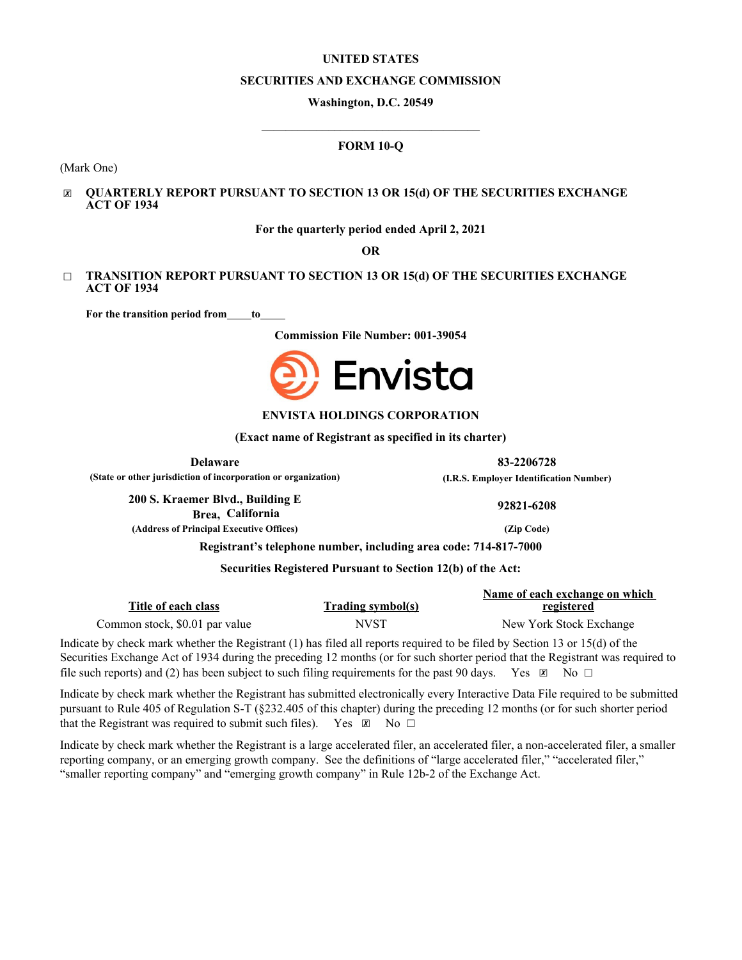#### **UNITED STATES**

#### **SECURITIES AND EXCHANGE COMMISSION**

#### **Washington, D.C. 20549**

# $\mathcal{L}_\text{max}$  , where  $\mathcal{L}_\text{max}$  and  $\mathcal{L}_\text{max}$  and  $\mathcal{L}_\text{max}$ **FORM 10-Q**

(Mark One)

#### ☒ **QUARTERLY REPORT PURSUANT TO SECTION 13 OR 15(d) OF THE SECURITIES EXCHANGE ACT OF 1934**

#### **For the quarterly period ended April 2, 2021**

**OR**

#### ☐ **TRANSITION REPORT PURSUANT TO SECTION 13 OR 15(d) OF THE SECURITIES EXCHANGE ACT OF 1934**

For the transition period from to

**Commission File Number: 001-39054**



## **ENVISTA HOLDINGS CORPORATION**

**(Exact name of Registrant as specified in its charter)**

| <b>Delaware</b>                                                  | 83-2206728                              |  |  |  |  |
|------------------------------------------------------------------|-----------------------------------------|--|--|--|--|
| (State or other jurisdiction of incorporation or organization)   | (I.R.S. Employer Identification Number) |  |  |  |  |
| 200 S. Kraemer Blvd., Building E<br>Brea, California             | 92821-6208                              |  |  |  |  |
| (Address of Principal Executive Offices)                         | (Zip Code)                              |  |  |  |  |
| Registrant's telephone number, including area code: 714-817-7000 |                                         |  |  |  |  |
|                                                                  |                                         |  |  |  |  |

#### **Securities Registered Pursuant to Section 12(b) of the Act:**

|                                |                          | Name of each exchange on which |
|--------------------------------|--------------------------|--------------------------------|
| Title of each class            | <b>Trading symbol(s)</b> | registered                     |
| Common stock, \$0.01 par value | <b>NVST</b>              | New York Stock Exchange        |

Indicate by check mark whether the Registrant (1) has filed all reports required to be filed by Section 13 or 15(d) of the Securities Exchange Act of 1934 during the preceding 12 months (or for such shorter period that the Registrant was required to file such reports) and (2) has been subject to such filing requirements for the past 90 days. Yes  $\boxtimes$  No  $\Box$ 

Indicate by check mark whether the Registrant has submitted electronically every Interactive Data File required to be submitted pursuant to Rule 405 of Regulation S-T (§232.405 of this chapter) during the preceding 12 months (or for such shorter period that the Registrant was required to submit such files). Yes  $\boxtimes$  No  $\Box$ 

Indicate by check mark whether the Registrant is a large accelerated filer, an accelerated filer, a non-accelerated filer, a smaller reporting company, or an emerging growth company. See the definitions of "large accelerated filer," "accelerated filer," "smaller reporting company" and "emerging growth company" in Rule 12b-2 of the Exchange Act.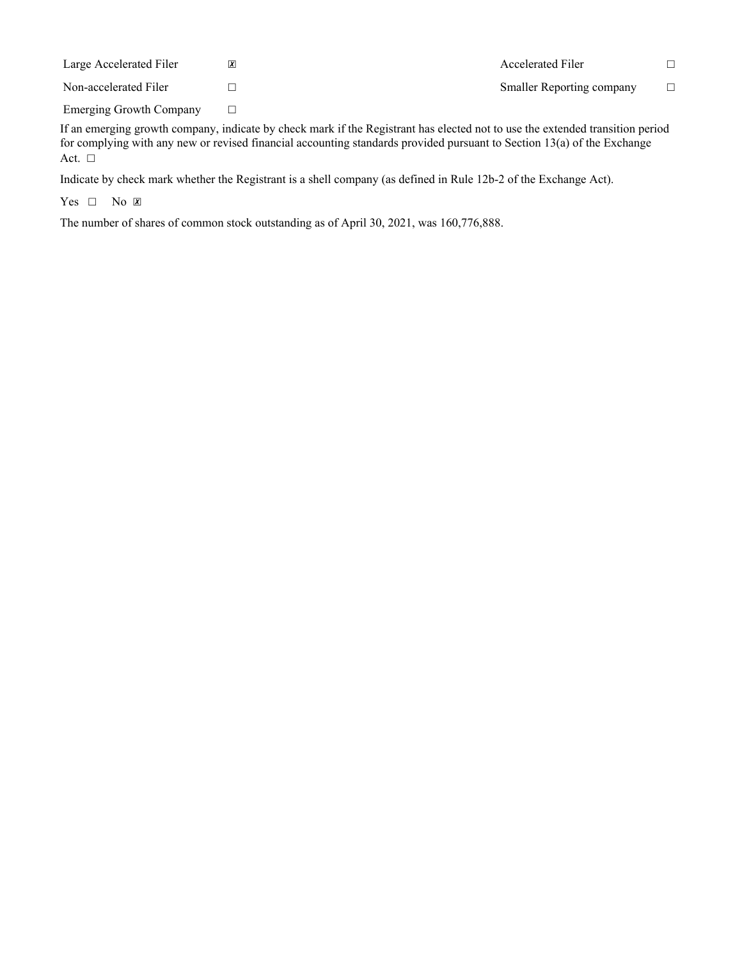| Large Accelerated Filer        | $\vert x \vert$ | Accelerated Filer                |  |
|--------------------------------|-----------------|----------------------------------|--|
| Non-accelerated Filer          |                 | <b>Smaller Reporting company</b> |  |
| <b>Emerging Growth Company</b> |                 |                                  |  |

If an emerging growth company, indicate by check mark if the Registrant has elected not to use the extended transition period for complying with any new or revised financial accounting standards provided pursuant to Section 13(a) of the Exchange Act. □

Indicate by check mark whether the Registrant is a shell company (as defined in Rule 12b-2 of the Exchange Act).

Yes □ No **Z** 

The number of shares of common stock outstanding as of April 30, 2021, was 160,776,888.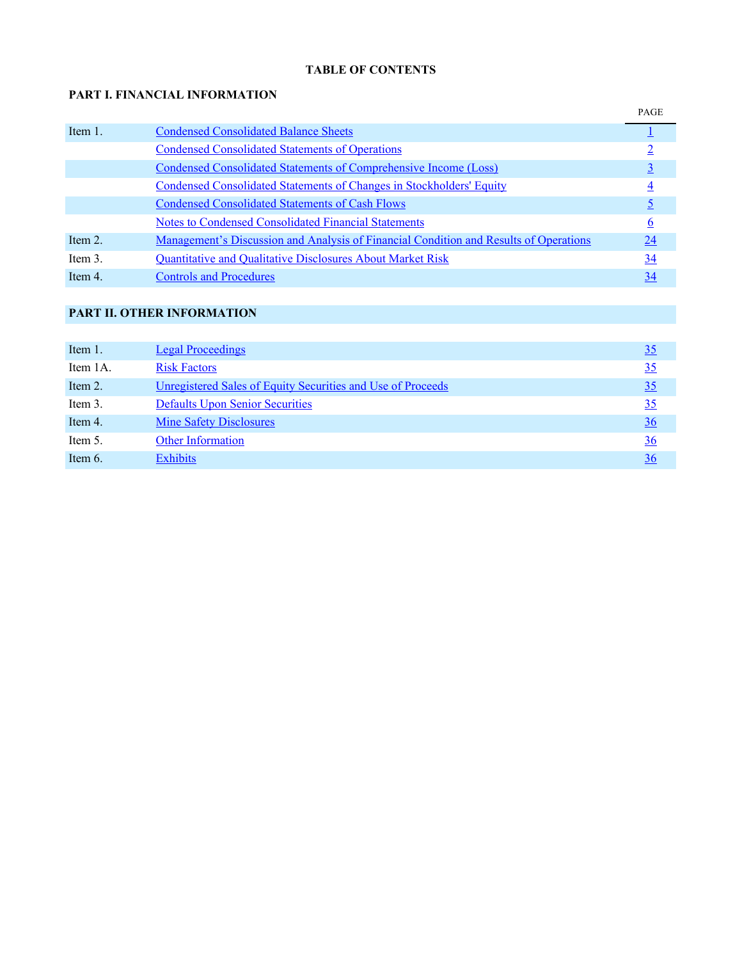# **TABLE OF CONTENTS**

# **PART I. FINANCIAL INFORMATION**

|         |                                                                                       | <b>PAGE</b> |
|---------|---------------------------------------------------------------------------------------|-------------|
| Item 1. | <b>Condensed Consolidated Balance Sheets</b>                                          |             |
|         | <b>Condensed Consolidated Statements of Operations</b>                                |             |
|         | <b>Condensed Consolidated Statements of Comprehensive Income (Loss)</b>               | <u>3</u>    |
|         | <b>Condensed Consolidated Statements of Changes in Stockholders' Equity</b>           | 4           |
|         | <b>Condensed Consolidated Statements of Cash Flows</b>                                |             |
|         | <b>Notes to Condensed Consolidated Financial Statements</b>                           | 6           |
| Item 2. | Management's Discussion and Analysis of Financial Condition and Results of Operations | 24          |
| Item 3. | <b>Quantitative and Qualitative Disclosures About Market Risk</b>                     | 34          |
| Item 4. | <b>Controls and Procedures</b>                                                        | 34          |

# **PART II. OTHER INFORMATION**

| Item 1.  | <b>Legal Proceedings</b>                                    | <u>35</u>      |
|----------|-------------------------------------------------------------|----------------|
| Item 1A. | <b>Risk Factors</b>                                         | 35             |
| Item 2.  | Unregistered Sales of Equity Securities and Use of Proceeds | 35             |
| Item 3.  | <b>Defaults Upon Senior Securities</b>                      | 35             |
| Item 4.  | <b>Mine Safety Disclosures</b>                              | $\frac{36}{5}$ |
| Item 5.  | <b>Other Information</b>                                    | 36             |
| Item 6.  | <b>Exhibits</b>                                             | <u>36</u>      |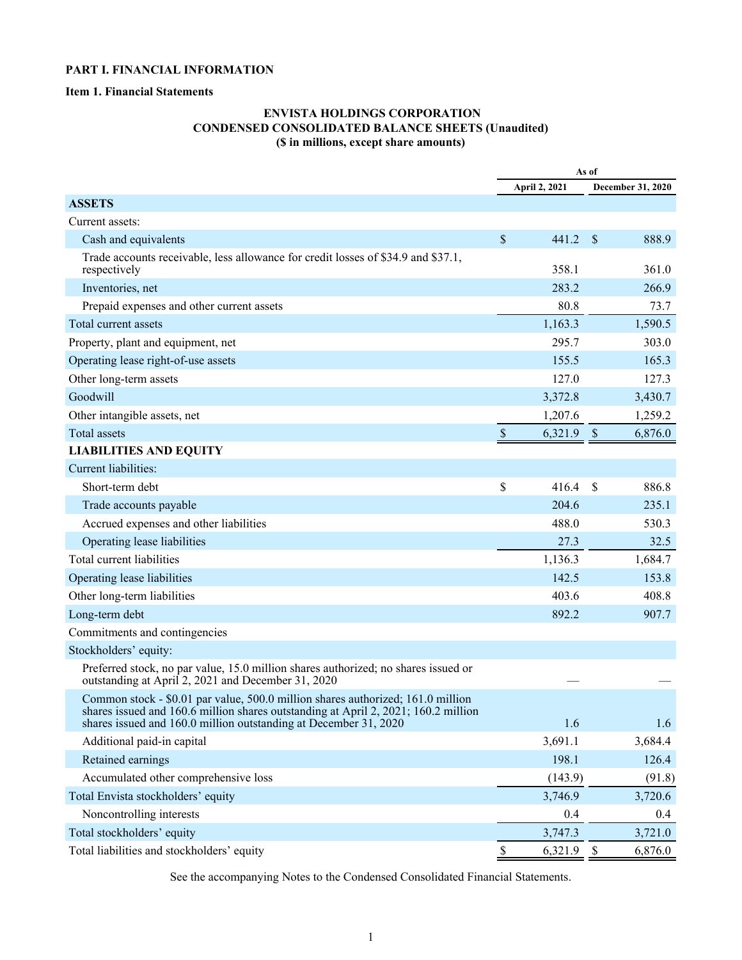## <span id="page-3-0"></span>**PART I. FINANCIAL INFORMATION**

#### **Item 1. Financial Statements**

# **ENVISTA HOLDINGS CORPORATION CONDENSED CONSOLIDATED BALANCE SHEETS (Unaudited) (\$ in millions, except share amounts)**

|                                                                                                                                                                                                                                           |               | As of         |               |                   |
|-------------------------------------------------------------------------------------------------------------------------------------------------------------------------------------------------------------------------------------------|---------------|---------------|---------------|-------------------|
|                                                                                                                                                                                                                                           |               | April 2, 2021 |               | December 31, 2020 |
| <b>ASSETS</b>                                                                                                                                                                                                                             |               |               |               |                   |
| Current assets:                                                                                                                                                                                                                           |               |               |               |                   |
| Cash and equivalents                                                                                                                                                                                                                      | \$            | 441.2         | <sup>S</sup>  | 888.9             |
| Trade accounts receivable, less allowance for credit losses of \$34.9 and \$37.1,<br>respectively                                                                                                                                         |               | 358.1         |               | 361.0             |
| Inventories, net                                                                                                                                                                                                                          |               | 283.2         |               | 266.9             |
| Prepaid expenses and other current assets                                                                                                                                                                                                 |               | 80.8          |               | 73.7              |
| Total current assets                                                                                                                                                                                                                      |               | 1,163.3       |               | 1,590.5           |
| Property, plant and equipment, net                                                                                                                                                                                                        |               | 295.7         |               | 303.0             |
| Operating lease right-of-use assets                                                                                                                                                                                                       |               | 155.5         |               | 165.3             |
| Other long-term assets                                                                                                                                                                                                                    |               | 127.0         |               | 127.3             |
| Goodwill                                                                                                                                                                                                                                  |               | 3,372.8       |               | 3,430.7           |
| Other intangible assets, net                                                                                                                                                                                                              |               | 1,207.6       |               | 1,259.2           |
| <b>Total assets</b>                                                                                                                                                                                                                       | <sup>\$</sup> | 6,321.9       | $\mathcal{S}$ | 6,876.0           |
| <b>LIABILITIES AND EQUITY</b>                                                                                                                                                                                                             |               |               |               |                   |
| Current liabilities:                                                                                                                                                                                                                      |               |               |               |                   |
| Short-term debt                                                                                                                                                                                                                           | \$            | 416.4         | <sup>\$</sup> | 886.8             |
| Trade accounts payable                                                                                                                                                                                                                    |               | 204.6         |               | 235.1             |
| Accrued expenses and other liabilities                                                                                                                                                                                                    |               | 488.0         |               | 530.3             |
| Operating lease liabilities                                                                                                                                                                                                               |               | 27.3          |               | 32.5              |
| Total current liabilities                                                                                                                                                                                                                 |               | 1,136.3       |               | 1,684.7           |
| Operating lease liabilities                                                                                                                                                                                                               |               | 142.5         |               | 153.8             |
| Other long-term liabilities                                                                                                                                                                                                               |               | 403.6         |               | 408.8             |
| Long-term debt                                                                                                                                                                                                                            |               | 892.2         |               | 907.7             |
| Commitments and contingencies                                                                                                                                                                                                             |               |               |               |                   |
| Stockholders' equity:                                                                                                                                                                                                                     |               |               |               |                   |
| Preferred stock, no par value, 15.0 million shares authorized; no shares issued or<br>outstanding at April 2, 2021 and December 31, 2020                                                                                                  |               |               |               |                   |
| Common stock - \$0.01 par value, 500.0 million shares authorized; 161.0 million<br>shares issued and 160.6 million shares outstanding at April 2, 2021; 160.2 million<br>shares issued and 160.0 million outstanding at December 31, 2020 |               | 1.6           |               | 1.6               |
| Additional paid-in capital                                                                                                                                                                                                                |               | 3,691.1       |               | 3,684.4           |
| Retained earnings                                                                                                                                                                                                                         |               | 198.1         |               | 126.4             |
| Accumulated other comprehensive loss                                                                                                                                                                                                      |               | (143.9)       |               | (91.8)            |
| Total Envista stockholders' equity                                                                                                                                                                                                        |               | 3,746.9       |               | 3,720.6           |
| Noncontrolling interests                                                                                                                                                                                                                  |               | 0.4           |               | 0.4               |
| Total stockholders' equity                                                                                                                                                                                                                |               | 3,747.3       |               | 3,721.0           |
| Total liabilities and stockholders' equity                                                                                                                                                                                                | $\mathbb S$   | 6,321.9       | $\mathbb{S}$  | 6,876.0           |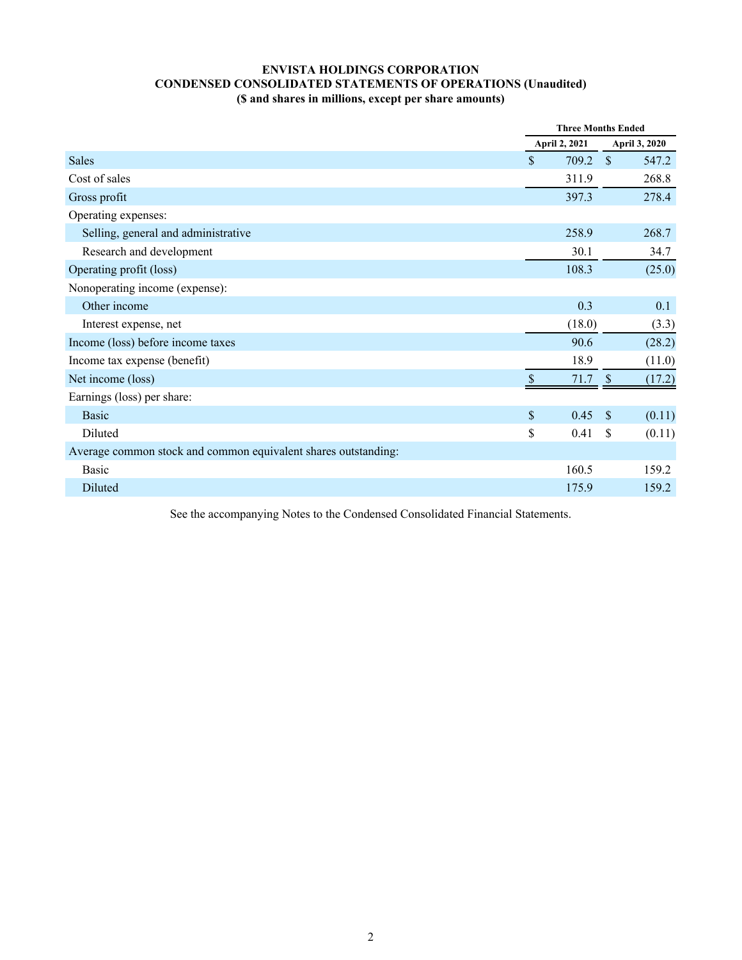# **ENVISTA HOLDINGS CORPORATION CONDENSED CONSOLIDATED STATEMENTS OF OPERATIONS (Unaudited) (\$ and shares in millions, except per share amounts)**

<span id="page-4-0"></span>

|                                                                | <b>Three Months Ended</b> |                      |        |  |
|----------------------------------------------------------------|---------------------------|----------------------|--------|--|
|                                                                | April 2, 2021             | <b>April 3, 2020</b> |        |  |
| <b>Sales</b>                                                   | \$<br>709.2               | $\mathcal{S}$        | 547.2  |  |
| Cost of sales                                                  | 311.9                     |                      | 268.8  |  |
| Gross profit                                                   | 397.3                     |                      | 278.4  |  |
| Operating expenses:                                            |                           |                      |        |  |
| Selling, general and administrative                            | 258.9                     |                      | 268.7  |  |
| Research and development                                       | 30.1                      |                      | 34.7   |  |
| Operating profit (loss)                                        | 108.3                     |                      | (25.0) |  |
| Nonoperating income (expense):                                 |                           |                      |        |  |
| Other income                                                   | 0.3                       |                      | 0.1    |  |
| Interest expense, net                                          | (18.0)                    |                      | (3.3)  |  |
| Income (loss) before income taxes                              | 90.6                      |                      | (28.2) |  |
| Income tax expense (benefit)                                   | 18.9                      |                      | (11.0) |  |
| Net income (loss)                                              | 71.7                      | $\mathcal{S}$        | (17.2) |  |
| Earnings (loss) per share:                                     |                           |                      |        |  |
| <b>Basic</b>                                                   | \$<br>0.45                | $\sqrt{S}$           | (0.11) |  |
| Diluted                                                        | \$<br>0.41                | \$                   | (0.11) |  |
| Average common stock and common equivalent shares outstanding: |                           |                      |        |  |
| Basic                                                          | 160.5                     |                      | 159.2  |  |
| Diluted                                                        | 175.9                     |                      | 159.2  |  |
|                                                                |                           |                      |        |  |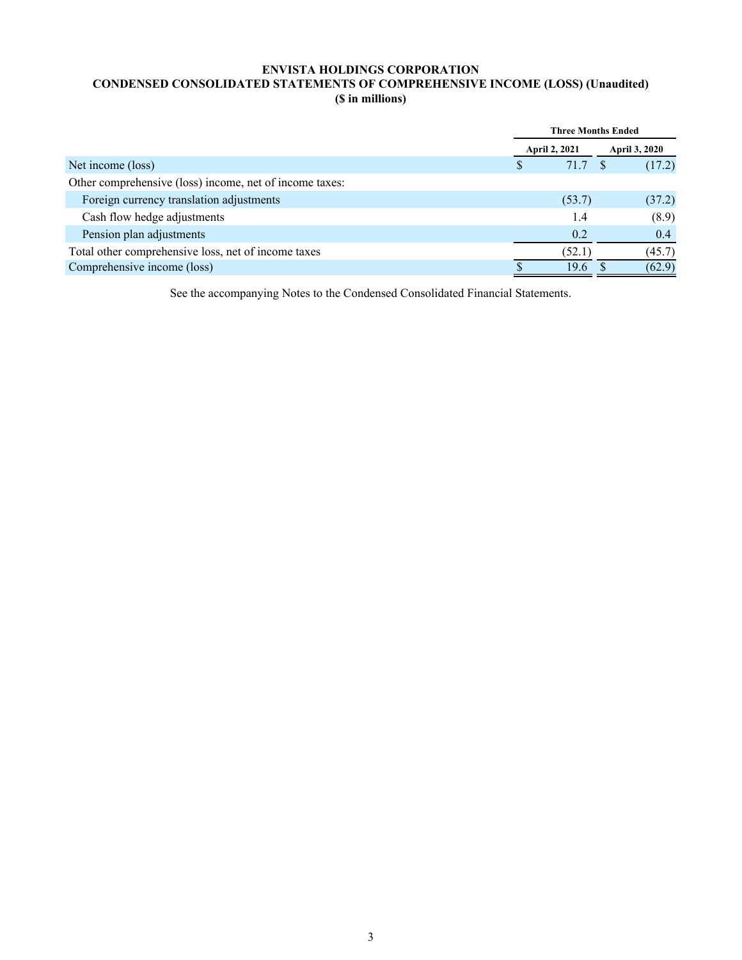# <span id="page-5-0"></span>**ENVISTA HOLDINGS CORPORATION CONDENSED CONSOLIDATED STATEMENTS OF COMPREHENSIVE INCOME (LOSS) (Unaudited) (\$ in millions)**

|                                                         | <b>Three Months Ended</b> |  |                      |
|---------------------------------------------------------|---------------------------|--|----------------------|
|                                                         | <b>April 2, 2021</b>      |  | <b>April 3, 2020</b> |
| Net income (loss)                                       | 71.7                      |  | (17.2)               |
| Other comprehensive (loss) income, net of income taxes: |                           |  |                      |
| Foreign currency translation adjustments                | (53.7)                    |  | (37.2)               |
| Cash flow hedge adjustments                             | 1.4                       |  | (8.9)                |
| Pension plan adjustments                                | 0.2                       |  | 0.4                  |
| Total other comprehensive loss, net of income taxes     | (52.1)                    |  | (45.7)               |
| Comprehensive income (loss)                             | 19.6                      |  | (62.9)               |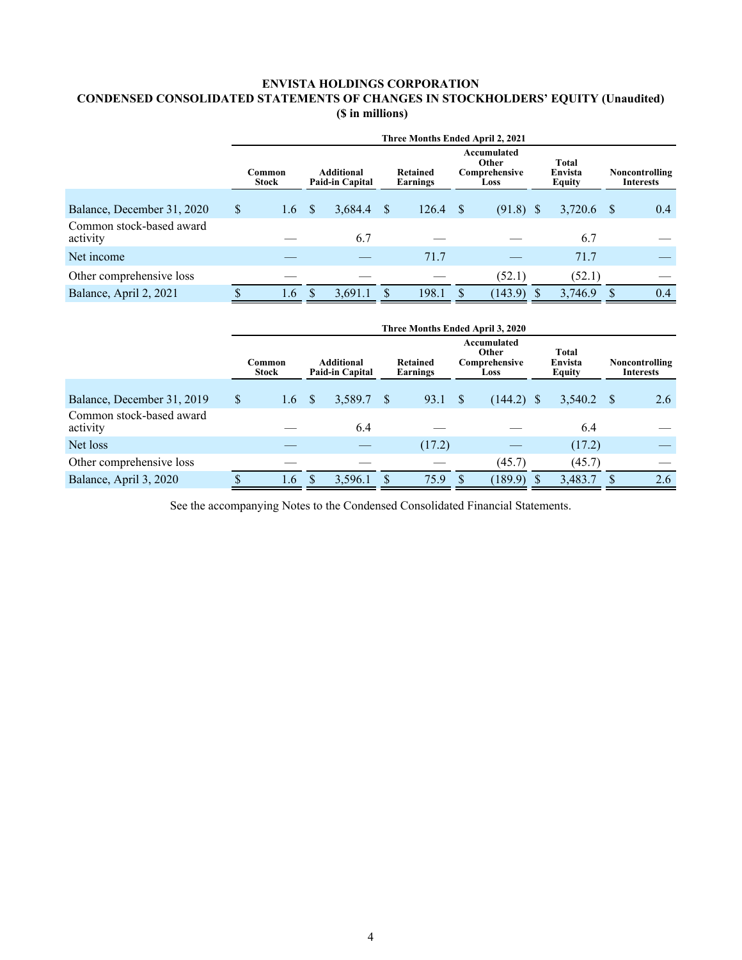# <span id="page-6-0"></span>**ENVISTA HOLDINGS CORPORATION CONDENSED CONSOLIDATED STATEMENTS OF CHANGES IN STOCKHOLDERS' EQUITY (Unaudited) (\$ in millions)**

|                                      | Three Months Ended April 2, 2021 |                                                         |    |         |                                                                              |       |              |                            |  |                                    |    |     |
|--------------------------------------|----------------------------------|---------------------------------------------------------|----|---------|------------------------------------------------------------------------------|-------|--------------|----------------------------|--|------------------------------------|----|-----|
|                                      |                                  | Additional<br>Common<br>Paid-in Capital<br><b>Stock</b> |    |         | Accumulated<br>Other<br><b>Retained</b><br>Comprehensive<br>Earnings<br>Loss |       |              | Total<br>Envista<br>Equity |  | Noncontrolling<br><b>Interests</b> |    |     |
| Balance, December 31, 2020           | $\mathbf{s}$                     | 1.6                                                     | -S | 3,684.4 | <sup>S</sup>                                                                 | 126.4 | <sup>S</sup> | $(91.8)$ \$                |  | 3,720.6                            | S. | 0.4 |
| Common stock-based award<br>activity |                                  |                                                         |    | 6.7     |                                                                              |       |              |                            |  | 6.7                                |    |     |
| Net income                           |                                  |                                                         |    |         |                                                                              | 71.7  |              |                            |  | 71.7                               |    |     |
| Other comprehensive loss             |                                  |                                                         |    |         |                                                                              |       |              | (52.1)                     |  | (52.1)                             |    |     |
| Balance, April 2, 2021               |                                  | 1.6                                                     |    | 3,691.1 |                                                                              | 198.1 | S            | (143.9)                    |  | 3,746.9                            |    | 0.4 |

|                                      | Three Months Ended April 3, 2020 |     |                                      |         |                             |        |                                               |              |                                   |              |                                    |     |
|--------------------------------------|----------------------------------|-----|--------------------------------------|---------|-----------------------------|--------|-----------------------------------------------|--------------|-----------------------------------|--------------|------------------------------------|-----|
|                                      | Common<br><b>Stock</b>           |     | Additional<br><b>Paid-in Capital</b> |         | <b>Retained</b><br>Earnings |        | Accumulated<br>Other<br>Comprehensive<br>Loss |              | Total<br>Envista<br><b>Equity</b> |              | Noncontrolling<br><b>Interests</b> |     |
| Balance, December 31, 2019           | \$                               | 1.6 | -S                                   | 3,589.7 | <sup>S</sup>                | 93.1   | <sup>S</sup>                                  | $(144.2)$ \$ |                                   | $3,540.2$ \$ |                                    | 2.6 |
| Common stock-based award<br>activity |                                  |     |                                      | 6.4     |                             |        |                                               |              |                                   | 6.4          |                                    |     |
| Net loss                             |                                  |     |                                      |         |                             | (17.2) |                                               |              |                                   | (17.2)       |                                    |     |
| Other comprehensive loss             |                                  |     |                                      |         |                             |        |                                               | (45.7)       |                                   | (45.7)       |                                    |     |
| Balance, April 3, 2020               |                                  | 1.6 |                                      | 3,596.1 |                             | 75.9   | \$.                                           | (189.9)      |                                   | 3,483.7      |                                    | 2.6 |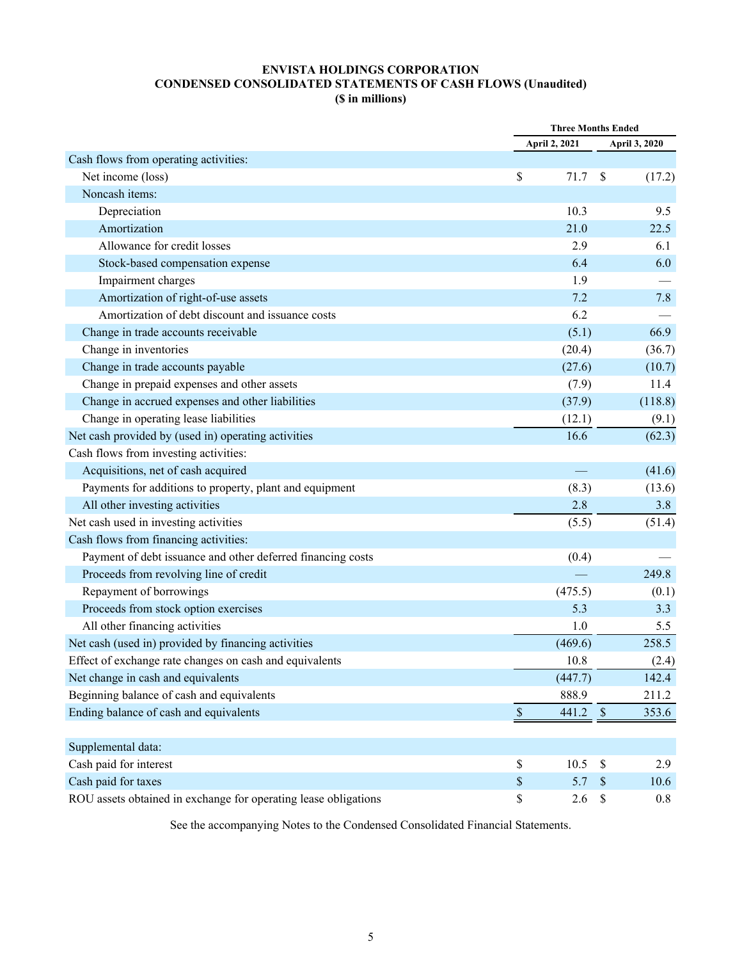# **ENVISTA HOLDINGS CORPORATION CONDENSED CONSOLIDATED STATEMENTS OF CASH FLOWS (Unaudited) (\$ in millions)**

<span id="page-7-0"></span>

|                                                                 |                           | <b>Three Months Ended</b> |                           |               |
|-----------------------------------------------------------------|---------------------------|---------------------------|---------------------------|---------------|
|                                                                 |                           | April 2, 2021             |                           | April 3, 2020 |
| Cash flows from operating activities:                           |                           |                           |                           |               |
| Net income (loss)                                               | \$                        | 71.7                      | <sup>\$</sup>             | (17.2)        |
| Noncash items:                                                  |                           |                           |                           |               |
| Depreciation                                                    |                           | 10.3                      |                           | 9.5           |
| Amortization                                                    |                           | 21.0                      |                           | 22.5          |
| Allowance for credit losses                                     |                           | 2.9                       |                           | 6.1           |
| Stock-based compensation expense                                |                           | 6.4                       |                           | 6.0           |
| Impairment charges                                              |                           | 1.9                       |                           |               |
| Amortization of right-of-use assets                             |                           | 7.2                       |                           | 7.8           |
| Amortization of debt discount and issuance costs                |                           | 6.2                       |                           |               |
| Change in trade accounts receivable                             |                           | (5.1)                     |                           | 66.9          |
| Change in inventories                                           |                           | (20.4)                    |                           | (36.7)        |
| Change in trade accounts payable                                |                           | (27.6)                    |                           | (10.7)        |
| Change in prepaid expenses and other assets                     |                           | (7.9)                     |                           | 11.4          |
| Change in accrued expenses and other liabilities                |                           | (37.9)                    |                           | (118.8)       |
| Change in operating lease liabilities                           |                           | (12.1)                    |                           | (9.1)         |
| Net cash provided by (used in) operating activities             |                           | 16.6                      |                           | (62.3)        |
| Cash flows from investing activities:                           |                           |                           |                           |               |
| Acquisitions, net of cash acquired                              |                           |                           |                           | (41.6)        |
| Payments for additions to property, plant and equipment         |                           | (8.3)                     |                           | (13.6)        |
| All other investing activities                                  |                           | 2.8                       |                           | 3.8           |
| Net cash used in investing activities                           |                           | (5.5)                     |                           | (51.4)        |
| Cash flows from financing activities:                           |                           |                           |                           |               |
| Payment of debt issuance and other deferred financing costs     |                           | (0.4)                     |                           |               |
| Proceeds from revolving line of credit                          |                           |                           |                           | 249.8         |
| Repayment of borrowings                                         |                           | (475.5)                   |                           | (0.1)         |
| Proceeds from stock option exercises                            |                           | 5.3                       |                           | 3.3           |
| All other financing activities                                  |                           | 1.0                       |                           | 5.5           |
| Net cash (used in) provided by financing activities             |                           | (469.6)                   |                           | 258.5         |
| Effect of exchange rate changes on cash and equivalents         |                           | 10.8                      |                           | (2.4)         |
| Net change in cash and equivalents                              |                           | (447.7)                   |                           | 142.4         |
| Beginning balance of cash and equivalents                       |                           | 888.9                     |                           | 211.2         |
| Ending balance of cash and equivalents                          | $\boldsymbol{\mathsf{S}}$ | 441.2                     | $\mathcal{S}$             | 353.6         |
| Supplemental data:                                              |                           |                           |                           |               |
| Cash paid for interest                                          | \$                        | 10.5                      | $\mathbb{S}$              | 2.9           |
| Cash paid for taxes                                             | \$                        | 5.7                       | $\boldsymbol{\mathsf{S}}$ | 10.6          |
| ROU assets obtained in exchange for operating lease obligations | \$                        | 2.6                       | \$                        | 0.8           |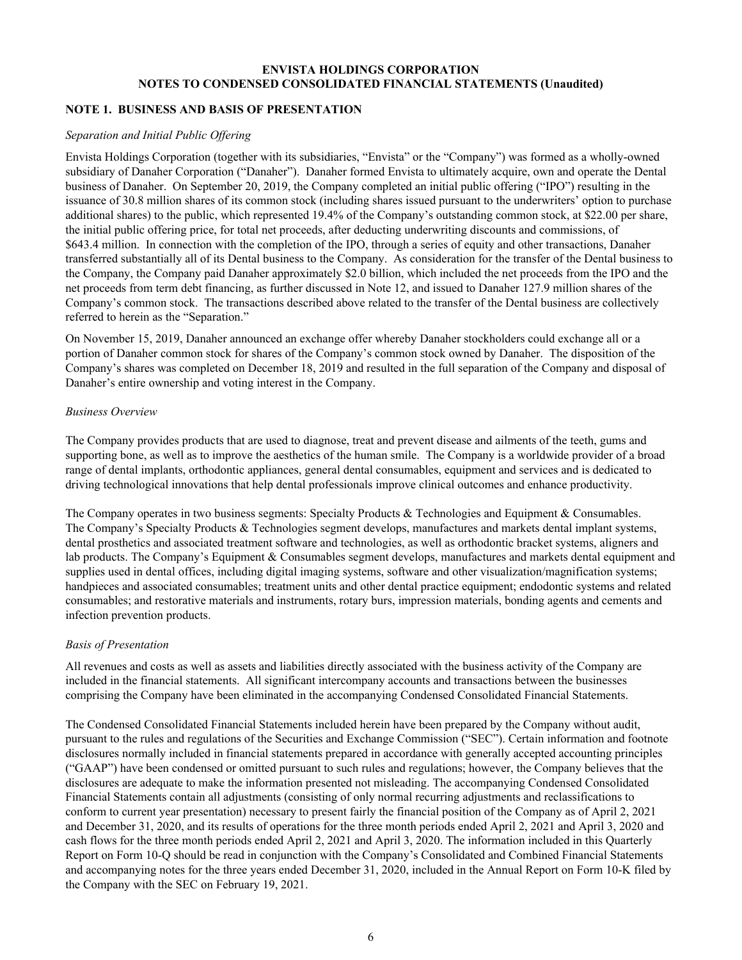## **ENVISTA HOLDINGS CORPORATION NOTES TO CONDENSED CONSOLIDATED FINANCIAL STATEMENTS (Unaudited)**

# <span id="page-8-0"></span>**NOTE 1. BUSINESS AND BASIS OF PRESENTATION**

#### *Separation and Initial Public Offering*

Envista Holdings Corporation (together with its subsidiaries, "Envista" or the "Company") was formed as a wholly-owned subsidiary of Danaher Corporation ("Danaher"). Danaher formed Envista to ultimately acquire, own and operate the Dental business of Danaher. On September 20, 2019, the Company completed an initial public offering ("IPO") resulting in the issuance of 30.8 million shares of its common stock (including shares issued pursuant to the underwriters' option to purchase additional shares) to the public, which represented 19.4% of the Company's outstanding common stock, at \$22.00 per share, the initial public offering price, for total net proceeds, after deducting underwriting discounts and commissions, of \$643.4 million. In connection with the completion of the IPO, through a series of equity and other transactions, Danaher transferred substantially all of its Dental business to the Company. As consideration for the transfer of the Dental business to the Company, the Company paid Danaher approximately \$2.0 billion, which included the net proceeds from the IPO and the net proceeds from term debt financing, as further discussed in Note 12, and issued to Danaher 127.9 million shares of the Company's common stock. The transactions described above related to the transfer of the Dental business are collectively referred to herein as the "Separation."

On November 15, 2019, Danaher announced an exchange offer whereby Danaher stockholders could exchange all or a portion of Danaher common stock for shares of the Company's common stock owned by Danaher. The disposition of the Company's shares was completed on December 18, 2019 and resulted in the full separation of the Company and disposal of Danaher's entire ownership and voting interest in the Company.

## *Business Overview*

The Company provides products that are used to diagnose, treat and prevent disease and ailments of the teeth, gums and supporting bone, as well as to improve the aesthetics of the human smile. The Company is a worldwide provider of a broad range of dental implants, orthodontic appliances, general dental consumables, equipment and services and is dedicated to driving technological innovations that help dental professionals improve clinical outcomes and enhance productivity.

The Company operates in two business segments: Specialty Products & Technologies and Equipment & Consumables. The Company's Specialty Products & Technologies segment develops, manufactures and markets dental implant systems, dental prosthetics and associated treatment software and technologies, as well as orthodontic bracket systems, aligners and lab products. The Company's Equipment & Consumables segment develops, manufactures and markets dental equipment and supplies used in dental offices, including digital imaging systems, software and other visualization/magnification systems; handpieces and associated consumables; treatment units and other dental practice equipment; endodontic systems and related consumables; and restorative materials and instruments, rotary burs, impression materials, bonding agents and cements and infection prevention products.

## *Basis of Presentation*

All revenues and costs as well as assets and liabilities directly associated with the business activity of the Company are included in the financial statements. All significant intercompany accounts and transactions between the businesses comprising the Company have been eliminated in the accompanying Condensed Consolidated Financial Statements.

The Condensed Consolidated Financial Statements included herein have been prepared by the Company without audit, pursuant to the rules and regulations of the Securities and Exchange Commission ("SEC"). Certain information and footnote disclosures normally included in financial statements prepared in accordance with generally accepted accounting principles ("GAAP") have been condensed or omitted pursuant to such rules and regulations; however, the Company believes that the disclosures are adequate to make the information presented not misleading. The accompanying Condensed Consolidated Financial Statements contain all adjustments (consisting of only normal recurring adjustments and reclassifications to conform to current year presentation) necessary to present fairly the financial position of the Company as of April 2, 2021 and December 31, 2020, and its results of operations for the three month periods ended April 2, 2021 and April 3, 2020 and cash flows for the three month periods ended April 2, 2021 and April 3, 2020. The information included in this Quarterly Report on Form 10-Q should be read in conjunction with the Company's Consolidated and Combined Financial Statements and accompanying notes for the three years ended December 31, 2020, included in the Annual Report on Form 10-K filed by the Company with the SEC on February 19, 2021.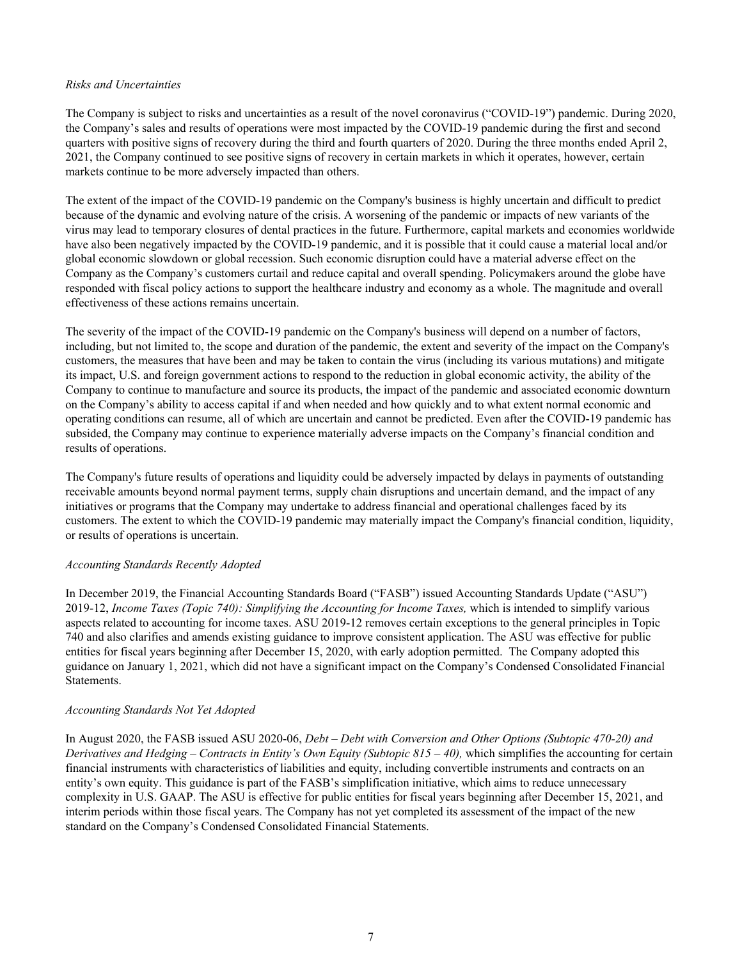#### *Risks and Uncertainties*

The Company is subject to risks and uncertainties as a result of the novel coronavirus ("COVID-19") pandemic. During 2020, the Company's sales and results of operations were most impacted by the COVID-19 pandemic during the first and second quarters with positive signs of recovery during the third and fourth quarters of 2020. During the three months ended April 2, 2021, the Company continued to see positive signs of recovery in certain markets in which it operates, however, certain markets continue to be more adversely impacted than others.

The extent of the impact of the COVID-19 pandemic on the Company's business is highly uncertain and difficult to predict because of the dynamic and evolving nature of the crisis. A worsening of the pandemic or impacts of new variants of the virus may lead to temporary closures of dental practices in the future. Furthermore, capital markets and economies worldwide have also been negatively impacted by the COVID-19 pandemic, and it is possible that it could cause a material local and/or global economic slowdown or global recession. Such economic disruption could have a material adverse effect on the Company as the Company's customers curtail and reduce capital and overall spending. Policymakers around the globe have responded with fiscal policy actions to support the healthcare industry and economy as a whole. The magnitude and overall effectiveness of these actions remains uncertain.

The severity of the impact of the COVID-19 pandemic on the Company's business will depend on a number of factors, including, but not limited to, the scope and duration of the pandemic, the extent and severity of the impact on the Company's customers, the measures that have been and may be taken to contain the virus (including its various mutations) and mitigate its impact, U.S. and foreign government actions to respond to the reduction in global economic activity, the ability of the Company to continue to manufacture and source its products, the impact of the pandemic and associated economic downturn on the Company's ability to access capital if and when needed and how quickly and to what extent normal economic and operating conditions can resume, all of which are uncertain and cannot be predicted. Even after the COVID-19 pandemic has subsided, the Company may continue to experience materially adverse impacts on the Company's financial condition and results of operations.

The Company's future results of operations and liquidity could be adversely impacted by delays in payments of outstanding receivable amounts beyond normal payment terms, supply chain disruptions and uncertain demand, and the impact of any initiatives or programs that the Company may undertake to address financial and operational challenges faced by its customers. The extent to which the COVID-19 pandemic may materially impact the Company's financial condition, liquidity, or results of operations is uncertain.

## *Accounting Standards Recently Adopted*

In December 2019, the Financial Accounting Standards Board ("FASB") issued Accounting Standards Update ("ASU") 2019-12, *Income Taxes (Topic 740): Simplifying the Accounting for Income Taxes,* which is intended to simplify various aspects related to accounting for income taxes. ASU 2019-12 removes certain exceptions to the general principles in Topic 740 and also clarifies and amends existing guidance to improve consistent application. The ASU was effective for public entities for fiscal years beginning after December 15, 2020, with early adoption permitted. The Company adopted this guidance on January 1, 2021, which did not have a significant impact on the Company's Condensed Consolidated Financial Statements.

## *Accounting Standards Not Yet Adopted*

In August 2020, the FASB issued ASU 2020-06, *Debt – Debt with Conversion and Other Options (Subtopic 470-20) and Derivatives and Hedging – Contracts in Entity's Own Equity (Subtopic 815 – 40),* which simplifies the accounting for certain financial instruments with characteristics of liabilities and equity, including convertible instruments and contracts on an entity's own equity. This guidance is part of the FASB's simplification initiative, which aims to reduce unnecessary complexity in U.S. GAAP. The ASU is effective for public entities for fiscal years beginning after December 15, 2021, and interim periods within those fiscal years. The Company has not yet completed its assessment of the impact of the new standard on the Company's Condensed Consolidated Financial Statements.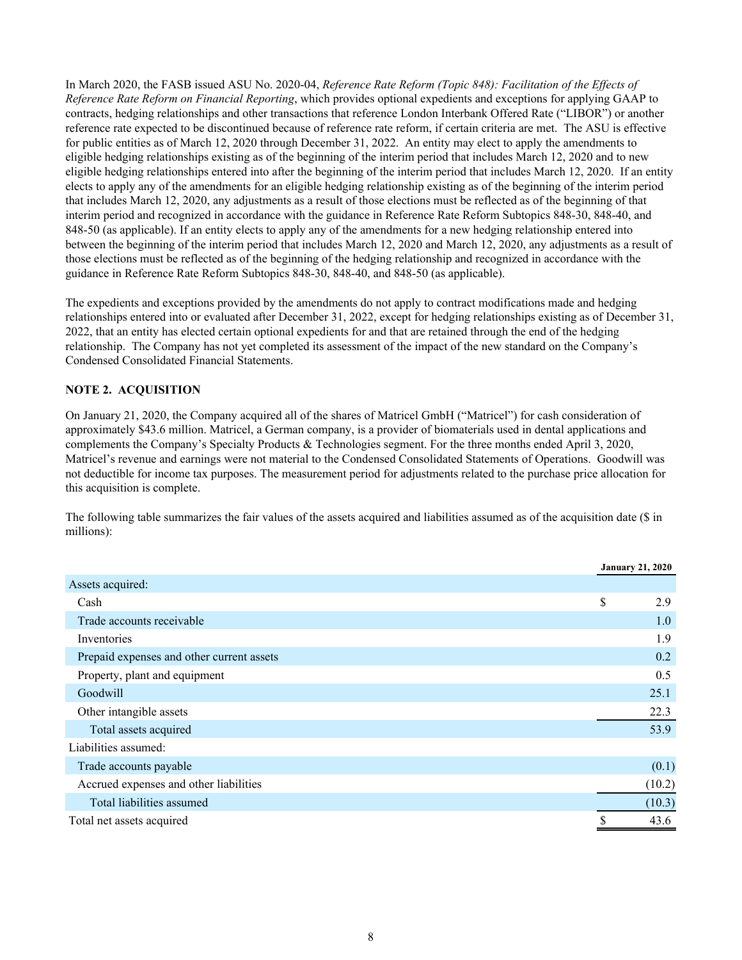In March 2020, the FASB issued ASU No. 2020-04, *Reference Rate Reform (Topic 848): Facilitation of the Effects of Reference Rate Reform on Financial Reporting*, which provides optional expedients and exceptions for applying GAAP to contracts, hedging relationships and other transactions that reference London Interbank Offered Rate ("LIBOR") or another reference rate expected to be discontinued because of reference rate reform, if certain criteria are met. The ASU is effective for public entities as of March 12, 2020 through December 31, 2022. An entity may elect to apply the amendments to eligible hedging relationships existing as of the beginning of the interim period that includes March 12, 2020 and to new eligible hedging relationships entered into after the beginning of the interim period that includes March 12, 2020. If an entity elects to apply any of the amendments for an eligible hedging relationship existing as of the beginning of the interim period that includes March 12, 2020, any adjustments as a result of those elections must be reflected as of the beginning of that interim period and recognized in accordance with the guidance in Reference Rate Reform Subtopics 848-30, 848-40, and 848-50 (as applicable). If an entity elects to apply any of the amendments for a new hedging relationship entered into between the beginning of the interim period that includes March 12, 2020 and March 12, 2020, any adjustments as a result of those elections must be reflected as of the beginning of the hedging relationship and recognized in accordance with the guidance in Reference Rate Reform Subtopics 848-30, 848-40, and 848-50 (as applicable).

The expedients and exceptions provided by the amendments do not apply to contract modifications made and hedging relationships entered into or evaluated after December 31, 2022, except for hedging relationships existing as of December 31, 2022, that an entity has elected certain optional expedients for and that are retained through the end of the hedging relationship. The Company has not yet completed its assessment of the impact of the new standard on the Company's Condensed Consolidated Financial Statements.

# **NOTE 2. ACQUISITION**

On January 21, 2020, the Company acquired all of the shares of Matricel GmbH ("Matricel") for cash consideration of approximately \$43.6 million. Matricel, a German company, is a provider of biomaterials used in dental applications and complements the Company's Specialty Products & Technologies segment. For the three months ended April 3, 2020, Matricel's revenue and earnings were not material to the Condensed Consolidated Statements of Operations. Goodwill was not deductible for income tax purposes. The measurement period for adjustments related to the purchase price allocation for this acquisition is complete.

The following table summarizes the fair values of the assets acquired and liabilities assumed as of the acquisition date (\$ in millions):

|                                           | <b>January 21, 2020</b> |
|-------------------------------------------|-------------------------|
| Assets acquired:                          |                         |
| Cash                                      | \$<br>2.9               |
| Trade accounts receivable                 | 1.0                     |
| Inventories                               | 1.9                     |
| Prepaid expenses and other current assets | 0.2                     |
| Property, plant and equipment             | 0.5                     |
| Goodwill                                  | 25.1                    |
| Other intangible assets                   | 22.3                    |
| Total assets acquired                     | 53.9                    |
| Liabilities assumed:                      |                         |
| Trade accounts payable                    | (0.1)                   |
| Accrued expenses and other liabilities    | (10.2)                  |
| Total liabilities assumed                 | (10.3)                  |
| Total net assets acquired                 | \$<br>43.6              |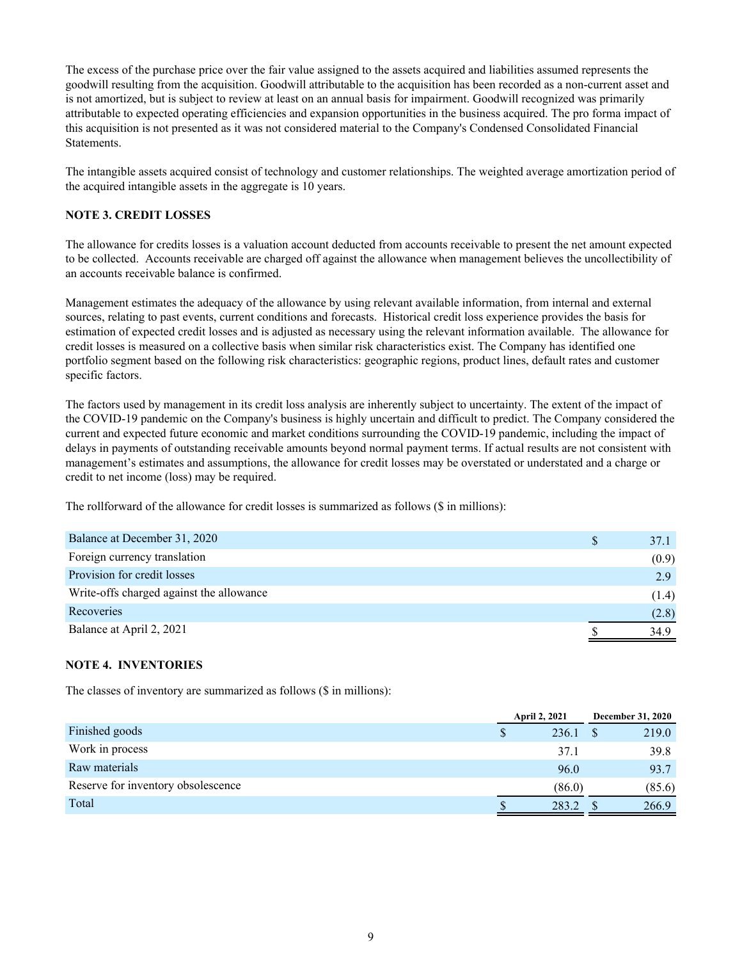The excess of the purchase price over the fair value assigned to the assets acquired and liabilities assumed represents the goodwill resulting from the acquisition. Goodwill attributable to the acquisition has been recorded as a non-current asset and is not amortized, but is subject to review at least on an annual basis for impairment. Goodwill recognized was primarily attributable to expected operating efficiencies and expansion opportunities in the business acquired. The pro forma impact of this acquisition is not presented as it was not considered material to the Company's Condensed Consolidated Financial Statements.

The intangible assets acquired consist of technology and customer relationships. The weighted average amortization period of the acquired intangible assets in the aggregate is 10 years.

## **NOTE 3. CREDIT LOSSES**

The allowance for credits losses is a valuation account deducted from accounts receivable to present the net amount expected to be collected. Accounts receivable are charged off against the allowance when management believes the uncollectibility of an accounts receivable balance is confirmed.

Management estimates the adequacy of the allowance by using relevant available information, from internal and external sources, relating to past events, current conditions and forecasts. Historical credit loss experience provides the basis for estimation of expected credit losses and is adjusted as necessary using the relevant information available. The allowance for credit losses is measured on a collective basis when similar risk characteristics exist. The Company has identified one portfolio segment based on the following risk characteristics: geographic regions, product lines, default rates and customer specific factors.

The factors used by management in its credit loss analysis are inherently subject to uncertainty. The extent of the impact of the COVID-19 pandemic on the Company's business is highly uncertain and difficult to predict. The Company considered the current and expected future economic and market conditions surrounding the COVID-19 pandemic, including the impact of delays in payments of outstanding receivable amounts beyond normal payment terms. If actual results are not consistent with management's estimates and assumptions, the allowance for credit losses may be overstated or understated and a charge or credit to net income (loss) may be required.

The rollforward of the allowance for credit losses is summarized as follows (\$ in millions):

| Balance at December 31, 2020             | S | 37.1  |
|------------------------------------------|---|-------|
| Foreign currency translation             |   | (0.9) |
| Provision for credit losses              |   | 2.9   |
| Write-offs charged against the allowance |   | (1.4) |
| Recoveries                               |   | (2.8) |
| Balance at April 2, 2021                 |   | 34.9  |

## **NOTE 4. INVENTORIES**

The classes of inventory are summarized as follows (\$ in millions):

|                                    | <b>April 2, 2021</b> |        | <b>December 31, 2020</b> |        |  |
|------------------------------------|----------------------|--------|--------------------------|--------|--|
| Finished goods                     | S                    | 236.1  |                          | 219.0  |  |
| Work in process                    |                      | 37.1   |                          | 39.8   |  |
| Raw materials                      |                      | 96.0   |                          | 93.7   |  |
| Reserve for inventory obsolescence |                      | (86.0) |                          | (85.6) |  |
| Total                              |                      | 283.2  |                          | 266.9  |  |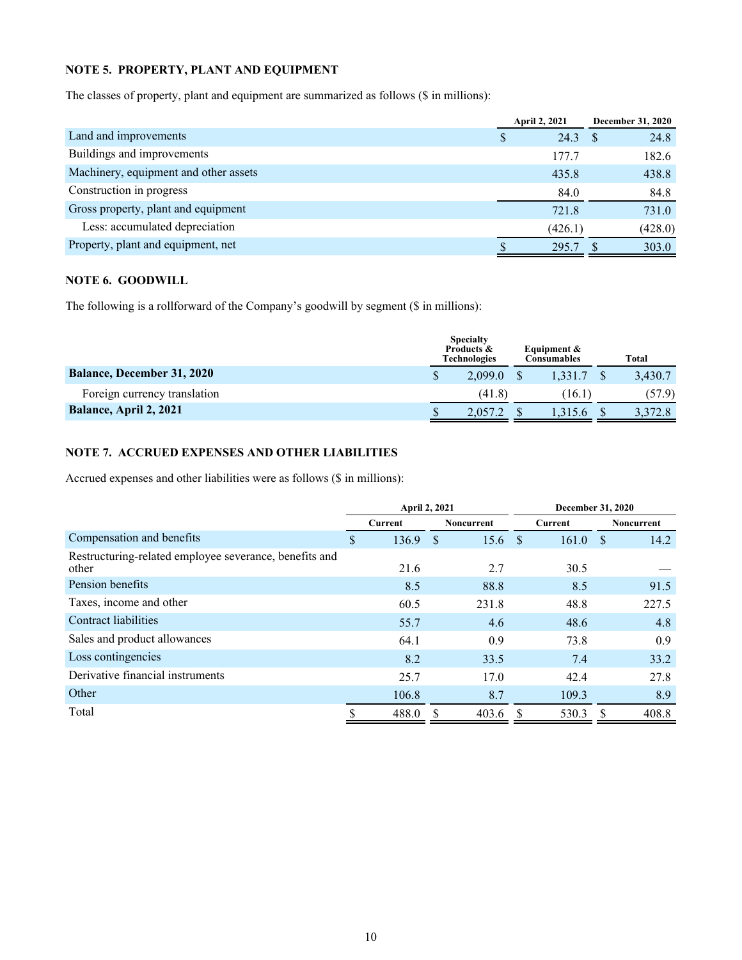# **NOTE 5. PROPERTY, PLANT AND EQUIPMENT**

The classes of property, plant and equipment are summarized as follows (\$ in millions):

|                                       | <b>April 2, 2021</b> | <b>December 31, 2020</b> |
|---------------------------------------|----------------------|--------------------------|
| Land and improvements                 | 24.3<br>\$           | 24.8                     |
| Buildings and improvements            | 177.7                | 182.6                    |
| Machinery, equipment and other assets | 435.8                | 438.8                    |
| Construction in progress              | 84.0                 | 84.8                     |
| Gross property, plant and equipment   | 721.8                | 731.0                    |
| Less: accumulated depreciation        | (426.1)              | (428.0)                  |
| Property, plant and equipment, net    | 295.7                | 303.0                    |

# **NOTE 6. GOODWILL**

The following is a rollforward of the Company's goodwill by segment (\$ in millions):

|                                   | <b>Specialty</b><br>Products &<br><b>Technologies</b> | Equipment $\&$<br>Consumables |         |  | Total   |
|-----------------------------------|-------------------------------------------------------|-------------------------------|---------|--|---------|
| <b>Balance, December 31, 2020</b> | 2.099.0                                               |                               | 1.331.7 |  | 3,430.7 |
| Foreign currency translation      | (41.8)                                                |                               | (16.1)  |  | (57.9)  |
| <b>Balance, April 2, 2021</b>     | 2.057.2                                               |                               | .315.6  |  | 3.372.8 |

# **NOTE 7. ACCRUED EXPENSES AND OTHER LIABILITIES**

Accrued expenses and other liabilities were as follows (\$ in millions):

|                                                                 | April 2, 2021 |         |               |            |    | <b>December 31, 2020</b> |      |            |
|-----------------------------------------------------------------|---------------|---------|---------------|------------|----|--------------------------|------|------------|
|                                                                 |               | Current |               | Noncurrent |    | Current                  |      | Noncurrent |
| Compensation and benefits                                       | S             | 136.9   | <sup>\$</sup> | 15.6       | -S | 161.0                    | - \$ | 14.2       |
| Restructuring-related employee severance, benefits and<br>other |               | 21.6    |               | 2.7        |    | 30.5                     |      |            |
| Pension benefits                                                |               | 8.5     |               | 88.8       |    | 8.5                      |      | 91.5       |
| Taxes, income and other                                         |               | 60.5    |               | 231.8      |    | 48.8                     |      | 227.5      |
| Contract liabilities                                            |               | 55.7    |               | 4.6        |    | 48.6                     |      | 4.8        |
| Sales and product allowances                                    |               | 64.1    |               | 0.9        |    | 73.8                     |      | 0.9        |
| Loss contingencies                                              |               | 8.2     |               | 33.5       |    | 7.4                      |      | 33.2       |
| Derivative financial instruments                                |               | 25.7    |               | 17.0       |    | 42.4                     |      | 27.8       |
| Other                                                           |               | 106.8   |               | 8.7        |    | 109.3                    |      | 8.9        |
| Total                                                           |               | 488.0   | S             | 403.6      | -S | 530.3                    | \$.  | 408.8      |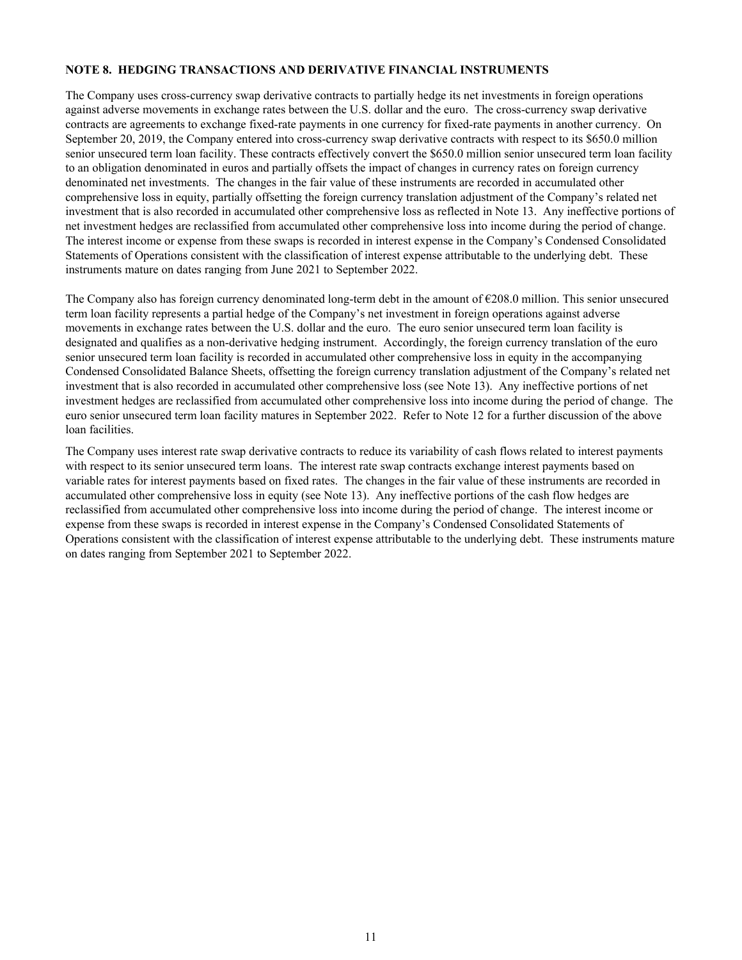## **NOTE 8. HEDGING TRANSACTIONS AND DERIVATIVE FINANCIAL INSTRUMENTS**

The Company uses cross-currency swap derivative contracts to partially hedge its net investments in foreign operations against adverse movements in exchange rates between the U.S. dollar and the euro. The cross-currency swap derivative contracts are agreements to exchange fixed-rate payments in one currency for fixed-rate payments in another currency. On September 20, 2019, the Company entered into cross-currency swap derivative contracts with respect to its \$650.0 million senior unsecured term loan facility. These contracts effectively convert the \$650.0 million senior unsecured term loan facility to an obligation denominated in euros and partially offsets the impact of changes in currency rates on foreign currency denominated net investments. The changes in the fair value of these instruments are recorded in accumulated other comprehensive loss in equity, partially offsetting the foreign currency translation adjustment of the Company's related net investment that is also recorded in accumulated other comprehensive loss as reflected in Note 13. Any ineffective portions of net investment hedges are reclassified from accumulated other comprehensive loss into income during the period of change. The interest income or expense from these swaps is recorded in interest expense in the Company's Condensed Consolidated Statements of Operations consistent with the classification of interest expense attributable to the underlying debt. These instruments mature on dates ranging from June 2021 to September 2022.

The Company also has foreign currency denominated long-term debt in the amount of  $\epsilon$ 208.0 million. This senior unsecured term loan facility represents a partial hedge of the Company's net investment in foreign operations against adverse movements in exchange rates between the U.S. dollar and the euro. The euro senior unsecured term loan facility is designated and qualifies as a non-derivative hedging instrument. Accordingly, the foreign currency translation of the euro senior unsecured term loan facility is recorded in accumulated other comprehensive loss in equity in the accompanying Condensed Consolidated Balance Sheets, offsetting the foreign currency translation adjustment of the Company's related net investment that is also recorded in accumulated other comprehensive loss (see Note 13). Any ineffective portions of net investment hedges are reclassified from accumulated other comprehensive loss into income during the period of change. The euro senior unsecured term loan facility matures in September 2022. Refer to Note 12 for a further discussion of the above loan facilities.

The Company uses interest rate swap derivative contracts to reduce its variability of cash flows related to interest payments with respect to its senior unsecured term loans. The interest rate swap contracts exchange interest payments based on variable rates for interest payments based on fixed rates. The changes in the fair value of these instruments are recorded in accumulated other comprehensive loss in equity (see Note 13). Any ineffective portions of the cash flow hedges are reclassified from accumulated other comprehensive loss into income during the period of change. The interest income or expense from these swaps is recorded in interest expense in the Company's Condensed Consolidated Statements of Operations consistent with the classification of interest expense attributable to the underlying debt. These instruments mature on dates ranging from September 2021 to September 2022.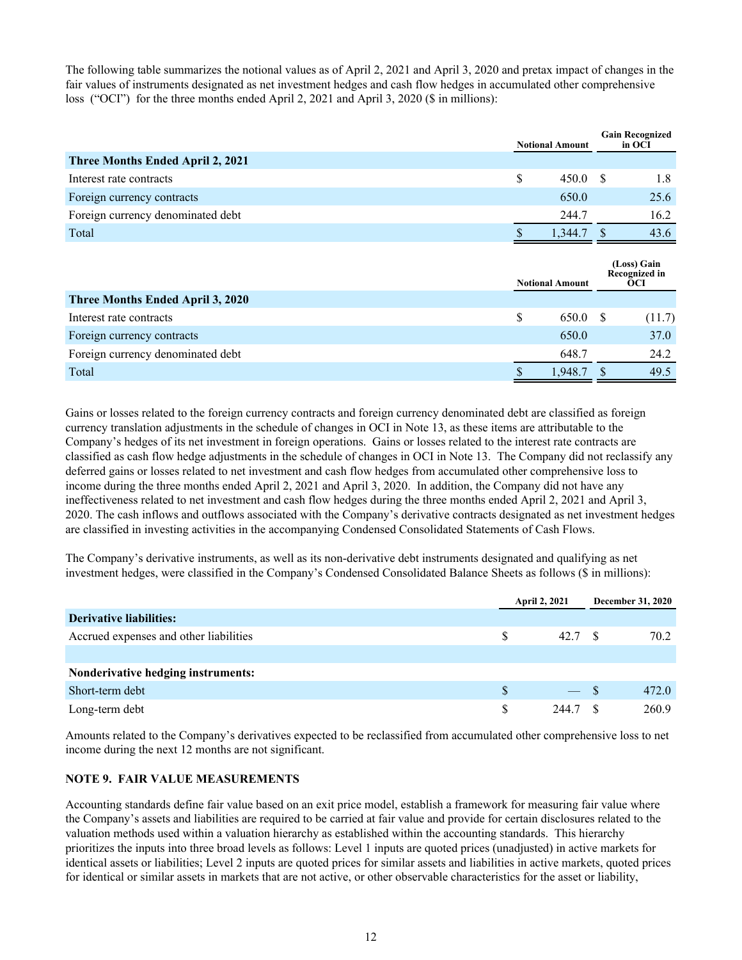The following table summarizes the notional values as of April 2, 2021 and April 3, 2020 and pretax impact of changes in the fair values of instruments designated as net investment hedges and cash flow hedges in accumulated other comprehensive loss ("OCI") for the three months ended April 2, 2021 and April 3, 2020 (\$ in millions):

|                                   | <b>Notional Amount</b> |     | <b>Gain Recognized</b><br>in OCI                  |
|-----------------------------------|------------------------|-----|---------------------------------------------------|
| Three Months Ended April 2, 2021  |                        |     |                                                   |
| Interest rate contracts           | \$<br>450.0            | -\$ | 1.8                                               |
| Foreign currency contracts        | 650.0                  |     | 25.6                                              |
| Foreign currency denominated debt | 244.7                  |     | 16.2                                              |
| Total                             | 1,344.7                |     | 43.6                                              |
|                                   | <b>Notional Amount</b> |     |                                                   |
|                                   |                        |     | (Loss) Gain<br><b>Recognized in</b><br><b>OCI</b> |
| Three Months Ended April 3, 2020  |                        |     |                                                   |
| Interest rate contracts           | \$<br>650.0            | -S  | (11.7)                                            |
| Foreign currency contracts        | 650.0                  |     | 37.0                                              |
| Foreign currency denominated debt | 648.7                  |     | 24.2                                              |

Gains or losses related to the foreign currency contracts and foreign currency denominated debt are classified as foreign currency translation adjustments in the schedule of changes in OCI in Note 13, as these items are attributable to the Company's hedges of its net investment in foreign operations. Gains or losses related to the interest rate contracts are classified as cash flow hedge adjustments in the schedule of changes in OCI in Note 13. The Company did not reclassify any deferred gains or losses related to net investment and cash flow hedges from accumulated other comprehensive loss to income during the three months ended April 2, 2021 and April 3, 2020. In addition, the Company did not have any ineffectiveness related to net investment and cash flow hedges during the three months ended April 2, 2021 and April 3, 2020. The cash inflows and outflows associated with the Company's derivative contracts designated as net investment hedges are classified in investing activities in the accompanying Condensed Consolidated Statements of Cash Flows.

The Company's derivative instruments, as well as its non-derivative debt instruments designated and qualifying as net investment hedges, were classified in the Company's Condensed Consolidated Balance Sheets as follows (\$ in millions):

|                                        |               | <b>April 2, 2021</b> |  | <b>December 31, 2020</b> |
|----------------------------------------|---------------|----------------------|--|--------------------------|
| <b>Derivative liabilities:</b>         |               |                      |  |                          |
| Accrued expenses and other liabilities | \$.           | 42.7 \$              |  | 70.2                     |
|                                        |               |                      |  |                          |
| Nonderivative hedging instruments:     |               |                      |  |                          |
| Short-term debt                        | <sup>S</sup>  | $-$ S                |  | 472.0                    |
| Long-term debt                         | <sup>\$</sup> | 244.7                |  | 260.9                    |

Amounts related to the Company's derivatives expected to be reclassified from accumulated other comprehensive loss to net income during the next 12 months are not significant.

## **NOTE 9. FAIR VALUE MEASUREMENTS**

Accounting standards define fair value based on an exit price model, establish a framework for measuring fair value where the Company's assets and liabilities are required to be carried at fair value and provide for certain disclosures related to the valuation methods used within a valuation hierarchy as established within the accounting standards. This hierarchy prioritizes the inputs into three broad levels as follows: Level 1 inputs are quoted prices (unadjusted) in active markets for identical assets or liabilities; Level 2 inputs are quoted prices for similar assets and liabilities in active markets, quoted prices for identical or similar assets in markets that are not active, or other observable characteristics for the asset or liability,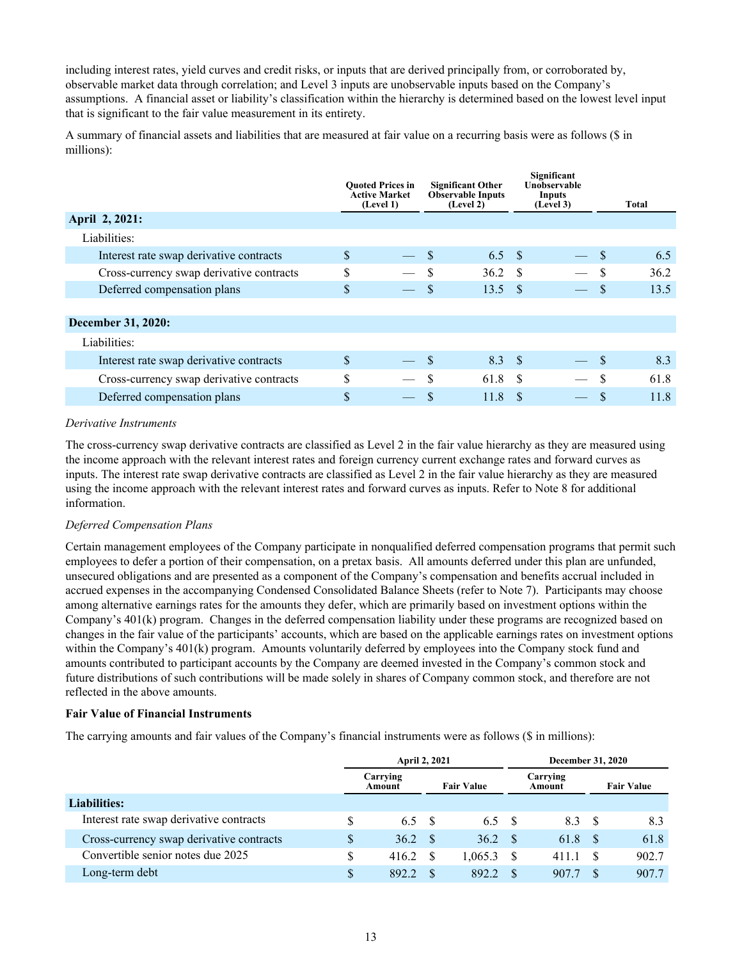including interest rates, yield curves and credit risks, or inputs that are derived principally from, or corroborated by, observable market data through correlation; and Level 3 inputs are unobservable inputs based on the Company's assumptions. A financial asset or liability's classification within the hierarchy is determined based on the lowest level input that is significant to the fair value measurement in its entirety.

A summary of financial assets and liabilities that are measured at fair value on a recurring basis were as follows (\$ in millions):

|                                          | <b>Ouoted Prices in</b><br><b>Active Market</b><br>(Level 1) |  | <b>Significant Other</b><br><b>Observable Inputs</b><br>(Level 2) |      |      | Significant<br>Unobservable<br>Inputs<br>(Level 3) |     | Total |
|------------------------------------------|--------------------------------------------------------------|--|-------------------------------------------------------------------|------|------|----------------------------------------------------|-----|-------|
| April 2, 2021:                           |                                                              |  |                                                                   |      |      |                                                    |     |       |
| Liabilities:                             |                                                              |  |                                                                   |      |      |                                                    |     |       |
| Interest rate swap derivative contracts  | \$                                                           |  | <sup>S</sup>                                                      | 6.5  | - \$ |                                                    |     | 6.5   |
| Cross-currency swap derivative contracts | \$                                                           |  | <sup>\$</sup>                                                     | 36.2 | - \$ |                                                    | S   | 36.2  |
| Deferred compensation plans              | \$                                                           |  | S                                                                 | 13.5 | - \$ |                                                    | S   | 13.5  |
|                                          |                                                              |  |                                                                   |      |      |                                                    |     |       |
| December 31, 2020:                       |                                                              |  |                                                                   |      |      |                                                    |     |       |
| Liabilities:                             |                                                              |  |                                                                   |      |      |                                                    |     |       |
| Interest rate swap derivative contracts  | \$                                                           |  | -S                                                                | 8.3  | - \$ |                                                    |     | 8.3   |
| Cross-currency swap derivative contracts | \$                                                           |  | <b>S</b>                                                          | 61.8 | -S   |                                                    | S   | 61.8  |
| Deferred compensation plans              | \$                                                           |  |                                                                   | 11.8 | -S   |                                                    | \$. | 11.8  |

#### *Derivative Instruments*

The cross-currency swap derivative contracts are classified as Level 2 in the fair value hierarchy as they are measured using the income approach with the relevant interest rates and foreign currency current exchange rates and forward curves as inputs. The interest rate swap derivative contracts are classified as Level 2 in the fair value hierarchy as they are measured using the income approach with the relevant interest rates and forward curves as inputs. Refer to Note 8 for additional information.

## *Deferred Compensation Plans*

Certain management employees of the Company participate in nonqualified deferred compensation programs that permit such employees to defer a portion of their compensation, on a pretax basis. All amounts deferred under this plan are unfunded, unsecured obligations and are presented as a component of the Company's compensation and benefits accrual included in accrued expenses in the accompanying Condensed Consolidated Balance Sheets (refer to Note 7). Participants may choose among alternative earnings rates for the amounts they defer, which are primarily based on investment options within the Company's 401(k) program. Changes in the deferred compensation liability under these programs are recognized based on changes in the fair value of the participants' accounts, which are based on the applicable earnings rates on investment options within the Company's 401(k) program. Amounts voluntarily deferred by employees into the Company stock fund and amounts contributed to participant accounts by the Company are deemed invested in the Company's common stock and future distributions of such contributions will be made solely in shares of Company common stock, and therefore are not reflected in the above amounts.

## **Fair Value of Financial Instruments**

The carrying amounts and fair values of the Company's financial instruments were as follows (\$ in millions):

|                                          |     | <b>April 2, 2021</b> |     |                   |     | <b>December 31, 2020</b> |     |                   |  |
|------------------------------------------|-----|----------------------|-----|-------------------|-----|--------------------------|-----|-------------------|--|
|                                          |     | Carrying<br>Amount   |     | <b>Fair Value</b> |     | Carrying<br>Amount       |     | <b>Fair Value</b> |  |
| <b>Liabilities:</b>                      |     |                      |     |                   |     |                          |     |                   |  |
| Interest rate swap derivative contracts  |     | 6.5                  | - S | 6.5               | - S | 8.3                      | - S | 8.3               |  |
| Cross-currency swap derivative contracts | \$  | 36.2                 | -S  | 36.2              | -8  | 61.8                     | -8  | 61.8              |  |
| Convertible senior notes due 2025        | S   | 416.2                | -S  | 1,065.3           | -S  | 411.1                    |     | 902.7             |  |
| Long-term debt                           | \$. | 892.2                |     | 892.2             |     | 907.7                    |     | 907.7             |  |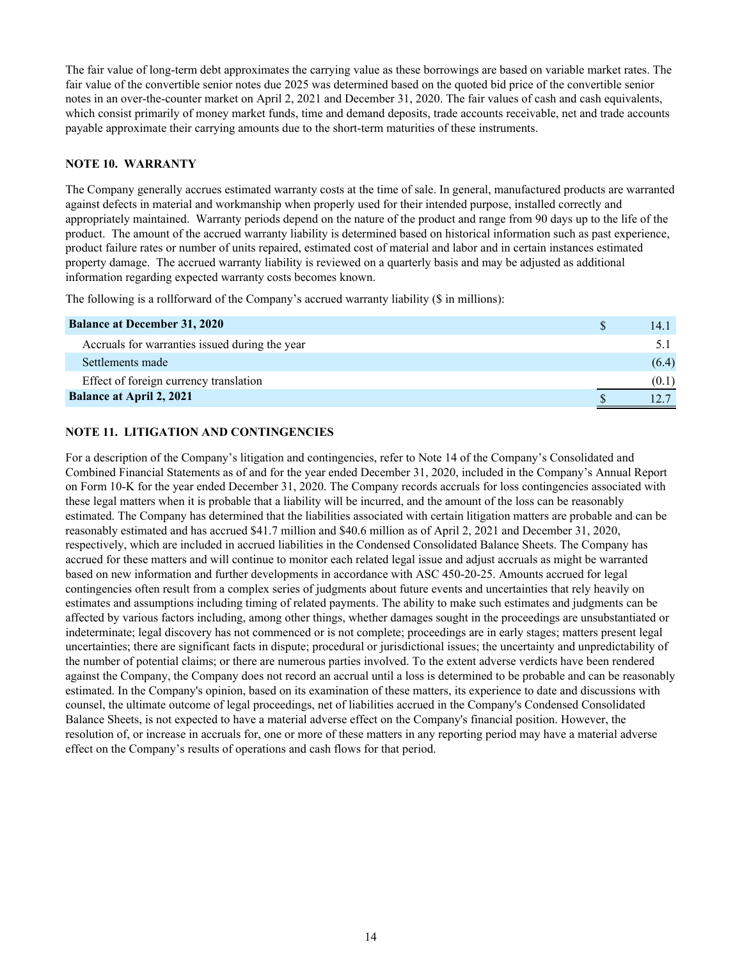The fair value of long-term debt approximates the carrying value as these borrowings are based on variable market rates. The fair value of the convertible senior notes due 2025 was determined based on the quoted bid price of the convertible senior notes in an over-the-counter market on April 2, 2021 and December 31, 2020. The fair values of cash and cash equivalents, which consist primarily of money market funds, time and demand deposits, trade accounts receivable, net and trade accounts payable approximate their carrying amounts due to the short-term maturities of these instruments.

## **NOTE 10. WARRANTY**

The Company generally accrues estimated warranty costs at the time of sale. In general, manufactured products are warranted against defects in material and workmanship when properly used for their intended purpose, installed correctly and appropriately maintained. Warranty periods depend on the nature of the product and range from 90 days up to the life of the product. The amount of the accrued warranty liability is determined based on historical information such as past experience, product failure rates or number of units repaired, estimated cost of material and labor and in certain instances estimated property damage. The accrued warranty liability is reviewed on a quarterly basis and may be adjusted as additional information regarding expected warranty costs becomes known.

The following is a rollforward of the Company's accrued warranty liability (\$ in millions):

| <b>Balance at December 31, 2020</b>            | 14.1  |
|------------------------------------------------|-------|
| Accruals for warranties issued during the year |       |
| Settlements made                               | (6.4) |
| Effect of foreign currency translation         | (0.1) |
| <b>Balance at April 2, 2021</b>                |       |

# **NOTE 11. LITIGATION AND CONTINGENCIES**

For a description of the Company's litigation and contingencies, refer to Note 14 of the Company's Consolidated and Combined Financial Statements as of and for the year ended December 31, 2020, included in the Company's Annual Report on Form 10-K for the year ended December 31, 2020. The Company records accruals for loss contingencies associated with these legal matters when it is probable that a liability will be incurred, and the amount of the loss can be reasonably estimated. The Company has determined that the liabilities associated with certain litigation matters are probable and can be reasonably estimated and has accrued \$41.7 million and \$40.6 million as of April 2, 2021 and December 31, 2020, respectively, which are included in accrued liabilities in the Condensed Consolidated Balance Sheets. The Company has accrued for these matters and will continue to monitor each related legal issue and adjust accruals as might be warranted based on new information and further developments in accordance with ASC 450-20-25. Amounts accrued for legal contingencies often result from a complex series of judgments about future events and uncertainties that rely heavily on estimates and assumptions including timing of related payments. The ability to make such estimates and judgments can be affected by various factors including, among other things, whether damages sought in the proceedings are unsubstantiated or indeterminate; legal discovery has not commenced or is not complete; proceedings are in early stages; matters present legal uncertainties; there are significant facts in dispute; procedural or jurisdictional issues; the uncertainty and unpredictability of the number of potential claims; or there are numerous parties involved. To the extent adverse verdicts have been rendered against the Company, the Company does not record an accrual until a loss is determined to be probable and can be reasonably estimated. In the Company's opinion, based on its examination of these matters, its experience to date and discussions with counsel, the ultimate outcome of legal proceedings, net of liabilities accrued in the Company's Condensed Consolidated Balance Sheets, is not expected to have a material adverse effect on the Company's financial position. However, the resolution of, or increase in accruals for, one or more of these matters in any reporting period may have a material adverse effect on the Company's results of operations and cash flows for that period.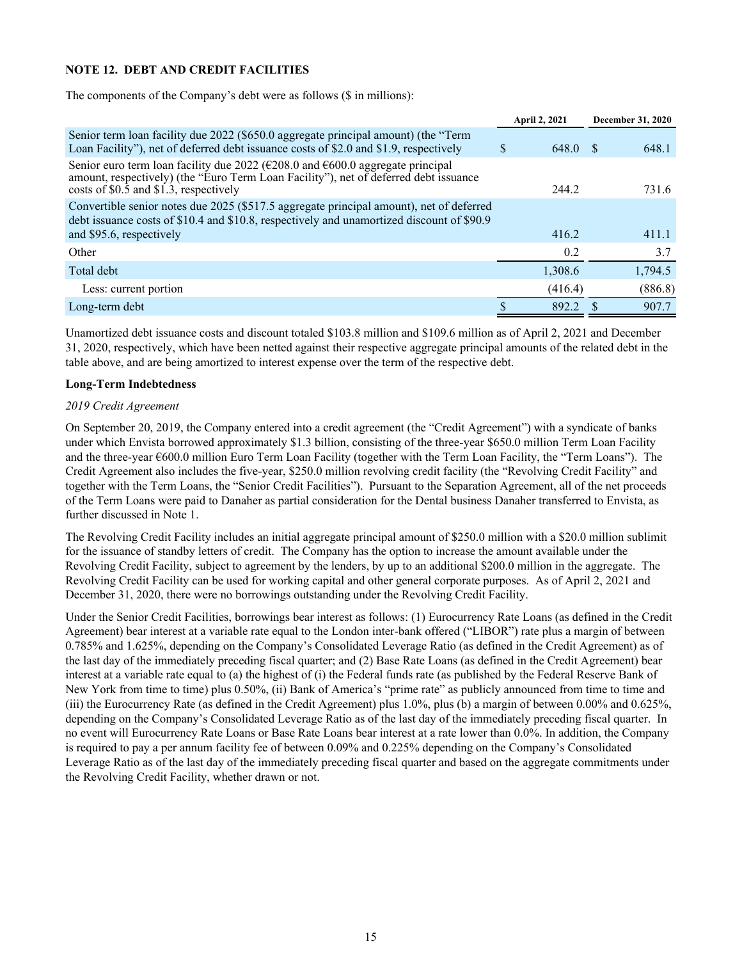# **NOTE 12. DEBT AND CREDIT FACILITIES**

The components of the Company's debt were as follows (\$ in millions):

|                                                                                                                                                                                                                                                                |   | April 2, 2021 | December 31, 2020 |         |  |
|----------------------------------------------------------------------------------------------------------------------------------------------------------------------------------------------------------------------------------------------------------------|---|---------------|-------------------|---------|--|
| Senior term loan facility due 2022 (\$650.0 aggregate principal amount) (the "Term<br>Loan Facility"), net of deferred debt issuance costs of \$2.0 and \$1.9, respectively                                                                                    | S | 648.0         |                   | 648.1   |  |
| Senior euro term loan facility due 2022 ( $\epsilon$ 208.0 and $\epsilon$ 600.0 aggregate principal<br>amount, respectively) (the "Euro Term Loan Facility"), net of deferred debt issuance<br>costs of $$0.\overline{5}$ and $$1.\overline{3}$ , respectively |   | 244 2         |                   | 731.6   |  |
| Convertible senior notes due 2025 (\$517.5 aggregate principal amount), net of deferred<br>debt issuance costs of \$10.4 and \$10.8, respectively and unamortized discount of \$90.9<br>and \$95.6, respectively                                               |   | 416.2         |                   | 411.1   |  |
| Other                                                                                                                                                                                                                                                          |   | 0.2           |                   | 3.7     |  |
| Total debt                                                                                                                                                                                                                                                     |   | 1,308.6       |                   | 1,794.5 |  |
| Less: current portion                                                                                                                                                                                                                                          |   | (416.4)       |                   | (886.8) |  |
| Long-term debt                                                                                                                                                                                                                                                 |   | 892.2         |                   | 907.7   |  |

Unamortized debt issuance costs and discount totaled \$103.8 million and \$109.6 million as of April 2, 2021 and December 31, 2020, respectively, which have been netted against their respective aggregate principal amounts of the related debt in the table above, and are being amortized to interest expense over the term of the respective debt.

#### **Long-Term Indebtedness**

#### *2019 Credit Agreement*

On September 20, 2019, the Company entered into a credit agreement (the "Credit Agreement") with a syndicate of banks under which Envista borrowed approximately \$1.3 billion, consisting of the three-year \$650.0 million Term Loan Facility and the three-year €600.0 million Euro Term Loan Facility (together with the Term Loan Facility, the "Term Loans"). The Credit Agreement also includes the five-year, \$250.0 million revolving credit facility (the "Revolving Credit Facility" and together with the Term Loans, the "Senior Credit Facilities"). Pursuant to the Separation Agreement, all of the net proceeds of the Term Loans were paid to Danaher as partial consideration for the Dental business Danaher transferred to Envista, as further discussed in Note 1.

The Revolving Credit Facility includes an initial aggregate principal amount of \$250.0 million with a \$20.0 million sublimit for the issuance of standby letters of credit. The Company has the option to increase the amount available under the Revolving Credit Facility, subject to agreement by the lenders, by up to an additional \$200.0 million in the aggregate. The Revolving Credit Facility can be used for working capital and other general corporate purposes. As of April 2, 2021 and December 31, 2020, there were no borrowings outstanding under the Revolving Credit Facility.

Under the Senior Credit Facilities, borrowings bear interest as follows: (1) Eurocurrency Rate Loans (as defined in the Credit Agreement) bear interest at a variable rate equal to the London inter-bank offered ("LIBOR") rate plus a margin of between 0.785% and 1.625%, depending on the Company's Consolidated Leverage Ratio (as defined in the Credit Agreement) as of the last day of the immediately preceding fiscal quarter; and (2) Base Rate Loans (as defined in the Credit Agreement) bear interest at a variable rate equal to (a) the highest of (i) the Federal funds rate (as published by the Federal Reserve Bank of New York from time to time) plus 0.50%, (ii) Bank of America's "prime rate" as publicly announced from time to time and (iii) the Eurocurrency Rate (as defined in the Credit Agreement) plus 1.0%, plus (b) a margin of between 0.00% and 0.625%, depending on the Company's Consolidated Leverage Ratio as of the last day of the immediately preceding fiscal quarter. In no event will Eurocurrency Rate Loans or Base Rate Loans bear interest at a rate lower than 0.0%. In addition, the Company is required to pay a per annum facility fee of between 0.09% and 0.225% depending on the Company's Consolidated Leverage Ratio as of the last day of the immediately preceding fiscal quarter and based on the aggregate commitments under the Revolving Credit Facility, whether drawn or not.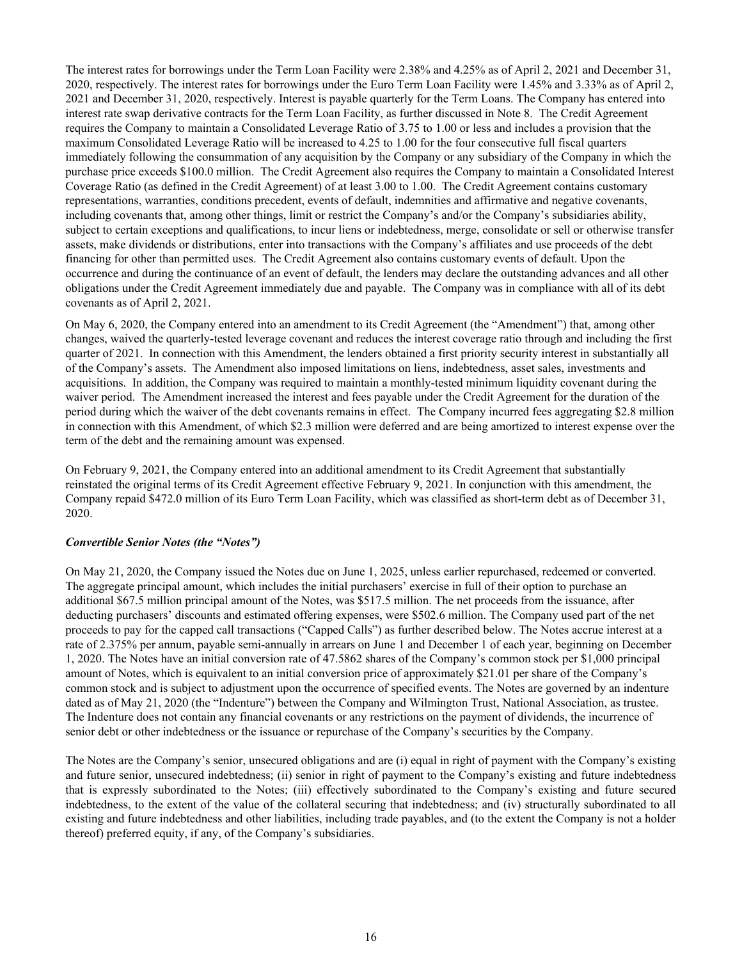The interest rates for borrowings under the Term Loan Facility were 2.38% and 4.25% as of April 2, 2021 and December 31, 2020, respectively. The interest rates for borrowings under the Euro Term Loan Facility were 1.45% and 3.33% as of April 2, 2021 and December 31, 2020, respectively. Interest is payable quarterly for the Term Loans. The Company has entered into interest rate swap derivative contracts for the Term Loan Facility, as further discussed in Note 8. The Credit Agreement requires the Company to maintain a Consolidated Leverage Ratio of 3.75 to 1.00 or less and includes a provision that the maximum Consolidated Leverage Ratio will be increased to 4.25 to 1.00 for the four consecutive full fiscal quarters immediately following the consummation of any acquisition by the Company or any subsidiary of the Company in which the purchase price exceeds \$100.0 million. The Credit Agreement also requires the Company to maintain a Consolidated Interest Coverage Ratio (as defined in the Credit Agreement) of at least 3.00 to 1.00. The Credit Agreement contains customary representations, warranties, conditions precedent, events of default, indemnities and affirmative and negative covenants, including covenants that, among other things, limit or restrict the Company's and/or the Company's subsidiaries ability, subject to certain exceptions and qualifications, to incur liens or indebtedness, merge, consolidate or sell or otherwise transfer assets, make dividends or distributions, enter into transactions with the Company's affiliates and use proceeds of the debt financing for other than permitted uses. The Credit Agreement also contains customary events of default. Upon the occurrence and during the continuance of an event of default, the lenders may declare the outstanding advances and all other obligations under the Credit Agreement immediately due and payable. The Company was in compliance with all of its debt covenants as of April 2, 2021.

On May 6, 2020, the Company entered into an amendment to its Credit Agreement (the "Amendment") that, among other changes, waived the quarterly-tested leverage covenant and reduces the interest coverage ratio through and including the first quarter of 2021. In connection with this Amendment, the lenders obtained a first priority security interest in substantially all of the Company's assets. The Amendment also imposed limitations on liens, indebtedness, asset sales, investments and acquisitions. In addition, the Company was required to maintain a monthly-tested minimum liquidity covenant during the waiver period. The Amendment increased the interest and fees payable under the Credit Agreement for the duration of the period during which the waiver of the debt covenants remains in effect. The Company incurred fees aggregating \$2.8 million in connection with this Amendment, of which \$2.3 million were deferred and are being amortized to interest expense over the term of the debt and the remaining amount was expensed.

On February 9, 2021, the Company entered into an additional amendment to its Credit Agreement that substantially reinstated the original terms of its Credit Agreement effective February 9, 2021. In conjunction with this amendment, the Company repaid \$472.0 million of its Euro Term Loan Facility, which was classified as short-term debt as of December 31, 2020.

## *Convertible Senior Notes (the "Notes")*

On May 21, 2020, the Company issued the Notes due on June 1, 2025, unless earlier repurchased, redeemed or converted. The aggregate principal amount, which includes the initial purchasers' exercise in full of their option to purchase an additional \$67.5 million principal amount of the Notes, was \$517.5 million. The net proceeds from the issuance, after deducting purchasers' discounts and estimated offering expenses, were \$502.6 million. The Company used part of the net proceeds to pay for the capped call transactions ("Capped Calls") as further described below. The Notes accrue interest at a rate of 2.375% per annum, payable semi-annually in arrears on June 1 and December 1 of each year, beginning on December 1, 2020. The Notes have an initial conversion rate of 47.5862 shares of the Company's common stock per \$1,000 principal amount of Notes, which is equivalent to an initial conversion price of approximately \$21.01 per share of the Company's common stock and is subject to adjustment upon the occurrence of specified events. The Notes are governed by an indenture dated as of May 21, 2020 (the "Indenture") between the Company and Wilmington Trust, National Association, as trustee. The Indenture does not contain any financial covenants or any restrictions on the payment of dividends, the incurrence of senior debt or other indebtedness or the issuance or repurchase of the Company's securities by the Company.

The Notes are the Company's senior, unsecured obligations and are (i) equal in right of payment with the Company's existing and future senior, unsecured indebtedness; (ii) senior in right of payment to the Company's existing and future indebtedness that is expressly subordinated to the Notes; (iii) effectively subordinated to the Company's existing and future secured indebtedness, to the extent of the value of the collateral securing that indebtedness; and (iv) structurally subordinated to all existing and future indebtedness and other liabilities, including trade payables, and (to the extent the Company is not a holder thereof) preferred equity, if any, of the Company's subsidiaries.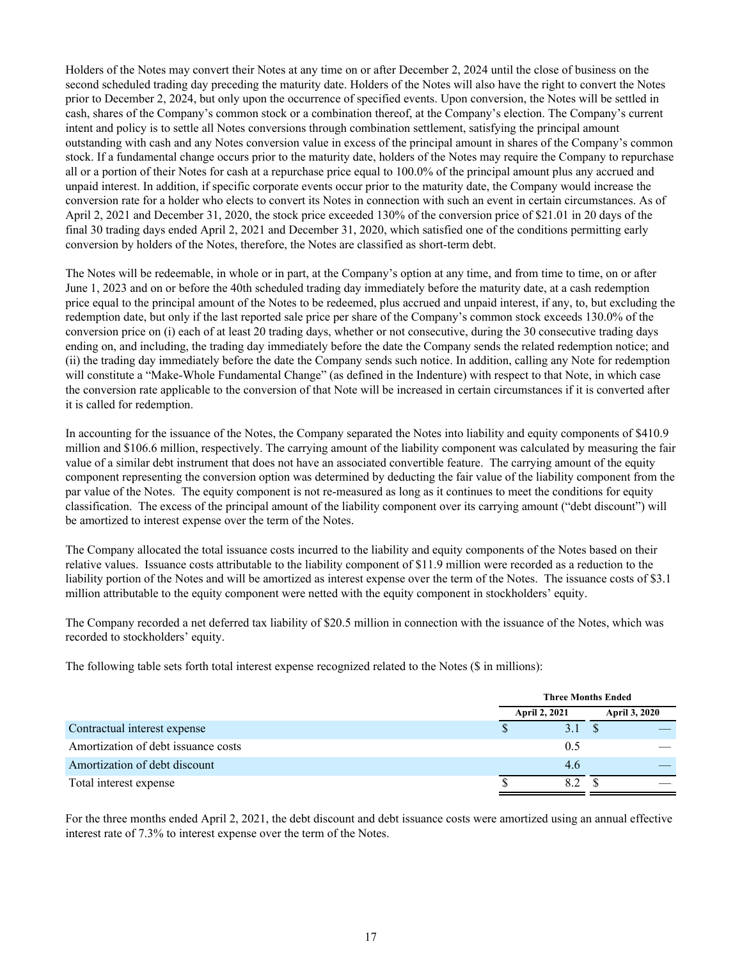Holders of the Notes may convert their Notes at any time on or after December 2, 2024 until the close of business on the second scheduled trading day preceding the maturity date. Holders of the Notes will also have the right to convert the Notes prior to December 2, 2024, but only upon the occurrence of specified events. Upon conversion, the Notes will be settled in cash, shares of the Company's common stock or a combination thereof, at the Company's election. The Company's current intent and policy is to settle all Notes conversions through combination settlement, satisfying the principal amount outstanding with cash and any Notes conversion value in excess of the principal amount in shares of the Company's common stock. If a fundamental change occurs prior to the maturity date, holders of the Notes may require the Company to repurchase all or a portion of their Notes for cash at a repurchase price equal to 100.0% of the principal amount plus any accrued and unpaid interest. In addition, if specific corporate events occur prior to the maturity date, the Company would increase the conversion rate for a holder who elects to convert its Notes in connection with such an event in certain circumstances. As of April 2, 2021 and December 31, 2020, the stock price exceeded 130% of the conversion price of \$21.01 in 20 days of the final 30 trading days ended April 2, 2021 and December 31, 2020, which satisfied one of the conditions permitting early conversion by holders of the Notes, therefore, the Notes are classified as short-term debt.

The Notes will be redeemable, in whole or in part, at the Company's option at any time, and from time to time, on or after June 1, 2023 and on or before the 40th scheduled trading day immediately before the maturity date, at a cash redemption price equal to the principal amount of the Notes to be redeemed, plus accrued and unpaid interest, if any, to, but excluding the redemption date, but only if the last reported sale price per share of the Company's common stock exceeds 130.0% of the conversion price on (i) each of at least 20 trading days, whether or not consecutive, during the 30 consecutive trading days ending on, and including, the trading day immediately before the date the Company sends the related redemption notice; and (ii) the trading day immediately before the date the Company sends such notice. In addition, calling any Note for redemption will constitute a "Make-Whole Fundamental Change" (as defined in the Indenture) with respect to that Note, in which case the conversion rate applicable to the conversion of that Note will be increased in certain circumstances if it is converted after it is called for redemption.

In accounting for the issuance of the Notes, the Company separated the Notes into liability and equity components of \$410.9 million and \$106.6 million, respectively. The carrying amount of the liability component was calculated by measuring the fair value of a similar debt instrument that does not have an associated convertible feature. The carrying amount of the equity component representing the conversion option was determined by deducting the fair value of the liability component from the par value of the Notes. The equity component is not re-measured as long as it continues to meet the conditions for equity classification. The excess of the principal amount of the liability component over its carrying amount ("debt discount") will be amortized to interest expense over the term of the Notes.

The Company allocated the total issuance costs incurred to the liability and equity components of the Notes based on their relative values. Issuance costs attributable to the liability component of \$11.9 million were recorded as a reduction to the liability portion of the Notes and will be amortized as interest expense over the term of the Notes. The issuance costs of \$3.1 million attributable to the equity component were netted with the equity component in stockholders' equity.

The Company recorded a net deferred tax liability of \$20.5 million in connection with the issuance of the Notes, which was recorded to stockholders' equity.

The following table sets forth total interest expense recognized related to the Notes (\$ in millions):

|                                     |                      | <b>Three Months Ended</b> |  |                      |  |
|-------------------------------------|----------------------|---------------------------|--|----------------------|--|
|                                     | <b>April 2, 2021</b> |                           |  | <b>April 3, 2020</b> |  |
| Contractual interest expense        |                      | 3.1                       |  |                      |  |
| Amortization of debt issuance costs |                      | 0.5                       |  |                      |  |
| Amortization of debt discount       |                      | 4.6                       |  |                      |  |
| Total interest expense              |                      | 8.2                       |  |                      |  |

For the three months ended April 2, 2021, the debt discount and debt issuance costs were amortized using an annual effective interest rate of 7.3% to interest expense over the term of the Notes.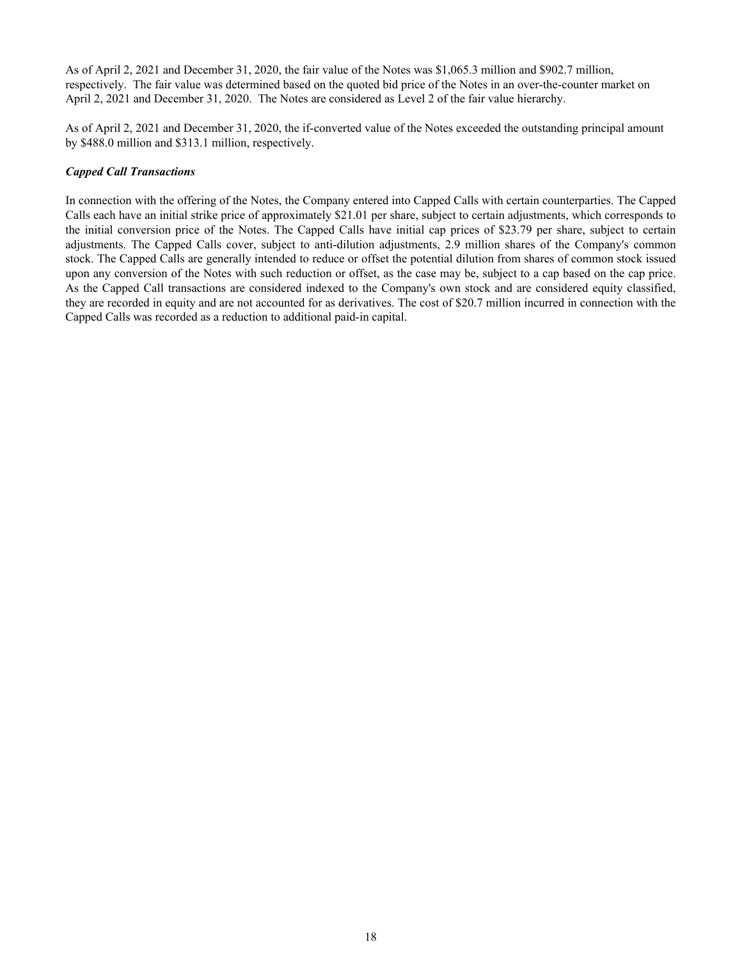As of April 2, 2021 and December 31, 2020, the fair value of the Notes was \$1,065.3 million and \$902.7 million, respectively. The fair value was determined based on the quoted bid price of the Notes in an over-the-counter market on April 2, 2021 and December 31, 2020. The Notes are considered as Level 2 of the fair value hierarchy.

As of April 2, 2021 and December 31, 2020, the if-converted value of the Notes exceeded the outstanding principal amount by \$488.0 million and \$313.1 million, respectively.

#### *Capped Call Transactions*

In connection with the offering of the Notes, the Company entered into Capped Calls with certain counterparties. The Capped Calls each have an initial strike price of approximately \$21.01 per share, subject to certain adjustments, which corresponds to the initial conversion price of the Notes. The Capped Calls have initial cap prices of \$23.79 per share, subject to certain adjustments. The Capped Calls cover, subject to anti-dilution adjustments, 2.9 million shares of the Company's common stock. The Capped Calls are generally intended to reduce or offset the potential dilution from shares of common stock issued upon any conversion of the Notes with such reduction or offset, as the case may be, subject to a cap based on the cap price. As the Capped Call transactions are considered indexed to the Company's own stock and are considered equity classified, they are recorded in equity and are not accounted for as derivatives. The cost of \$20.7 million incurred in connection with the Capped Calls was recorded as a reduction to additional paid-in capital.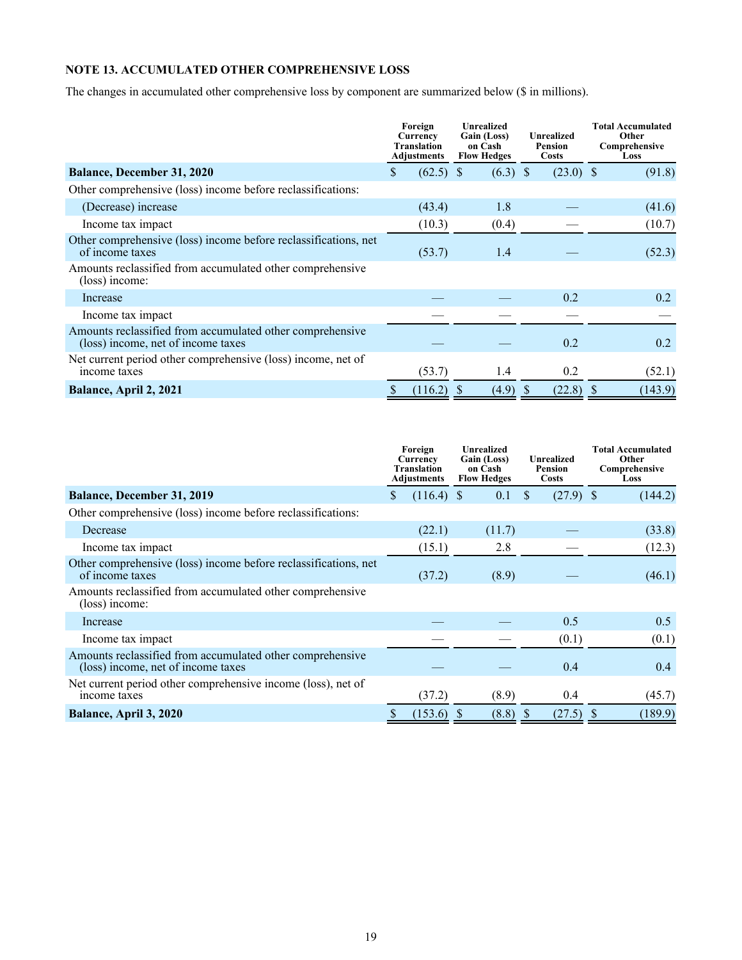# **NOTE 13. ACCUMULATED OTHER COMPREHENSIVE LOSS**

The changes in accumulated other comprehensive loss by component are summarized below (\$ in millions).

|                                                                                                 | Foreign<br>Currency<br>Translation<br><b>Adjustments</b> |              |       |            |  |             |         |  |  |  |  |  |  |  |  |  |  |  |  |  |  |  |  |  |  |  |  |  |  |  |  |  |  |  |  |  |  |  |  |  |  |  |  |  |  |  |  |  |  |  | <b>Unrealized</b><br>Gain (Loss)<br>on Cash<br><b>Flow Hedges</b> |  |  |  | <b>Unrealized</b><br><b>Pension</b><br><b>Costs</b> |  | <b>Total Accumulated</b><br>Other<br>Comprehensive<br>Loss |
|-------------------------------------------------------------------------------------------------|----------------------------------------------------------|--------------|-------|------------|--|-------------|---------|--|--|--|--|--|--|--|--|--|--|--|--|--|--|--|--|--|--|--|--|--|--|--|--|--|--|--|--|--|--|--|--|--|--|--|--|--|--|--|--|--|--|--|-------------------------------------------------------------------|--|--|--|-----------------------------------------------------|--|------------------------------------------------------------|
| <b>Balance, December 31, 2020</b>                                                               | \$                                                       | $(62.5)$ \$  |       | $(6.3)$ \$ |  | $(23.0)$ \$ | (91.8)  |  |  |  |  |  |  |  |  |  |  |  |  |  |  |  |  |  |  |  |  |  |  |  |  |  |  |  |  |  |  |  |  |  |  |  |  |  |  |  |  |  |  |  |                                                                   |  |  |  |                                                     |  |                                                            |
| Other comprehensive (loss) income before reclassifications:                                     |                                                          |              |       |            |  |             |         |  |  |  |  |  |  |  |  |  |  |  |  |  |  |  |  |  |  |  |  |  |  |  |  |  |  |  |  |  |  |  |  |  |  |  |  |  |  |  |  |  |  |  |                                                                   |  |  |  |                                                     |  |                                                            |
| (Decrease) increase                                                                             |                                                          | (43.4)       | 1.8   |            |  |             | (41.6)  |  |  |  |  |  |  |  |  |  |  |  |  |  |  |  |  |  |  |  |  |  |  |  |  |  |  |  |  |  |  |  |  |  |  |  |  |  |  |  |  |  |  |  |                                                                   |  |  |  |                                                     |  |                                                            |
| Income tax impact                                                                               |                                                          | (10.3)       | (0.4) |            |  |             | (10.7)  |  |  |  |  |  |  |  |  |  |  |  |  |  |  |  |  |  |  |  |  |  |  |  |  |  |  |  |  |  |  |  |  |  |  |  |  |  |  |  |  |  |  |  |                                                                   |  |  |  |                                                     |  |                                                            |
| Other comprehensive (loss) income before reclassifications, net<br>of income taxes              |                                                          | (53.7)       | 1.4   |            |  |             | (52.3)  |  |  |  |  |  |  |  |  |  |  |  |  |  |  |  |  |  |  |  |  |  |  |  |  |  |  |  |  |  |  |  |  |  |  |  |  |  |  |  |  |  |  |  |                                                                   |  |  |  |                                                     |  |                                                            |
| Amounts reclassified from accumulated other comprehensive<br>(loss) income:                     |                                                          |              |       |            |  |             |         |  |  |  |  |  |  |  |  |  |  |  |  |  |  |  |  |  |  |  |  |  |  |  |  |  |  |  |  |  |  |  |  |  |  |  |  |  |  |  |  |  |  |  |                                                                   |  |  |  |                                                     |  |                                                            |
| Increase                                                                                        |                                                          |              |       |            |  | 0.2         | 0.2     |  |  |  |  |  |  |  |  |  |  |  |  |  |  |  |  |  |  |  |  |  |  |  |  |  |  |  |  |  |  |  |  |  |  |  |  |  |  |  |  |  |  |  |                                                                   |  |  |  |                                                     |  |                                                            |
| Income tax impact                                                                               |                                                          |              |       |            |  |             |         |  |  |  |  |  |  |  |  |  |  |  |  |  |  |  |  |  |  |  |  |  |  |  |  |  |  |  |  |  |  |  |  |  |  |  |  |  |  |  |  |  |  |  |                                                                   |  |  |  |                                                     |  |                                                            |
| Amounts reclassified from accumulated other comprehensive<br>(loss) income, net of income taxes |                                                          |              |       |            |  | 0.2         | 0.2     |  |  |  |  |  |  |  |  |  |  |  |  |  |  |  |  |  |  |  |  |  |  |  |  |  |  |  |  |  |  |  |  |  |  |  |  |  |  |  |  |  |  |  |                                                                   |  |  |  |                                                     |  |                                                            |
| Net current period other comprehensive (loss) income, net of<br>income taxes                    |                                                          | (53.7)       | 1.4   |            |  | 0.2         | (52.1)  |  |  |  |  |  |  |  |  |  |  |  |  |  |  |  |  |  |  |  |  |  |  |  |  |  |  |  |  |  |  |  |  |  |  |  |  |  |  |  |  |  |  |  |                                                                   |  |  |  |                                                     |  |                                                            |
| Balance, April 2, 2021                                                                          | \$                                                       | $(116.2)$ \$ |       | $(4.9)$ \$ |  | $(22.8)$ \$ | (143.9) |  |  |  |  |  |  |  |  |  |  |  |  |  |  |  |  |  |  |  |  |  |  |  |  |  |  |  |  |  |  |  |  |  |  |  |  |  |  |  |  |  |  |  |                                                                   |  |  |  |                                                     |  |                                                            |

|                                                                                                 | Foreign<br>Currency<br><b>Translation</b><br><b>Adjustments</b> |              |  |            |              |             | <b>Unrealized</b><br><b>Pension</b><br><b>Costs</b> |  | <b>Unrealized</b><br>Gain (Loss)<br>on Cash<br><b>Flow Hedges</b> |  | <b>Total Accumulated</b><br>Other<br>Comprehensive<br>Loss |
|-------------------------------------------------------------------------------------------------|-----------------------------------------------------------------|--------------|--|------------|--------------|-------------|-----------------------------------------------------|--|-------------------------------------------------------------------|--|------------------------------------------------------------|
| <b>Balance, December 31, 2019</b>                                                               | \$.                                                             | $(116.4)$ \$ |  | 0.1        | <sup>S</sup> | $(27.9)$ \$ | (144.2)                                             |  |                                                                   |  |                                                            |
| Other comprehensive (loss) income before reclassifications:                                     |                                                                 |              |  |            |              |             |                                                     |  |                                                                   |  |                                                            |
| Decrease                                                                                        |                                                                 | (22.1)       |  | (11.7)     |              |             | (33.8)                                              |  |                                                                   |  |                                                            |
| Income tax impact                                                                               |                                                                 | (15.1)       |  | 2.8        |              |             | (12.3)                                              |  |                                                                   |  |                                                            |
| Other comprehensive (loss) income before reclassifications, net<br>of income taxes              |                                                                 | (37.2)       |  | (8.9)      |              |             | (46.1)                                              |  |                                                                   |  |                                                            |
| Amounts reclassified from accumulated other comprehensive<br>(loss) income:                     |                                                                 |              |  |            |              |             |                                                     |  |                                                                   |  |                                                            |
| Increase                                                                                        |                                                                 |              |  |            |              | 0.5         | 0.5                                                 |  |                                                                   |  |                                                            |
| Income tax impact                                                                               |                                                                 |              |  |            |              | (0.1)       | (0.1)                                               |  |                                                                   |  |                                                            |
| Amounts reclassified from accumulated other comprehensive<br>(loss) income, net of income taxes |                                                                 |              |  |            |              | 0.4         | 0.4                                                 |  |                                                                   |  |                                                            |
| Net current period other comprehensive income (loss), net of<br>income taxes                    |                                                                 | (37.2)       |  | (8.9)      |              | 0.4         | (45.7)                                              |  |                                                                   |  |                                                            |
| <b>Balance, April 3, 2020</b>                                                                   | \$                                                              | $(153.6)$ \$ |  | $(8.8)$ \$ |              | $(27.5)$ \$ | (189.9)                                             |  |                                                                   |  |                                                            |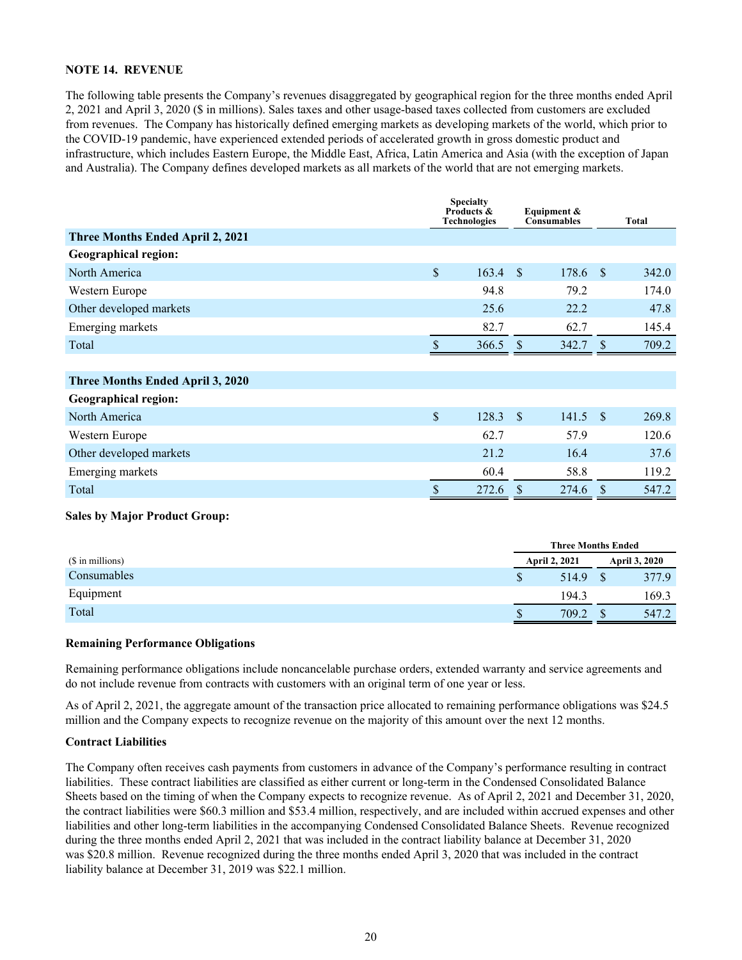## **NOTE 14. REVENUE**

The following table presents the Company's revenues disaggregated by geographical region for the three months ended April 2, 2021 and April 3, 2020 (\$ in millions). Sales taxes and other usage-based taxes collected from customers are excluded from revenues. The Company has historically defined emerging markets as developing markets of the world, which prior to the COVID-19 pandemic, have experienced extended periods of accelerated growth in gross domestic product and infrastructure, which includes Eastern Europe, the Middle East, Africa, Latin America and Asia (with the exception of Japan and Australia). The Company defines developed markets as all markets of the world that are not emerging markets.

|                                  | <b>Specialty</b><br>Products & | Equipment $\&$<br><b>Technologies</b><br><b>Consumables</b> |               |       |               | <b>Total</b> |
|----------------------------------|--------------------------------|-------------------------------------------------------------|---------------|-------|---------------|--------------|
| Three Months Ended April 2, 2021 |                                |                                                             |               |       |               |              |
| <b>Geographical region:</b>      |                                |                                                             |               |       |               |              |
| North America                    | $\mathsf{\$}$                  | 163.4                                                       | <sup>\$</sup> | 178.6 | - \$          | 342.0        |
| Western Europe                   |                                | 94.8                                                        |               | 79.2  |               | 174.0        |
| Other developed markets          |                                | 25.6                                                        |               | 22.2  |               | 47.8         |
| Emerging markets                 |                                | 82.7                                                        |               | 62.7  |               | 145.4        |
| Total                            |                                | 366.5                                                       | -S            | 342.7 | <sup>\$</sup> | 709.2        |
|                                  |                                |                                                             |               |       |               |              |
| Three Months Ended April 3, 2020 |                                |                                                             |               |       |               |              |
| <b>Geographical region:</b>      |                                |                                                             |               |       |               |              |
| North America                    | \$                             | 128.3                                                       | $\mathcal{S}$ | 141.5 | <b>S</b>      | 269.8        |
| Western Europe                   |                                | 62.7                                                        |               | 57.9  |               | 120.6        |
| Other developed markets          |                                | 21.2                                                        |               | 16.4  |               | 37.6         |
| Emerging markets                 |                                | 60.4                                                        |               | 58.8  |               | 119.2        |
| Total                            | \$                             | 272.6                                                       | \$            | 274.6 | \$            | 547.2        |

## **Sales by Major Product Group:**

|                  |    |                      | <b>Three Months Ended</b> |  |       |  |  |  |                      |
|------------------|----|----------------------|---------------------------|--|-------|--|--|--|----------------------|
| (\$ in millions) |    | <b>April 2, 2021</b> |                           |  |       |  |  |  | <b>April 3, 2020</b> |
| Consumables      |    | 514.9                |                           |  | 377.9 |  |  |  |                      |
| Equipment        |    | 194.3                |                           |  | 169.3 |  |  |  |                      |
| Total            | ъ. | 709.2                |                           |  | 547.2 |  |  |  |                      |

#### **Remaining Performance Obligations**

Remaining performance obligations include noncancelable purchase orders, extended warranty and service agreements and do not include revenue from contracts with customers with an original term of one year or less.

As of April 2, 2021, the aggregate amount of the transaction price allocated to remaining performance obligations was \$24.5 million and the Company expects to recognize revenue on the majority of this amount over the next 12 months.

#### **Contract Liabilities**

The Company often receives cash payments from customers in advance of the Company's performance resulting in contract liabilities. These contract liabilities are classified as either current or long-term in the Condensed Consolidated Balance Sheets based on the timing of when the Company expects to recognize revenue. As of April 2, 2021 and December 31, 2020, the contract liabilities were \$60.3 million and \$53.4 million, respectively, and are included within accrued expenses and other liabilities and other long-term liabilities in the accompanying Condensed Consolidated Balance Sheets. Revenue recognized during the three months ended April 2, 2021 that was included in the contract liability balance at December 31, 2020 was \$20.8 million. Revenue recognized during the three months ended April 3, 2020 that was included in the contract liability balance at December 31, 2019 was \$22.1 million.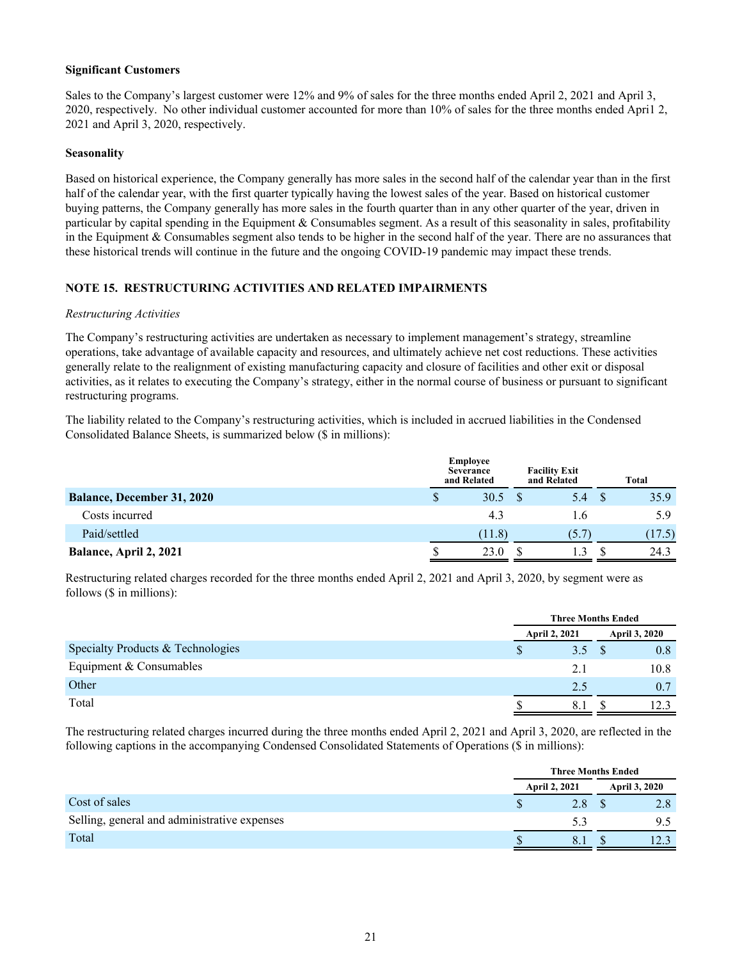#### **Significant Customers**

Sales to the Company's largest customer were 12% and 9% of sales for the three months ended April 2, 2021 and April 3, 2020, respectively. No other individual customer accounted for more than 10% of sales for the three months ended Apri1 2, 2021 and April 3, 2020, respectively.

#### **Seasonality**

Based on historical experience, the Company generally has more sales in the second half of the calendar year than in the first half of the calendar year, with the first quarter typically having the lowest sales of the year. Based on historical customer buying patterns, the Company generally has more sales in the fourth quarter than in any other quarter of the year, driven in particular by capital spending in the Equipment & Consumables segment. As a result of this seasonality in sales, profitability in the Equipment & Consumables segment also tends to be higher in the second half of the year. There are no assurances that these historical trends will continue in the future and the ongoing COVID-19 pandemic may impact these trends.

## **NOTE 15. RESTRUCTURING ACTIVITIES AND RELATED IMPAIRMENTS**

#### *Restructuring Activities*

The Company's restructuring activities are undertaken as necessary to implement management's strategy, streamline operations, take advantage of available capacity and resources, and ultimately achieve net cost reductions. These activities generally relate to the realignment of existing manufacturing capacity and closure of facilities and other exit or disposal activities, as it relates to executing the Company's strategy, either in the normal course of business or pursuant to significant restructuring programs.

The liability related to the Company's restructuring activities, which is included in accrued liabilities in the Condensed Consolidated Balance Sheets, is summarized below (\$ in millions):

|                                   | <b>Employee</b><br><b>Severance</b><br>and Related | <b>Facility Exit</b><br>and Related | <b>Total</b> |
|-----------------------------------|----------------------------------------------------|-------------------------------------|--------------|
| <b>Balance, December 31, 2020</b> | \$<br>30.5                                         | 5.4                                 | 35.9         |
| Costs incurred                    | 4.3                                                | 1.6                                 | 5.9          |
| Paid/settled                      | (11.8)                                             | (5.7)                               | (17.5)       |
| Balance, April 2, 2021            | 23.0                                               |                                     | 24.3         |

Restructuring related charges recorded for the three months ended April 2, 2021 and April 3, 2020, by segment were as follows (\$ in millions):

|                                   |   | <b>Three Months Ended</b> |                      |      |  |
|-----------------------------------|---|---------------------------|----------------------|------|--|
|                                   |   | <b>April 2, 2021</b>      | <b>April 3, 2020</b> |      |  |
| Specialty Products & Technologies | P | 3.5                       |                      | 0.8  |  |
| Equipment & Consumables           |   | 2.1                       |                      | 10.8 |  |
| Other                             |   | 2.5                       |                      | 0.7  |  |
| Total                             |   |                           |                      |      |  |

The restructuring related charges incurred during the three months ended April 2, 2021 and April 3, 2020, are reflected in the following captions in the accompanying Condensed Consolidated Statements of Operations (\$ in millions):

|                                              | <b>Three Months Ended</b> |                      |  |                      |  |
|----------------------------------------------|---------------------------|----------------------|--|----------------------|--|
|                                              |                           | <b>April 2, 2021</b> |  | <b>April 3, 2020</b> |  |
| Cost of sales                                |                           | 2.8                  |  | 2.8                  |  |
| Selling, general and administrative expenses |                           | 5.3                  |  | 9.5                  |  |
| Total                                        |                           |                      |  |                      |  |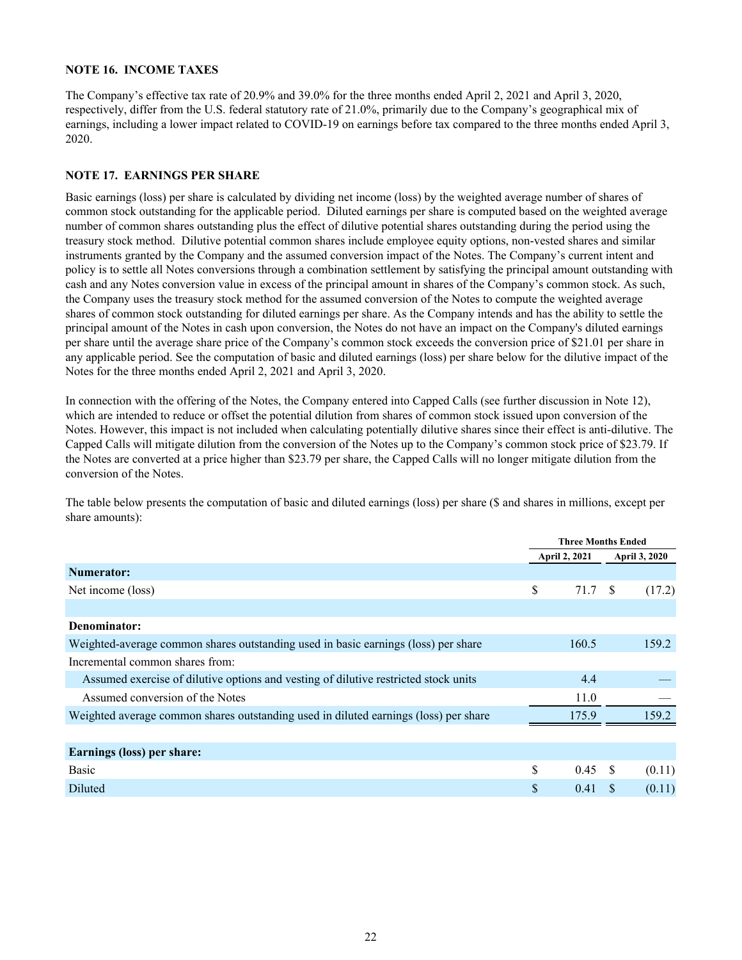#### **NOTE 16. INCOME TAXES**

The Company's effective tax rate of 20.9% and 39.0% for the three months ended April 2, 2021 and April 3, 2020, respectively, differ from the U.S. federal statutory rate of 21.0%, primarily due to the Company's geographical mix of earnings, including a lower impact related to COVID-19 on earnings before tax compared to the three months ended April 3, 2020.

#### **NOTE 17. EARNINGS PER SHARE**

Basic earnings (loss) per share is calculated by dividing net income (loss) by the weighted average number of shares of common stock outstanding for the applicable period. Diluted earnings per share is computed based on the weighted average number of common shares outstanding plus the effect of dilutive potential shares outstanding during the period using the treasury stock method. Dilutive potential common shares include employee equity options, non-vested shares and similar instruments granted by the Company and the assumed conversion impact of the Notes. The Company's current intent and policy is to settle all Notes conversions through a combination settlement by satisfying the principal amount outstanding with cash and any Notes conversion value in excess of the principal amount in shares of the Company's common stock. As such, the Company uses the treasury stock method for the assumed conversion of the Notes to compute the weighted average shares of common stock outstanding for diluted earnings per share. As the Company intends and has the ability to settle the principal amount of the Notes in cash upon conversion, the Notes do not have an impact on the Company's diluted earnings per share until the average share price of the Company's common stock exceeds the conversion price of \$21.01 per share in any applicable period. See the computation of basic and diluted earnings (loss) per share below for the dilutive impact of the Notes for the three months ended April 2, 2021 and April 3, 2020.

In connection with the offering of the Notes, the Company entered into Capped Calls (see further discussion in Note 12), which are intended to reduce or offset the potential dilution from shares of common stock issued upon conversion of the Notes. However, this impact is not included when calculating potentially dilutive shares since their effect is anti-dilutive. The Capped Calls will mitigate dilution from the conversion of the Notes up to the Company's common stock price of \$23.79. If the Notes are converted at a price higher than \$23.79 per share, the Capped Calls will no longer mitigate dilution from the conversion of the Notes.

The table below presents the computation of basic and diluted earnings (loss) per share (\$ and shares in millions, except per share amounts):

|                                                                                      | <b>Three Months Ended</b> |        |  |                      |  |               |
|--------------------------------------------------------------------------------------|---------------------------|--------|--|----------------------|--|---------------|
|                                                                                      |                           |        |  | <b>April 2, 2021</b> |  | April 3, 2020 |
| Numerator:                                                                           |                           |        |  |                      |  |               |
| Net income (loss)                                                                    | \$                        | 71.7 S |  | (17.2)               |  |               |
|                                                                                      |                           |        |  |                      |  |               |
| Denominator:                                                                         |                           |        |  |                      |  |               |
| Weighted-average common shares outstanding used in basic earnings (loss) per share   |                           | 160.5  |  | 159.2                |  |               |
| Incremental common shares from:                                                      |                           |        |  |                      |  |               |
| Assumed exercise of dilutive options and vesting of dilutive restricted stock units  |                           | 4.4    |  |                      |  |               |
| Assumed conversion of the Notes                                                      |                           | 11.0   |  |                      |  |               |
| Weighted average common shares outstanding used in diluted earnings (loss) per share |                           | 175.9  |  | 159.2                |  |               |
|                                                                                      |                           |        |  |                      |  |               |
| Earnings (loss) per share:                                                           |                           |        |  |                      |  |               |
| <b>Basic</b>                                                                         | \$                        | 0.45 S |  | (0.11)               |  |               |
| Diluted                                                                              | \$                        | 0.41   |  | (0.11)               |  |               |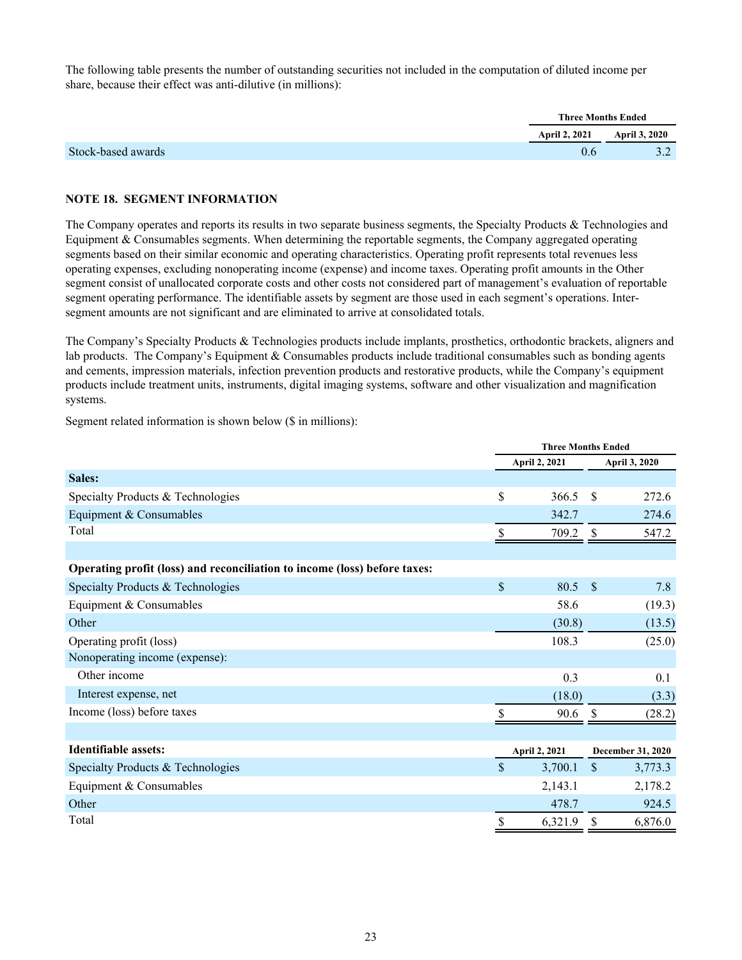The following table presents the number of outstanding securities not included in the computation of diluted income per share, because their effect was anti-dilutive (in millions):

|                    | <b>Three Months Ended</b>   |    |
|--------------------|-----------------------------|----|
|                    | April 2, 2021 April 3, 2020 |    |
| Stock-based awards |                             | 32 |

## **NOTE 18. SEGMENT INFORMATION**

The Company operates and reports its results in two separate business segments, the Specialty Products & Technologies and Equipment & Consumables segments. When determining the reportable segments, the Company aggregated operating segments based on their similar economic and operating characteristics. Operating profit represents total revenues less operating expenses, excluding nonoperating income (expense) and income taxes. Operating profit amounts in the Other segment consist of unallocated corporate costs and other costs not considered part of management's evaluation of reportable segment operating performance. The identifiable assets by segment are those used in each segment's operations. Intersegment amounts are not significant and are eliminated to arrive at consolidated totals.

The Company's Specialty Products & Technologies products include implants, prosthetics, orthodontic brackets, aligners and lab products. The Company's Equipment & Consumables products include traditional consumables such as bonding agents and cements, impression materials, infection prevention products and restorative products, while the Company's equipment products include treatment units, instruments, digital imaging systems, software and other visualization and magnification systems.

Segment related information is shown below (\$ in millions):

|                                                                           | <b>Three Months Ended</b> |               |               |                      |  |
|---------------------------------------------------------------------------|---------------------------|---------------|---------------|----------------------|--|
|                                                                           | <b>April 2, 2021</b>      |               |               | <b>April 3, 2020</b> |  |
| Sales:                                                                    |                           |               |               |                      |  |
| Specialty Products & Technologies                                         | \$                        | 366.5         | \$            | 272.6                |  |
| Equipment & Consumables                                                   |                           | 342.7         |               | 274.6                |  |
| Total                                                                     | S                         | 709.2         | \$            | 547.2                |  |
|                                                                           |                           |               |               |                      |  |
| Operating profit (loss) and reconciliation to income (loss) before taxes: |                           |               |               |                      |  |
| Specialty Products & Technologies                                         | \$                        | 80.5          | $\mathcal{S}$ | 7.8                  |  |
| Equipment & Consumables                                                   |                           | 58.6          |               | (19.3)               |  |
| Other                                                                     |                           | (30.8)        |               | (13.5)               |  |
| Operating profit (loss)                                                   |                           | 108.3         |               | (25.0)               |  |
| Nonoperating income (expense):                                            |                           |               |               |                      |  |
| Other income                                                              |                           | 0.3           |               | 0.1                  |  |
| Interest expense, net                                                     |                           | (18.0)        |               | (3.3)                |  |
| Income (loss) before taxes                                                | S                         | 90.6          | S             | (28.2)               |  |
|                                                                           |                           |               |               |                      |  |
| Identifiable assets:                                                      |                           | April 2, 2021 |               | December 31, 2020    |  |
| Specialty Products & Technologies                                         | \$                        | 3,700.1       | $\mathbb{S}$  | 3,773.3              |  |
| Equipment & Consumables                                                   |                           | 2,143.1       |               | 2,178.2              |  |
| Other                                                                     |                           | 478.7         |               | 924.5                |  |
| Total                                                                     | \$                        | 6,321.9       | \$            | 6,876.0              |  |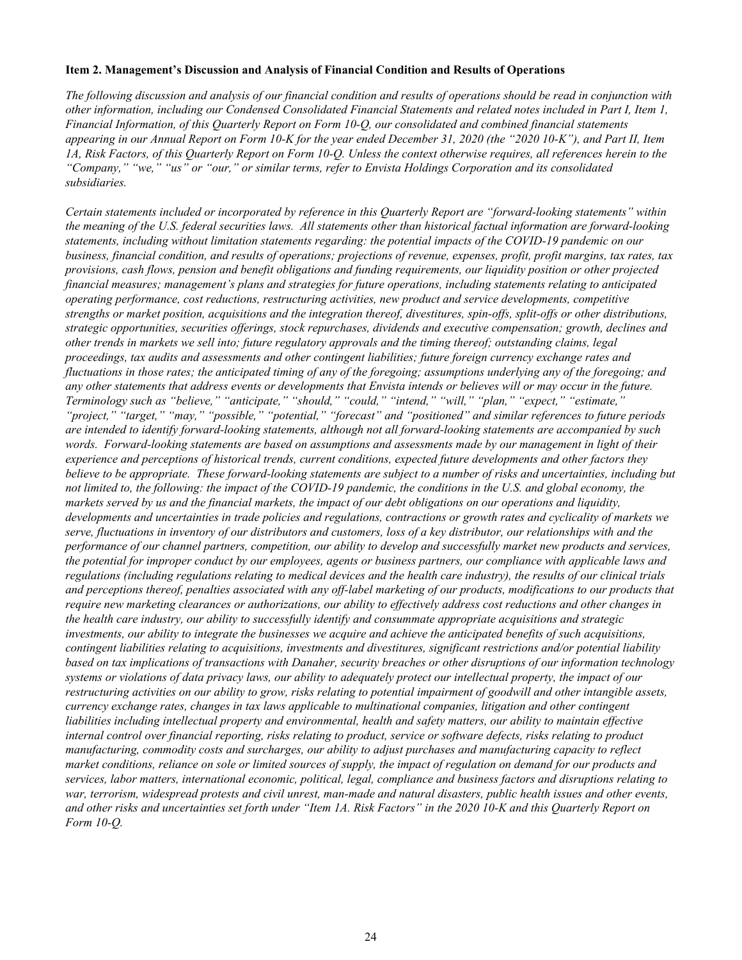#### <span id="page-26-0"></span>**Item 2. Management's Discussion and Analysis of Financial Condition and Results of Operations**

*The following discussion and analysis of our financial condition and results of operations should be read in conjunction with other information, including our Condensed Consolidated Financial Statements and related notes included in Part I, Item 1, Financial Information, of this Quarterly Report on Form 10-Q, our consolidated and combined financial statements appearing in our Annual Report on Form 10-K for the year ended December 31, 2020 (the "2020 10-K"), and Part II, Item 1A, Risk Factors, of this Quarterly Report on Form 10-Q. Unless the context otherwise requires, all references herein to the "Company," "we," "us" or "our," or similar terms, refer to Envista Holdings Corporation and its consolidated subsidiaries.*

*Certain statements included or incorporated by reference in this Quarterly Report are "forward-looking statements" within the meaning of the U.S. federal securities laws. All statements other than historical factual information are forward-looking statements, including without limitation statements regarding: the potential impacts of the COVID-19 pandemic on our business, financial condition, and results of operations; projections of revenue, expenses, profit, profit margins, tax rates, tax provisions, cash flows, pension and benefit obligations and funding requirements, our liquidity position or other projected financial measures; management's plans and strategies for future operations, including statements relating to anticipated operating performance, cost reductions, restructuring activities, new product and service developments, competitive strengths or market position, acquisitions and the integration thereof, divestitures, spin-offs, split-offs or other distributions, strategic opportunities, securities offerings, stock repurchases, dividends and executive compensation; growth, declines and other trends in markets we sell into; future regulatory approvals and the timing thereof; outstanding claims, legal proceedings, tax audits and assessments and other contingent liabilities; future foreign currency exchange rates and fluctuations in those rates; the anticipated timing of any of the foregoing; assumptions underlying any of the foregoing; and any other statements that address events or developments that Envista intends or believes will or may occur in the future. Terminology such as "believe," "anticipate," "should," "could," "intend," "will," "plan," "expect," "estimate," "project," "target," "may," "possible," "potential," "forecast" and "positioned" and similar references to future periods are intended to identify forward-looking statements, although not all forward-looking statements are accompanied by such words. Forward-looking statements are based on assumptions and assessments made by our management in light of their experience and perceptions of historical trends, current conditions, expected future developments and other factors they believe to be appropriate. These forward-looking statements are subject to a number of risks and uncertainties, including but*  not limited to, the following: the impact of the COVID-19 pandemic, the conditions in the U.S. and global economy, the *markets served by us and the financial markets, the impact of our debt obligations on our operations and liquidity, developments and uncertainties in trade policies and regulations, contractions or growth rates and cyclicality of markets we serve, fluctuations in inventory of our distributors and customers, loss of a key distributor, our relationships with and the performance of our channel partners, competition, our ability to develop and successfully market new products and services, the potential for improper conduct by our employees, agents or business partners, our compliance with applicable laws and regulations (including regulations relating to medical devices and the health care industry), the results of our clinical trials and perceptions thereof, penalties associated with any off-label marketing of our products, modifications to our products that require new marketing clearances or authorizations, our ability to effectively address cost reductions and other changes in the health care industry, our ability to successfully identify and consummate appropriate acquisitions and strategic investments, our ability to integrate the businesses we acquire and achieve the anticipated benefits of such acquisitions, contingent liabilities relating to acquisitions, investments and divestitures, significant restrictions and/or potential liability based on tax implications of transactions with Danaher, security breaches or other disruptions of our information technology systems or violations of data privacy laws, our ability to adequately protect our intellectual property, the impact of our restructuring activities on our ability to grow, risks relating to potential impairment of goodwill and other intangible assets, currency exchange rates, changes in tax laws applicable to multinational companies, litigation and other contingent liabilities including intellectual property and environmental, health and safety matters, our ability to maintain effective internal control over financial reporting, risks relating to product, service or software defects, risks relating to product manufacturing, commodity costs and surcharges, our ability to adjust purchases and manufacturing capacity to reflect market conditions, reliance on sole or limited sources of supply, the impact of regulation on demand for our products and services, labor matters, international economic, political, legal, compliance and business factors and disruptions relating to war, terrorism, widespread protests and civil unrest, man-made and natural disasters, public health issues and other events, and other risks and uncertainties set forth under "Item 1A. Risk Factors" in the 2020 10-K and this Quarterly Report on Form 10-Q.*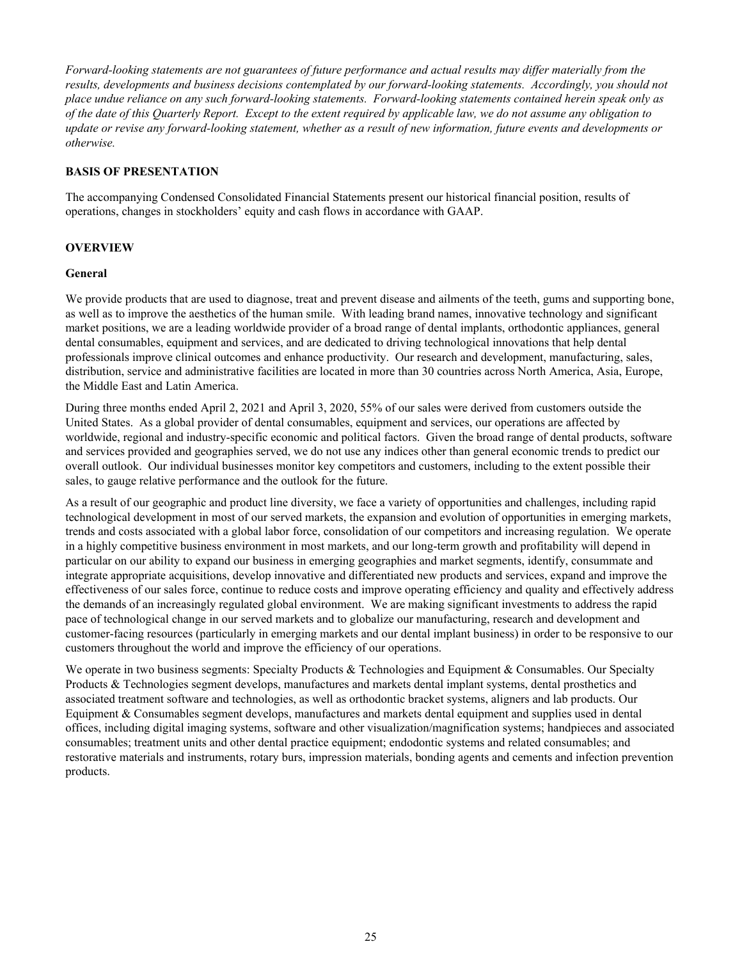*Forward-looking statements are not guarantees of future performance and actual results may differ materially from the*  results, developments and business decisions contemplated by our forward-looking statements. Accordingly, you should not *place undue reliance on any such forward-looking statements. Forward-looking statements contained herein speak only as of the date of this Quarterly Report. Except to the extent required by applicable law, we do not assume any obligation to update or revise any forward-looking statement, whether as a result of new information, future events and developments or otherwise.*

#### **BASIS OF PRESENTATION**

The accompanying Condensed Consolidated Financial Statements present our historical financial position, results of operations, changes in stockholders' equity and cash flows in accordance with GAAP.

# **OVERVIEW**

#### **General**

We provide products that are used to diagnose, treat and prevent disease and ailments of the teeth, gums and supporting bone, as well as to improve the aesthetics of the human smile. With leading brand names, innovative technology and significant market positions, we are a leading worldwide provider of a broad range of dental implants, orthodontic appliances, general dental consumables, equipment and services, and are dedicated to driving technological innovations that help dental professionals improve clinical outcomes and enhance productivity. Our research and development, manufacturing, sales, distribution, service and administrative facilities are located in more than 30 countries across North America, Asia, Europe, the Middle East and Latin America.

During three months ended April 2, 2021 and April 3, 2020, 55% of our sales were derived from customers outside the United States. As a global provider of dental consumables, equipment and services, our operations are affected by worldwide, regional and industry-specific economic and political factors. Given the broad range of dental products, software and services provided and geographies served, we do not use any indices other than general economic trends to predict our overall outlook. Our individual businesses monitor key competitors and customers, including to the extent possible their sales, to gauge relative performance and the outlook for the future.

As a result of our geographic and product line diversity, we face a variety of opportunities and challenges, including rapid technological development in most of our served markets, the expansion and evolution of opportunities in emerging markets, trends and costs associated with a global labor force, consolidation of our competitors and increasing regulation. We operate in a highly competitive business environment in most markets, and our long-term growth and profitability will depend in particular on our ability to expand our business in emerging geographies and market segments, identify, consummate and integrate appropriate acquisitions, develop innovative and differentiated new products and services, expand and improve the effectiveness of our sales force, continue to reduce costs and improve operating efficiency and quality and effectively address the demands of an increasingly regulated global environment. We are making significant investments to address the rapid pace of technological change in our served markets and to globalize our manufacturing, research and development and customer-facing resources (particularly in emerging markets and our dental implant business) in order to be responsive to our customers throughout the world and improve the efficiency of our operations.

We operate in two business segments: Specialty Products & Technologies and Equipment & Consumables. Our Specialty Products & Technologies segment develops, manufactures and markets dental implant systems, dental prosthetics and associated treatment software and technologies, as well as orthodontic bracket systems, aligners and lab products. Our Equipment & Consumables segment develops, manufactures and markets dental equipment and supplies used in dental offices, including digital imaging systems, software and other visualization/magnification systems; handpieces and associated consumables; treatment units and other dental practice equipment; endodontic systems and related consumables; and restorative materials and instruments, rotary burs, impression materials, bonding agents and cements and infection prevention products.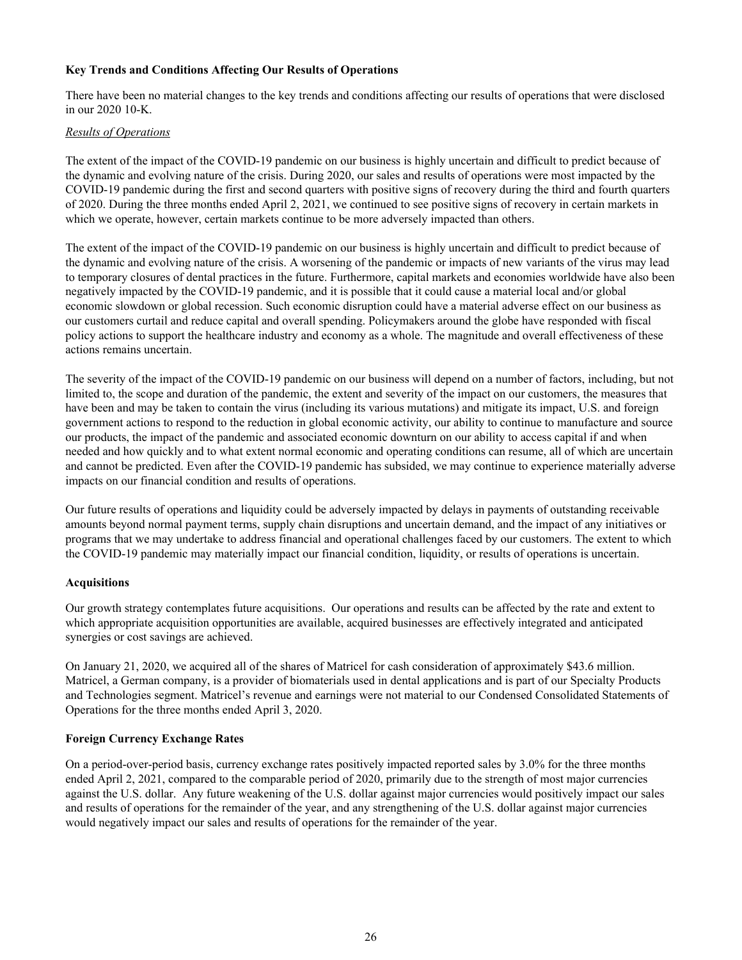# **Key Trends and Conditions Affecting Our Results of Operations**

There have been no material changes to the key trends and conditions affecting our results of operations that were disclosed in our 2020 10-K.

## *Results of Operations*

The extent of the impact of the COVID-19 pandemic on our business is highly uncertain and difficult to predict because of the dynamic and evolving nature of the crisis. During 2020, our sales and results of operations were most impacted by the COVID-19 pandemic during the first and second quarters with positive signs of recovery during the third and fourth quarters of 2020. During the three months ended April 2, 2021, we continued to see positive signs of recovery in certain markets in which we operate, however, certain markets continue to be more adversely impacted than others.

The extent of the impact of the COVID-19 pandemic on our business is highly uncertain and difficult to predict because of the dynamic and evolving nature of the crisis. A worsening of the pandemic or impacts of new variants of the virus may lead to temporary closures of dental practices in the future. Furthermore, capital markets and economies worldwide have also been negatively impacted by the COVID-19 pandemic, and it is possible that it could cause a material local and/or global economic slowdown or global recession. Such economic disruption could have a material adverse effect on our business as our customers curtail and reduce capital and overall spending. Policymakers around the globe have responded with fiscal policy actions to support the healthcare industry and economy as a whole. The magnitude and overall effectiveness of these actions remains uncertain.

The severity of the impact of the COVID-19 pandemic on our business will depend on a number of factors, including, but not limited to, the scope and duration of the pandemic, the extent and severity of the impact on our customers, the measures that have been and may be taken to contain the virus (including its various mutations) and mitigate its impact, U.S. and foreign government actions to respond to the reduction in global economic activity, our ability to continue to manufacture and source our products, the impact of the pandemic and associated economic downturn on our ability to access capital if and when needed and how quickly and to what extent normal economic and operating conditions can resume, all of which are uncertain and cannot be predicted. Even after the COVID-19 pandemic has subsided, we may continue to experience materially adverse impacts on our financial condition and results of operations.

Our future results of operations and liquidity could be adversely impacted by delays in payments of outstanding receivable amounts beyond normal payment terms, supply chain disruptions and uncertain demand, and the impact of any initiatives or programs that we may undertake to address financial and operational challenges faced by our customers. The extent to which the COVID-19 pandemic may materially impact our financial condition, liquidity, or results of operations is uncertain.

## **Acquisitions**

Our growth strategy contemplates future acquisitions. Our operations and results can be affected by the rate and extent to which appropriate acquisition opportunities are available, acquired businesses are effectively integrated and anticipated synergies or cost savings are achieved.

On January 21, 2020, we acquired all of the shares of Matricel for cash consideration of approximately \$43.6 million. Matricel, a German company, is a provider of biomaterials used in dental applications and is part of our Specialty Products and Technologies segment. Matricel's revenue and earnings were not material to our Condensed Consolidated Statements of Operations for the three months ended April 3, 2020.

## **Foreign Currency Exchange Rates**

On a period-over-period basis, currency exchange rates positively impacted reported sales by 3.0% for the three months ended April 2, 2021, compared to the comparable period of 2020, primarily due to the strength of most major currencies against the U.S. dollar. Any future weakening of the U.S. dollar against major currencies would positively impact our sales and results of operations for the remainder of the year, and any strengthening of the U.S. dollar against major currencies would negatively impact our sales and results of operations for the remainder of the year.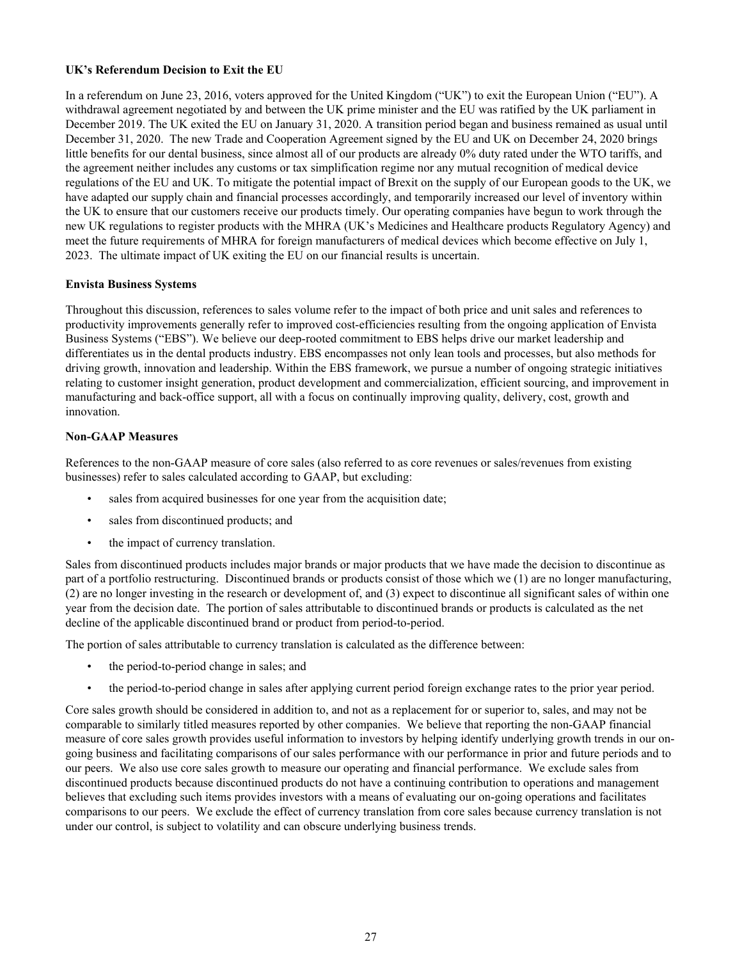## **UK's Referendum Decision to Exit the EU**

In a referendum on June 23, 2016, voters approved for the United Kingdom ("UK") to exit the European Union ("EU"). A withdrawal agreement negotiated by and between the UK prime minister and the EU was ratified by the UK parliament in December 2019. The UK exited the EU on January 31, 2020. A transition period began and business remained as usual until December 31, 2020. The new Trade and Cooperation Agreement signed by the EU and UK on December 24, 2020 brings little benefits for our dental business, since almost all of our products are already 0% duty rated under the WTO tariffs, and the agreement neither includes any customs or tax simplification regime nor any mutual recognition of medical device regulations of the EU and UK. To mitigate the potential impact of Brexit on the supply of our European goods to the UK, we have adapted our supply chain and financial processes accordingly, and temporarily increased our level of inventory within the UK to ensure that our customers receive our products timely. Our operating companies have begun to work through the new UK regulations to register products with the MHRA (UK's Medicines and Healthcare products Regulatory Agency) and meet the future requirements of MHRA for foreign manufacturers of medical devices which become effective on July 1, 2023. The ultimate impact of UK exiting the EU on our financial results is uncertain.

#### **Envista Business Systems**

Throughout this discussion, references to sales volume refer to the impact of both price and unit sales and references to productivity improvements generally refer to improved cost-efficiencies resulting from the ongoing application of Envista Business Systems ("EBS"). We believe our deep-rooted commitment to EBS helps drive our market leadership and differentiates us in the dental products industry. EBS encompasses not only lean tools and processes, but also methods for driving growth, innovation and leadership. Within the EBS framework, we pursue a number of ongoing strategic initiatives relating to customer insight generation, product development and commercialization, efficient sourcing, and improvement in manufacturing and back-office support, all with a focus on continually improving quality, delivery, cost, growth and innovation.

#### **Non-GAAP Measures**

References to the non-GAAP measure of core sales (also referred to as core revenues or sales/revenues from existing businesses) refer to sales calculated according to GAAP, but excluding:

- sales from acquired businesses for one year from the acquisition date;
- sales from discontinued products; and
- the impact of currency translation.

Sales from discontinued products includes major brands or major products that we have made the decision to discontinue as part of a portfolio restructuring. Discontinued brands or products consist of those which we (1) are no longer manufacturing, (2) are no longer investing in the research or development of, and (3) expect to discontinue all significant sales of within one year from the decision date. The portion of sales attributable to discontinued brands or products is calculated as the net decline of the applicable discontinued brand or product from period-to-period.

The portion of sales attributable to currency translation is calculated as the difference between:

- the period-to-period change in sales; and
- the period-to-period change in sales after applying current period foreign exchange rates to the prior year period.

Core sales growth should be considered in addition to, and not as a replacement for or superior to, sales, and may not be comparable to similarly titled measures reported by other companies. We believe that reporting the non-GAAP financial measure of core sales growth provides useful information to investors by helping identify underlying growth trends in our ongoing business and facilitating comparisons of our sales performance with our performance in prior and future periods and to our peers. We also use core sales growth to measure our operating and financial performance. We exclude sales from discontinued products because discontinued products do not have a continuing contribution to operations and management believes that excluding such items provides investors with a means of evaluating our on-going operations and facilitates comparisons to our peers. We exclude the effect of currency translation from core sales because currency translation is not under our control, is subject to volatility and can obscure underlying business trends.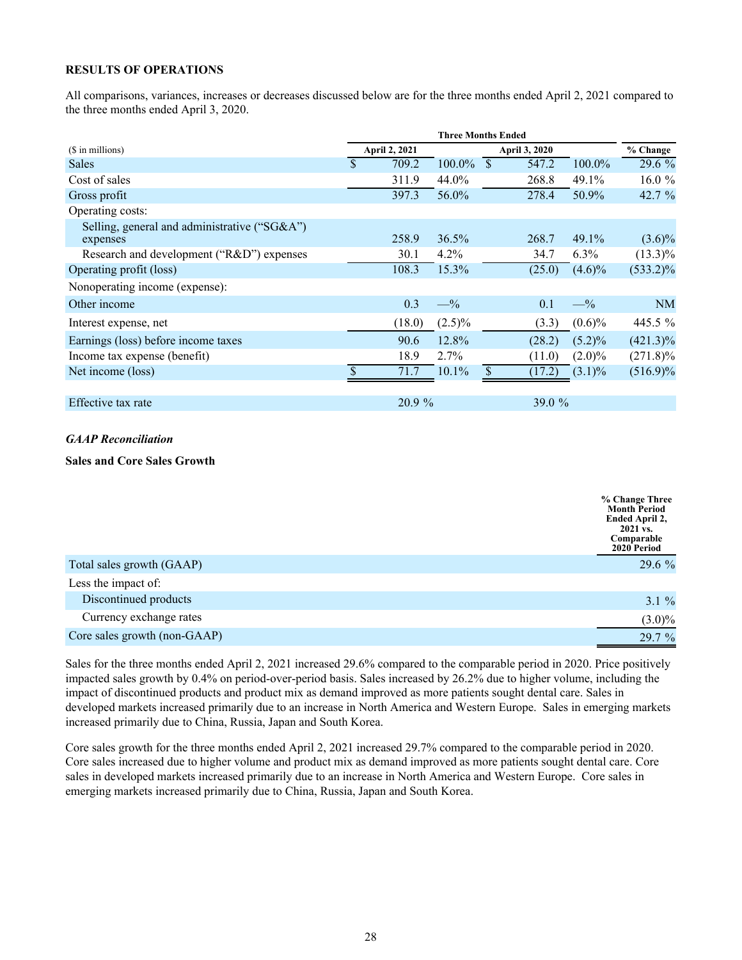## **RESULTS OF OPERATIONS**

All comparisons, variances, increases or decreases discussed below are for the three months ended April 2, 2021 compared to the three months ended April 3, 2020.

|                                                          | <b>Three Months Ended</b> |                      |           |               |               |           |             |  |
|----------------------------------------------------------|---------------------------|----------------------|-----------|---------------|---------------|-----------|-------------|--|
| (\$ in millions)                                         |                           | <b>April 2, 2021</b> |           |               | April 3, 2020 |           | % Change    |  |
| <b>Sales</b>                                             | $\mathbf S$               | 709.2                | 100.0%    | $\mathcal{S}$ | 547.2         | $100.0\%$ | 29.6 %      |  |
| Cost of sales                                            |                           | 311.9                | 44.0%     |               | 268.8         | 49.1%     | 16.0 $%$    |  |
| Gross profit                                             |                           | 397.3                | 56.0%     |               | 278.4         | 50.9%     | 42.7 %      |  |
| Operating costs:                                         |                           |                      |           |               |               |           |             |  |
| Selling, general and administrative ("SG&A")<br>expenses |                           | 258.9                | 36.5%     |               | 268.7         | 49.1%     | $(3.6)\%$   |  |
| Research and development ("R&D") expenses                |                           | 30.1                 | $4.2\%$   |               | 34.7          | $6.3\%$   | $(13.3)\%$  |  |
| Operating profit (loss)                                  |                           | 108.3                | 15.3%     |               | (25.0)        | $(4.6)\%$ | $(533.2)\%$ |  |
| Nonoperating income (expense):                           |                           |                      |           |               |               |           |             |  |
| Other income                                             |                           | 0.3                  | $-$ %     |               | 0.1           | $-$ %     | <b>NM</b>   |  |
| Interest expense, net                                    |                           | (18.0)               | $(2.5)\%$ |               | (3.3)         | $(0.6)\%$ | 445.5 %     |  |
| Earnings (loss) before income taxes                      |                           | 90.6                 | 12.8%     |               | (28.2)        | $(5.2)\%$ | $(421.3)\%$ |  |
| Income tax expense (benefit)                             |                           | 18.9                 | 2.7%      |               | (11.0)        | $(2.0)\%$ | $(271.8)\%$ |  |
| Net income (loss)                                        |                           | 71.7                 | 10.1%     | $\mathcal{S}$ | (17.2)        | $(3.1)\%$ | $(516.9)\%$ |  |
| Effective tax rate                                       |                           | 20.9%                |           |               | 39.0 $%$      |           |             |  |

# *GAAP Reconciliation*

## **Sales and Core Sales Growth**

|                              | % Change Three<br><b>Month Period</b><br>Ended April 2,<br>$2021$ vs.<br>Comparable<br>2020 Period |
|------------------------------|----------------------------------------------------------------------------------------------------|
| Total sales growth (GAAP)    | 29.6 %                                                                                             |
| Less the impact of:          |                                                                                                    |
| Discontinued products        | $3.1 \%$                                                                                           |
| Currency exchange rates      | $(3.0)\%$                                                                                          |
| Core sales growth (non-GAAP) | 29.7%                                                                                              |

Sales for the three months ended April 2, 2021 increased 29.6% compared to the comparable period in 2020. Price positively impacted sales growth by 0.4% on period-over-period basis. Sales increased by 26.2% due to higher volume, including the impact of discontinued products and product mix as demand improved as more patients sought dental care. Sales in developed markets increased primarily due to an increase in North America and Western Europe. Sales in emerging markets increased primarily due to China, Russia, Japan and South Korea.

Core sales growth for the three months ended April 2, 2021 increased 29.7% compared to the comparable period in 2020. Core sales increased due to higher volume and product mix as demand improved as more patients sought dental care. Core sales in developed markets increased primarily due to an increase in North America and Western Europe. Core sales in emerging markets increased primarily due to China, Russia, Japan and South Korea.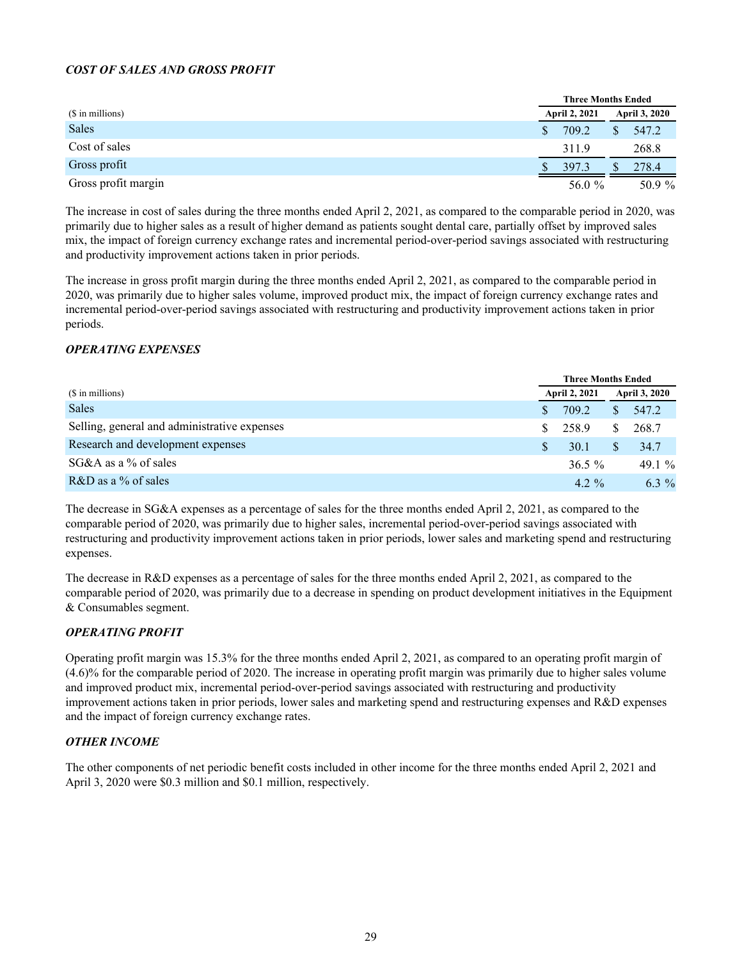## *COST OF SALES AND GROSS PROFIT*

|                     | <b>Three Months Ended</b> |        |                      |        |
|---------------------|---------------------------|--------|----------------------|--------|
| (\$ in millions)    | April 2, 2021             |        | <b>April 3, 2020</b> |        |
| Sales               |                           | 709.2  |                      | 547.2  |
| Cost of sales       |                           | 311.9  |                      | 268.8  |
| Gross profit        |                           | 397.3  |                      | 278.4  |
| Gross profit margin |                           | 56.0 % |                      | 50.9 % |

The increase in cost of sales during the three months ended April 2, 2021, as compared to the comparable period in 2020, was primarily due to higher sales as a result of higher demand as patients sought dental care, partially offset by improved sales mix, the impact of foreign currency exchange rates and incremental period-over-period savings associated with restructuring and productivity improvement actions taken in prior periods.

The increase in gross profit margin during the three months ended April 2, 2021, as compared to the comparable period in 2020, was primarily due to higher sales volume, improved product mix, the impact of foreign currency exchange rates and incremental period-over-period savings associated with restructuring and productivity improvement actions taken in prior periods.

## *OPERATING EXPENSES*

|                                              | <b>Three Months Ended</b> |           |               |           |
|----------------------------------------------|---------------------------|-----------|---------------|-----------|
| (\$ in millions)                             | <b>April 2, 2021</b>      |           | April 3, 2020 |           |
| <b>Sales</b>                                 |                           | 709.2     |               | 547.2     |
| Selling, general and administrative expenses | S.                        | 258.9     | S.            | 268.7     |
| Research and development expenses            |                           | 30.1      |               | 34.7      |
| $SG&A$ as a % of sales                       |                           | $36.5 \%$ |               | 49.1 $\%$ |
| $R&D$ as a % of sales                        |                           | $4.2 \%$  |               | 6.3 $%$   |

The decrease in SG&A expenses as a percentage of sales for the three months ended April 2, 2021, as compared to the comparable period of 2020, was primarily due to higher sales, incremental period-over-period savings associated with restructuring and productivity improvement actions taken in prior periods, lower sales and marketing spend and restructuring expenses.

The decrease in R&D expenses as a percentage of sales for the three months ended April 2, 2021, as compared to the comparable period of 2020, was primarily due to a decrease in spending on product development initiatives in the Equipment & Consumables segment.

## *OPERATING PROFIT*

Operating profit margin was 15.3% for the three months ended April 2, 2021, as compared to an operating profit margin of (4.6)% for the comparable period of 2020. The increase in operating profit margin was primarily due to higher sales volume and improved product mix, incremental period-over-period savings associated with restructuring and productivity improvement actions taken in prior periods, lower sales and marketing spend and restructuring expenses and R&D expenses and the impact of foreign currency exchange rates.

## *OTHER INCOME*

The other components of net periodic benefit costs included in other income for the three months ended April 2, 2021 and April 3, 2020 were \$0.3 million and \$0.1 million, respectively.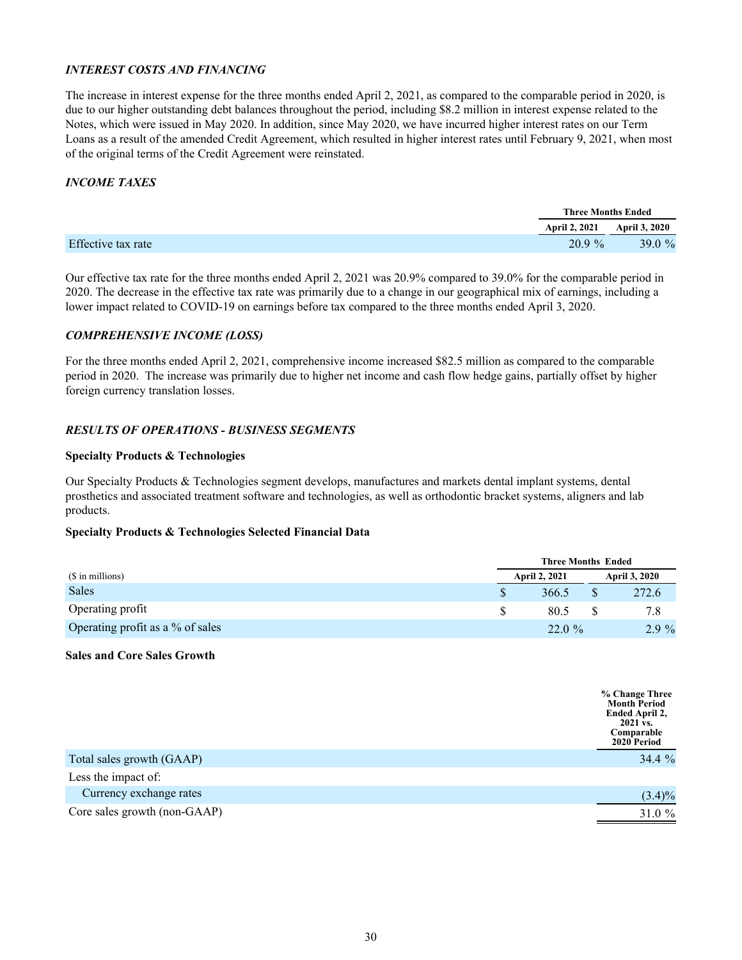# *INTEREST COSTS AND FINANCING*

The increase in interest expense for the three months ended April 2, 2021, as compared to the comparable period in 2020, is due to our higher outstanding debt balances throughout the period, including \$8.2 million in interest expense related to the Notes, which were issued in May 2020. In addition, since May 2020, we have incurred higher interest rates on our Term Loans as a result of the amended Credit Agreement, which resulted in higher interest rates until February 9, 2021, when most of the original terms of the Credit Agreement were reinstated.

## *INCOME TAXES*

|                    | <b>Three Months Ended</b> |                             |  |
|--------------------|---------------------------|-----------------------------|--|
|                    |                           | April 2, 2021 April 3, 2020 |  |
| Effective tax rate | $20.9 \%$                 | 39.0 $%$                    |  |

Our effective tax rate for the three months ended April 2, 2021 was 20.9% compared to 39.0% for the comparable period in 2020. The decrease in the effective tax rate was primarily due to a change in our geographical mix of earnings, including a lower impact related to COVID-19 on earnings before tax compared to the three months ended April 3, 2020.

## *COMPREHENSIVE INCOME (LOSS)*

For the three months ended April 2, 2021, comprehensive income increased \$82.5 million as compared to the comparable period in 2020. The increase was primarily due to higher net income and cash flow hedge gains, partially offset by higher foreign currency translation losses.

# *RESULTS OF OPERATIONS - BUSINESS SEGMENTS*

#### **Specialty Products & Technologies**

Our Specialty Products & Technologies segment develops, manufactures and markets dental implant systems, dental prosthetics and associated treatment software and technologies, as well as orthodontic bracket systems, aligners and lab products.

# **Specialty Products & Technologies Selected Financial Data**

|                                  |                      | <b>Three Months Ended</b> |  |  |
|----------------------------------|----------------------|---------------------------|--|--|
| (\$ in millions)                 | <b>April 2, 2021</b> | <b>April 3, 2020</b>      |  |  |
| <b>Sales</b>                     | 366.5                | 272.6                     |  |  |
| Operating profit                 | 80.5                 | 7.8                       |  |  |
| Operating profit as a % of sales | $22.0 \%$            | $2.9\%$                   |  |  |

#### **Sales and Core Sales Growth**

|                              | % Change Three<br><b>Month Period</b><br>Ended April 2,<br>2021 vs.<br>Comparable<br>2020 Period |
|------------------------------|--------------------------------------------------------------------------------------------------|
| Total sales growth (GAAP)    | 34.4 %                                                                                           |
| Less the impact of:          |                                                                                                  |
| Currency exchange rates      | $(3.4)\%$                                                                                        |
| Core sales growth (non-GAAP) | 31.0 %                                                                                           |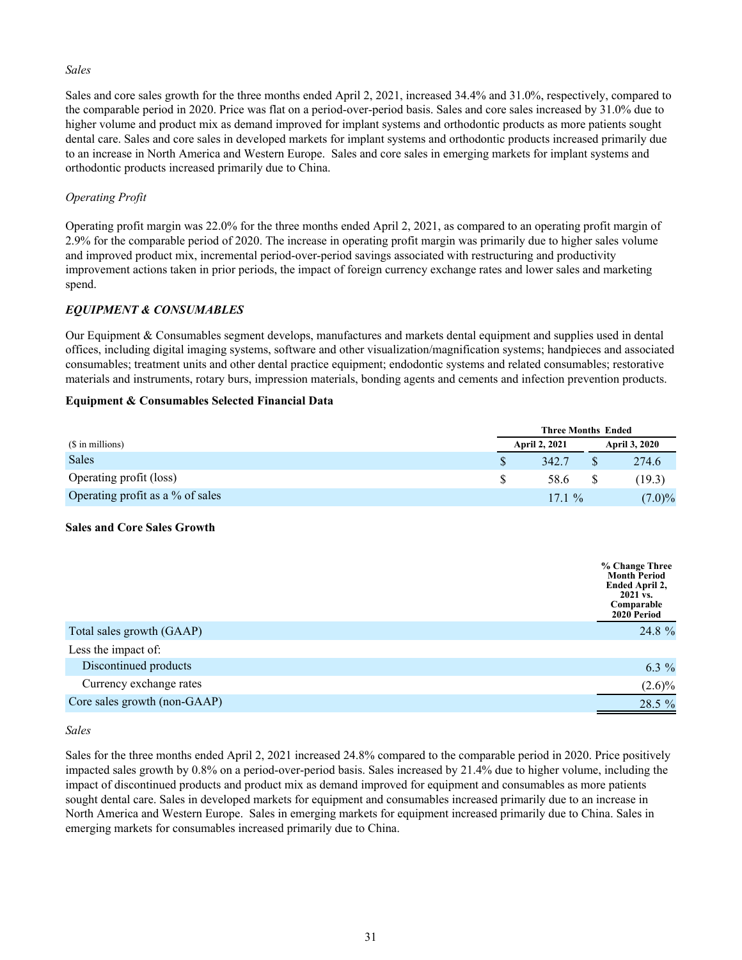#### *Sales*

Sales and core sales growth for the three months ended April 2, 2021, increased 34.4% and 31.0%, respectively, compared to the comparable period in 2020. Price was flat on a period-over-period basis. Sales and core sales increased by 31.0% due to higher volume and product mix as demand improved for implant systems and orthodontic products as more patients sought dental care. Sales and core sales in developed markets for implant systems and orthodontic products increased primarily due to an increase in North America and Western Europe. Sales and core sales in emerging markets for implant systems and orthodontic products increased primarily due to China.

## *Operating Profit*

Operating profit margin was 22.0% for the three months ended April 2, 2021, as compared to an operating profit margin of 2.9% for the comparable period of 2020. The increase in operating profit margin was primarily due to higher sales volume and improved product mix, incremental period-over-period savings associated with restructuring and productivity improvement actions taken in prior periods, the impact of foreign currency exchange rates and lower sales and marketing spend.

# *EQUIPMENT & CONSUMABLES*

Our Equipment & Consumables segment develops, manufactures and markets dental equipment and supplies used in dental offices, including digital imaging systems, software and other visualization/magnification systems; handpieces and associated consumables; treatment units and other dental practice equipment; endodontic systems and related consumables; restorative materials and instruments, rotary burs, impression materials, bonding agents and cements and infection prevention products.

# **Equipment & Consumables Selected Financial Data**

|                                  | <b>Three Months Ended</b> |          |  |                      |  |
|----------------------------------|---------------------------|----------|--|----------------------|--|
| (\$ in millions)                 | <b>April 2, 2021</b>      |          |  | <b>April 3, 2020</b> |  |
| <b>Sales</b>                     |                           | 342.7    |  | 274.6                |  |
| Operating profit (loss)          |                           | 58.6     |  | (19.3)               |  |
| Operating profit as a % of sales |                           | $17.1\%$ |  | $(7.0)\%$            |  |

## **Sales and Core Sales Growth**

|                              | % Change Three<br><b>Month Period</b><br>Ended April 2,<br>2021 vs.<br>Comparable<br>2020 Period |
|------------------------------|--------------------------------------------------------------------------------------------------|
| Total sales growth (GAAP)    | 24.8 %                                                                                           |
| Less the impact of:          |                                                                                                  |
| Discontinued products        | 6.3 $%$                                                                                          |
| Currency exchange rates      | $(2.6)\%$                                                                                        |
| Core sales growth (non-GAAP) | 28.5 %                                                                                           |

#### *Sales*

Sales for the three months ended April 2, 2021 increased 24.8% compared to the comparable period in 2020. Price positively impacted sales growth by 0.8% on a period-over-period basis. Sales increased by 21.4% due to higher volume, including the impact of discontinued products and product mix as demand improved for equipment and consumables as more patients sought dental care. Sales in developed markets for equipment and consumables increased primarily due to an increase in North America and Western Europe. Sales in emerging markets for equipment increased primarily due to China. Sales in emerging markets for consumables increased primarily due to China.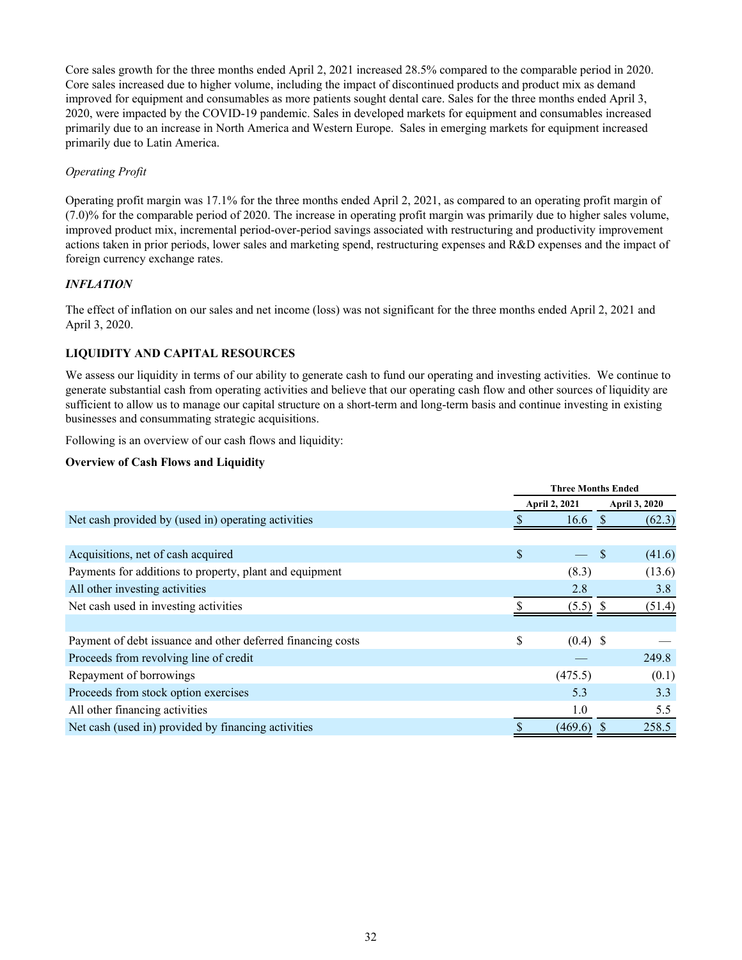Core sales growth for the three months ended April 2, 2021 increased 28.5% compared to the comparable period in 2020. Core sales increased due to higher volume, including the impact of discontinued products and product mix as demand improved for equipment and consumables as more patients sought dental care. Sales for the three months ended April 3, 2020, were impacted by the COVID-19 pandemic. Sales in developed markets for equipment and consumables increased primarily due to an increase in North America and Western Europe. Sales in emerging markets for equipment increased primarily due to Latin America.

# *Operating Profit*

Operating profit margin was 17.1% for the three months ended April 2, 2021, as compared to an operating profit margin of (7.0)% for the comparable period of 2020. The increase in operating profit margin was primarily due to higher sales volume, improved product mix, incremental period-over-period savings associated with restructuring and productivity improvement actions taken in prior periods, lower sales and marketing spend, restructuring expenses and R&D expenses and the impact of foreign currency exchange rates.

# *INFLATION*

The effect of inflation on our sales and net income (loss) was not significant for the three months ended April 2, 2021 and April 3, 2020.

# **LIQUIDITY AND CAPITAL RESOURCES**

We assess our liquidity in terms of our ability to generate cash to fund our operating and investing activities. We continue to generate substantial cash from operating activities and believe that our operating cash flow and other sources of liquidity are sufficient to allow us to manage our capital structure on a short-term and long-term basis and continue investing in existing businesses and consummating strategic acquisitions.

Following is an overview of our cash flows and liquidity:

# **Overview of Cash Flows and Liquidity**

|                                                             | <b>Three Months Ended</b> |                      |  |               |  |
|-------------------------------------------------------------|---------------------------|----------------------|--|---------------|--|
|                                                             |                           | <b>April 2, 2021</b> |  | April 3, 2020 |  |
| Net cash provided by (used in) operating activities         |                           | 16.6                 |  | (62.3)        |  |
|                                                             |                           |                      |  |               |  |
| Acquisitions, net of cash acquired                          | \$                        |                      |  | (41.6)        |  |
| Payments for additions to property, plant and equipment     |                           | (8.3)                |  | (13.6)        |  |
| All other investing activities                              |                           | 2.8                  |  | 3.8           |  |
| Net cash used in investing activities                       |                           | (5.5)                |  | (51.4)        |  |
|                                                             |                           |                      |  |               |  |
| Payment of debt issuance and other deferred financing costs | \$                        | $(0.4)$ \$           |  |               |  |
| Proceeds from revolving line of credit                      |                           |                      |  | 249.8         |  |
| Repayment of borrowings                                     |                           | (475.5)              |  | (0.1)         |  |
| Proceeds from stock option exercises                        |                           | 5.3                  |  | 3.3           |  |
| All other financing activities                              |                           | 1.0                  |  | 5.5           |  |
| Net cash (used in) provided by financing activities         |                           | (469.6)              |  | 258.5         |  |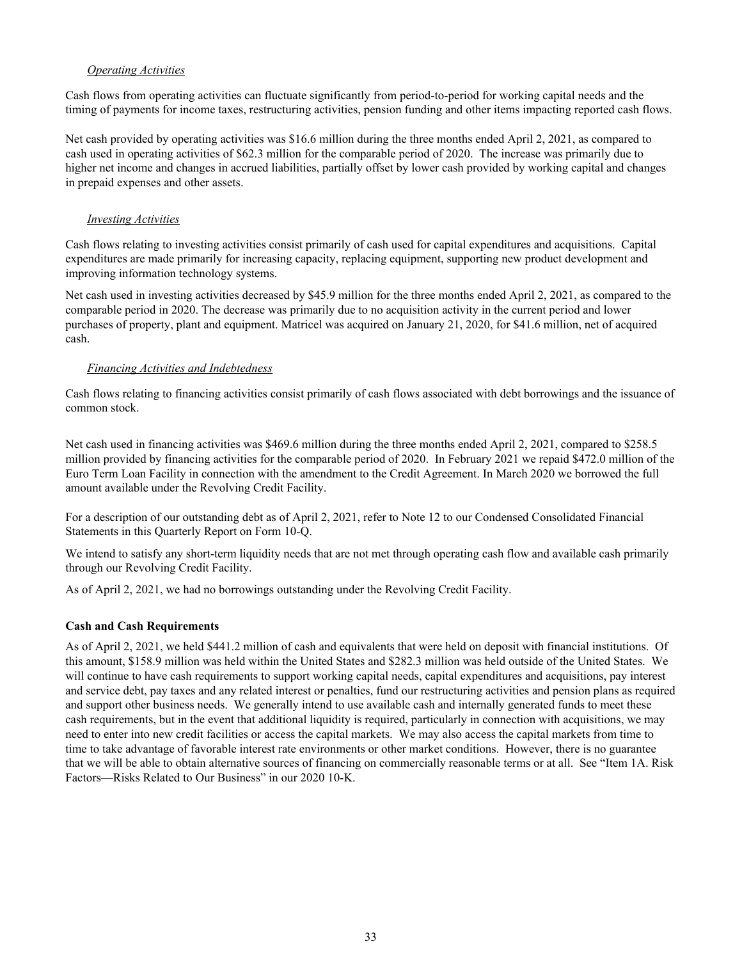#### *Operating Activities*

Cash flows from operating activities can fluctuate significantly from period-to-period for working capital needs and the timing of payments for income taxes, restructuring activities, pension funding and other items impacting reported cash flows.

Net cash provided by operating activities was \$16.6 million during the three months ended April 2, 2021, as compared to cash used in operating activities of \$62.3 million for the comparable period of 2020. The increase was primarily due to higher net income and changes in accrued liabilities, partially offset by lower cash provided by working capital and changes in prepaid expenses and other assets.

#### *Investing Activities*

Cash flows relating to investing activities consist primarily of cash used for capital expenditures and acquisitions. Capital expenditures are made primarily for increasing capacity, replacing equipment, supporting new product development and improving information technology systems.

Net cash used in investing activities decreased by \$45.9 million for the three months ended April 2, 2021, as compared to the comparable period in 2020. The decrease was primarily due to no acquisition activity in the current period and lower purchases of property, plant and equipment. Matricel was acquired on January 21, 2020, for \$41.6 million, net of acquired cash.

#### *Financing Activities and Indebtedness*

Cash flows relating to financing activities consist primarily of cash flows associated with debt borrowings and the issuance of common stock.

Net cash used in financing activities was \$469.6 million during the three months ended April 2, 2021, compared to \$258.5 million provided by financing activities for the comparable period of 2020. In February 2021 we repaid \$472.0 million of the Euro Term Loan Facility in connection with the amendment to the Credit Agreement. In March 2020 we borrowed the full amount available under the Revolving Credit Facility.

For a description of our outstanding debt as of April 2, 2021, refer to Note 12 to our Condensed Consolidated Financial Statements in this Quarterly Report on Form 10-Q.

We intend to satisfy any short-term liquidity needs that are not met through operating cash flow and available cash primarily through our Revolving Credit Facility.

As of April 2, 2021, we had no borrowings outstanding under the Revolving Credit Facility.

## **Cash and Cash Requirements**

As of April 2, 2021, we held \$441.2 million of cash and equivalents that were held on deposit with financial institutions. Of this amount, \$158.9 million was held within the United States and \$282.3 million was held outside of the United States. We will continue to have cash requirements to support working capital needs, capital expenditures and acquisitions, pay interest and service debt, pay taxes and any related interest or penalties, fund our restructuring activities and pension plans as required and support other business needs. We generally intend to use available cash and internally generated funds to meet these cash requirements, but in the event that additional liquidity is required, particularly in connection with acquisitions, we may need to enter into new credit facilities or access the capital markets. We may also access the capital markets from time to time to take advantage of favorable interest rate environments or other market conditions. However, there is no guarantee that we will be able to obtain alternative sources of financing on commercially reasonable terms or at all. See "Item 1A. Risk Factors—Risks Related to Our Business" in our 2020 10-K.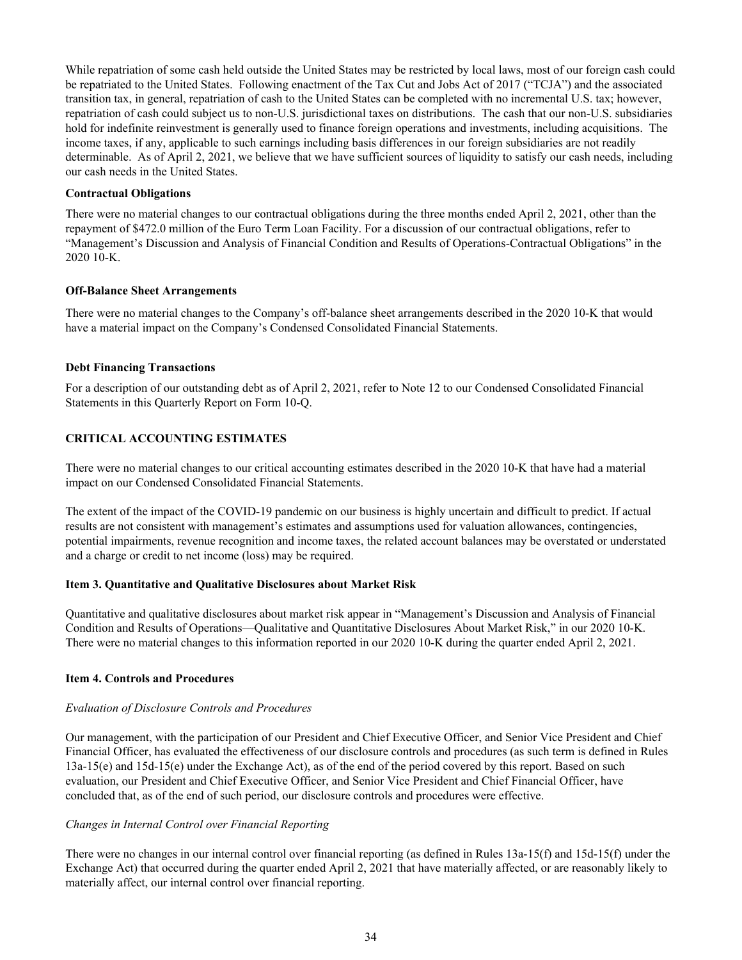<span id="page-36-0"></span>While repatriation of some cash held outside the United States may be restricted by local laws, most of our foreign cash could be repatriated to the United States. Following enactment of the Tax Cut and Jobs Act of 2017 ("TCJA") and the associated transition tax, in general, repatriation of cash to the United States can be completed with no incremental U.S. tax; however, repatriation of cash could subject us to non-U.S. jurisdictional taxes on distributions. The cash that our non-U.S. subsidiaries hold for indefinite reinvestment is generally used to finance foreign operations and investments, including acquisitions. The income taxes, if any, applicable to such earnings including basis differences in our foreign subsidiaries are not readily determinable. As of April 2, 2021, we believe that we have sufficient sources of liquidity to satisfy our cash needs, including our cash needs in the United States.

#### **Contractual Obligations**

There were no material changes to our contractual obligations during the three months ended April 2, 2021, other than the repayment of \$472.0 million of the Euro Term Loan Facility. For a discussion of our contractual obligations, refer to "Management's Discussion and Analysis of Financial Condition and Results of Operations-Contractual Obligations" in the 2020 10-K.

## **Off-Balance Sheet Arrangements**

There were no material changes to the Company's off-balance sheet arrangements described in the 2020 10-K that would have a material impact on the Company's Condensed Consolidated Financial Statements.

#### **Debt Financing Transactions**

For a description of our outstanding debt as of April 2, 2021, refer to Note 12 to our Condensed Consolidated Financial Statements in this Quarterly Report on Form 10-Q.

## **CRITICAL ACCOUNTING ESTIMATES**

There were no material changes to our critical accounting estimates described in the 2020 10-K that have had a material impact on our Condensed Consolidated Financial Statements.

The extent of the impact of the COVID-19 pandemic on our business is highly uncertain and difficult to predict. If actual results are not consistent with management's estimates and assumptions used for valuation allowances, contingencies, potential impairments, revenue recognition and income taxes, the related account balances may be overstated or understated and a charge or credit to net income (loss) may be required.

## **Item 3. Quantitative and Qualitative Disclosures about Market Risk**

Quantitative and qualitative disclosures about market risk appear in "Management's Discussion and Analysis of Financial Condition and Results of Operations—Qualitative and Quantitative Disclosures About Market Risk," in our 2020 10-K. There were no material changes to this information reported in our 2020 10-K during the quarter ended April 2, 2021.

## **Item 4. Controls and Procedures**

## *Evaluation of Disclosure Controls and Procedures*

Our management, with the participation of our President and Chief Executive Officer, and Senior Vice President and Chief Financial Officer, has evaluated the effectiveness of our disclosure controls and procedures (as such term is defined in Rules 13a-15(e) and 15d-15(e) under the Exchange Act), as of the end of the period covered by this report. Based on such evaluation, our President and Chief Executive Officer, and Senior Vice President and Chief Financial Officer, have concluded that, as of the end of such period, our disclosure controls and procedures were effective.

## *Changes in Internal Control over Financial Reporting*

There were no changes in our internal control over financial reporting (as defined in Rules 13a-15(f) and 15d-15(f) under the Exchange Act) that occurred during the quarter ended April 2, 2021 that have materially affected, or are reasonably likely to materially affect, our internal control over financial reporting.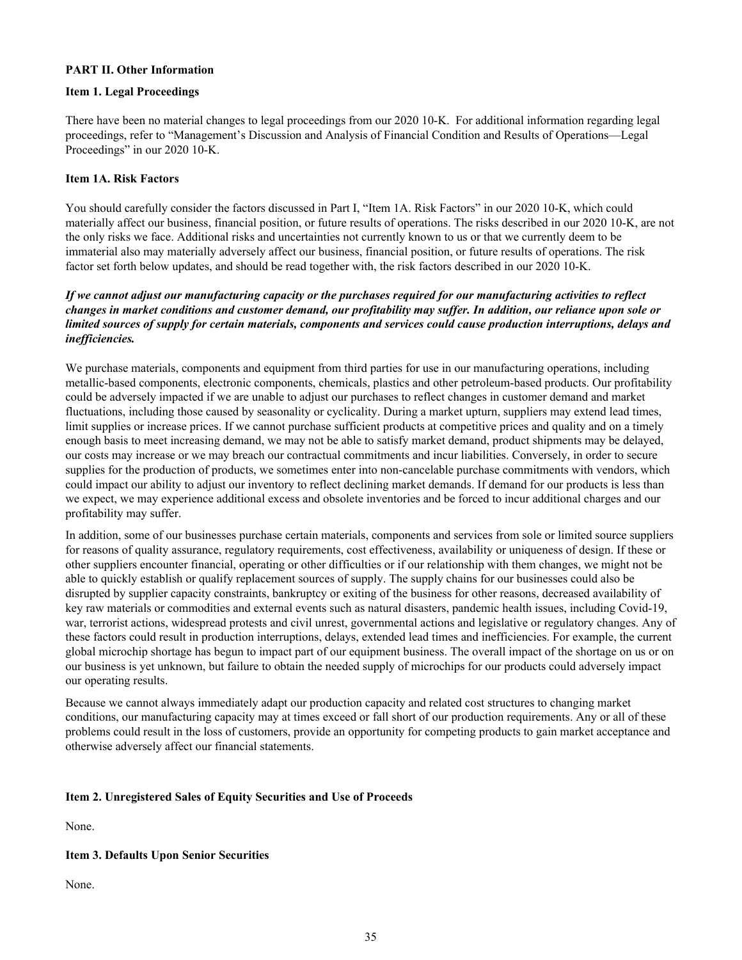## <span id="page-37-0"></span>**PART II. Other Information**

## **Item 1. Legal Proceedings**

There have been no material changes to legal proceedings from our 2020 10-K. For additional information regarding legal proceedings, refer to "Management's Discussion and Analysis of Financial Condition and Results of Operations—Legal Proceedings" in our 2020 10-K.

## **Item 1A. Risk Factors**

You should carefully consider the factors discussed in Part I, "Item 1A. Risk Factors" in our 2020 10-K, which could materially affect our business, financial position, or future results of operations. The risks described in our 2020 10-K, are not the only risks we face. Additional risks and uncertainties not currently known to us or that we currently deem to be immaterial also may materially adversely affect our business, financial position, or future results of operations. The risk factor set forth below updates, and should be read together with, the risk factors described in our 2020 10-K.

# *If we cannot adjust our manufacturing capacity or the purchases required for our manufacturing activities to reflect changes in market conditions and customer demand, our profitability may suffer. In addition, our reliance upon sole or limited sources of supply for certain materials, components and services could cause production interruptions, delays and inefficiencies.*

We purchase materials, components and equipment from third parties for use in our manufacturing operations, including metallic-based components, electronic components, chemicals, plastics and other petroleum-based products. Our profitability could be adversely impacted if we are unable to adjust our purchases to reflect changes in customer demand and market fluctuations, including those caused by seasonality or cyclicality. During a market upturn, suppliers may extend lead times, limit supplies or increase prices. If we cannot purchase sufficient products at competitive prices and quality and on a timely enough basis to meet increasing demand, we may not be able to satisfy market demand, product shipments may be delayed, our costs may increase or we may breach our contractual commitments and incur liabilities. Conversely, in order to secure supplies for the production of products, we sometimes enter into non-cancelable purchase commitments with vendors, which could impact our ability to adjust our inventory to reflect declining market demands. If demand for our products is less than we expect, we may experience additional excess and obsolete inventories and be forced to incur additional charges and our profitability may suffer.

In addition, some of our businesses purchase certain materials, components and services from sole or limited source suppliers for reasons of quality assurance, regulatory requirements, cost effectiveness, availability or uniqueness of design. If these or other suppliers encounter financial, operating or other difficulties or if our relationship with them changes, we might not be able to quickly establish or qualify replacement sources of supply. The supply chains for our businesses could also be disrupted by supplier capacity constraints, bankruptcy or exiting of the business for other reasons, decreased availability of key raw materials or commodities and external events such as natural disasters, pandemic health issues, including Covid-19, war, terrorist actions, widespread protests and civil unrest, governmental actions and legislative or regulatory changes. Any of these factors could result in production interruptions, delays, extended lead times and inefficiencies. For example, the current global microchip shortage has begun to impact part of our equipment business. The overall impact of the shortage on us or on our business is yet unknown, but failure to obtain the needed supply of microchips for our products could adversely impact our operating results.

Because we cannot always immediately adapt our production capacity and related cost structures to changing market conditions, our manufacturing capacity may at times exceed or fall short of our production requirements. Any or all of these problems could result in the loss of customers, provide an opportunity for competing products to gain market acceptance and otherwise adversely affect our financial statements.

# **Item 2. Unregistered Sales of Equity Securities and Use of Proceeds**

None.

## **Item 3. Defaults Upon Senior Securities**

None.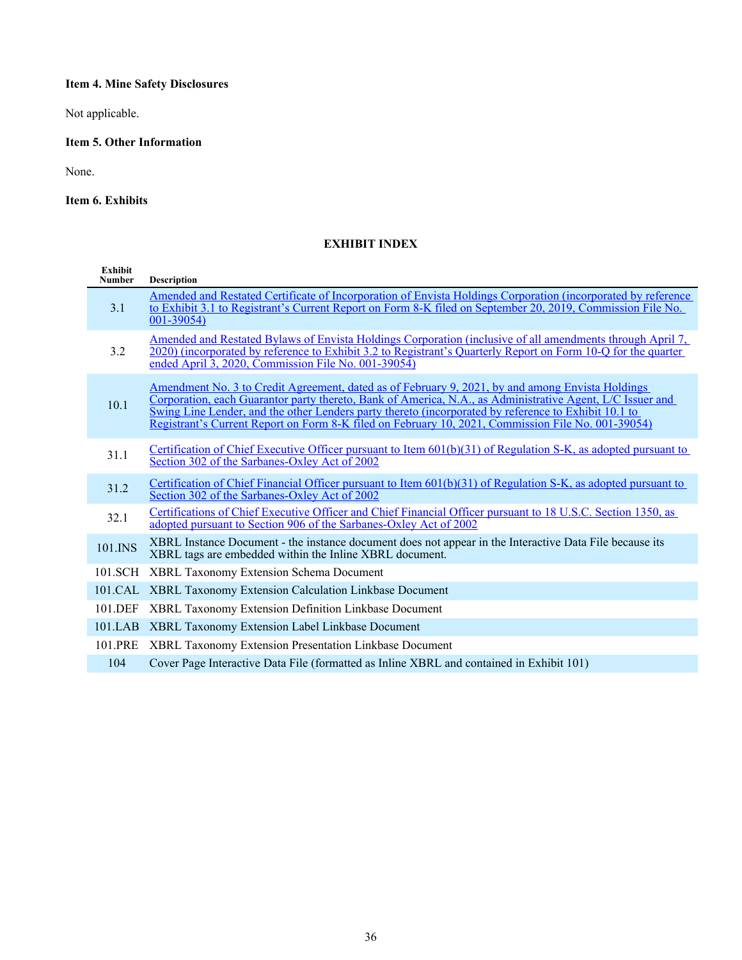# <span id="page-38-0"></span>**Item 4. Mine Safety Disclosures**

Not applicable.

# **Item 5. Other Information**

None.

# **Item 6. Exhibits**

## **EXHIBIT INDEX**

| <b>Exhibit</b><br><b>Number</b> | <b>Description</b>                                                                                                                                                                                                                                                                                                                                                                                                          |
|---------------------------------|-----------------------------------------------------------------------------------------------------------------------------------------------------------------------------------------------------------------------------------------------------------------------------------------------------------------------------------------------------------------------------------------------------------------------------|
| 3.1                             | Amended and Restated Certificate of Incorporation of Envista Holdings Corporation (incorporated by reference<br>to Exhibit 3.1 to Registrant's Current Report on Form 8-K filed on September 20, 2019, Commission File No.<br>$001 - 39054$                                                                                                                                                                                 |
| 3.2                             | Amended and Restated Bylaws of Envista Holdings Corporation (inclusive of all amendments through April 7,<br>2020) (incorporated by reference to Exhibit 3.2 to Registrant's Quarterly Report on Form 10-Q for the quarter<br>ended April $\overline{3}$ , 2020, Commission File No. 001-39054)                                                                                                                             |
| 10.1                            | Amendment No. 3 to Credit Agreement, dated as of February 9, 2021, by and among Envista Holdings<br>Corporation, each Guarantor party thereto, Bank of America, N.A., as Administrative Agent, L/C Issuer and<br>Swing Line Lender, and the other Lenders party thereto (incorporated by reference to Exhibit 10.1 to<br>Registrant's Current Report on Form 8-K filed on February 10, 2021, Commission File No. 001-39054) |
| 31.1                            | Certification of Chief Executive Officer pursuant to Item 601(b)(31) of Regulation S-K, as adopted pursuant to<br>Section 302 of the Sarbanes-Oxley Act of 2002                                                                                                                                                                                                                                                             |
| 31.2                            | Certification of Chief Financial Officer pursuant to Item $601(b)(31)$ of Regulation S-K, as adopted pursuant to<br>Section 302 of the Sarbanes-Oxley Act of 2002                                                                                                                                                                                                                                                           |
| 32.1                            | Certifications of Chief Executive Officer and Chief Financial Officer pursuant to 18 U.S.C. Section 1350, as<br>adopted pursuant to Section 906 of the Sarbanes-Oxley Act of 2002                                                                                                                                                                                                                                           |
| 101.INS                         | XBRL Instance Document - the instance document does not appear in the Interactive Data File because its<br>XBRL tags are embedded within the Inline XBRL document.                                                                                                                                                                                                                                                          |
|                                 | 101.SCH XBRL Taxonomy Extension Schema Document                                                                                                                                                                                                                                                                                                                                                                             |
| 101.CAL                         | XBRL Taxonomy Extension Calculation Linkbase Document                                                                                                                                                                                                                                                                                                                                                                       |
| 101.DEF                         | <b>XBRL Taxonomy Extension Definition Linkbase Document</b>                                                                                                                                                                                                                                                                                                                                                                 |
| $101$ .LAB                      | XBRL Taxonomy Extension Label Linkbase Document                                                                                                                                                                                                                                                                                                                                                                             |
| 101.PRE                         | XBRL Taxonomy Extension Presentation Linkbase Document                                                                                                                                                                                                                                                                                                                                                                      |
| 104                             | Cover Page Interactive Data File (formatted as Inline XBRL and contained in Exhibit 101)                                                                                                                                                                                                                                                                                                                                    |